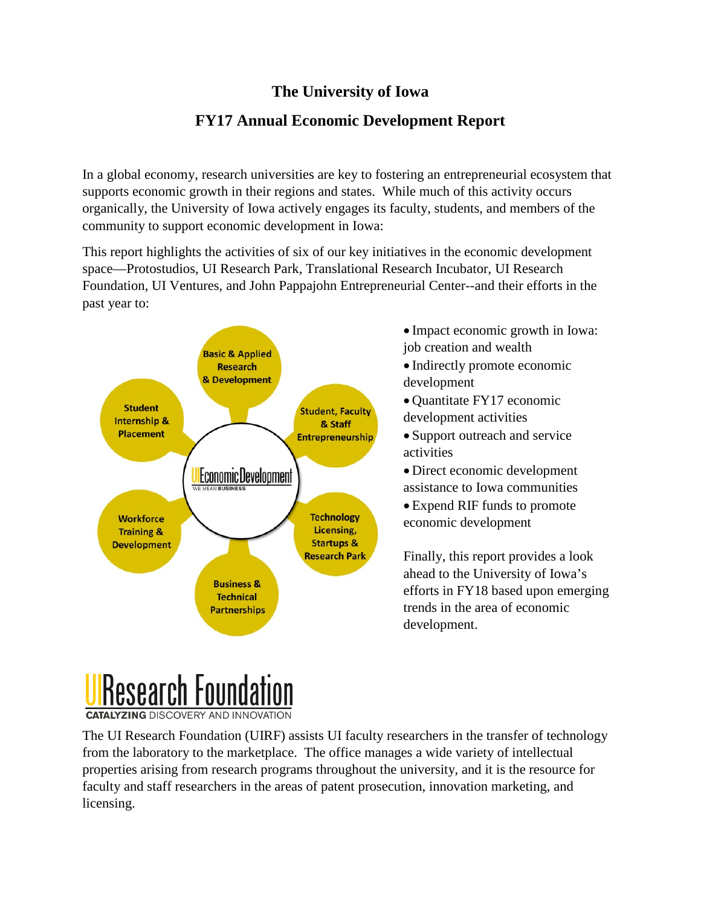## **The University of Iowa**

# **FY17 Annual Economic Development Report**

In a global economy, research universities are key to fostering an entrepreneurial ecosystem that supports economic growth in their regions and states. While much of this activity occurs organically, the University of Iowa actively engages its faculty, students, and members of the community to support economic development in Iowa:

This report highlights the activities of six of our key initiatives in the economic development space—Protostudios, UI Research Park, Translational Research Incubator, UI Research Foundation, UI Ventures, and John Pappajohn Entrepreneurial Center--and their efforts in the past year to:



• Impact economic growth in Iowa: job creation and wealth

• Indirectly promote economic development

- Quantitate FY17 economic development activities
- Support outreach and service activities

• Direct economic development assistance to Iowa communities

• Expend RIF funds to promote economic development

Finally, this report provides a look ahead to the University of Iowa's efforts in FY18 based upon emerging trends in the area of economic development.



The UI Research Foundation (UIRF) assists UI faculty researchers in the transfer of technology from the laboratory to the marketplace. The office manages a wide variety of intellectual properties arising from research programs throughout the university, and it is the resource for faculty and staff researchers in the areas of patent prosecution, innovation marketing, and licensing.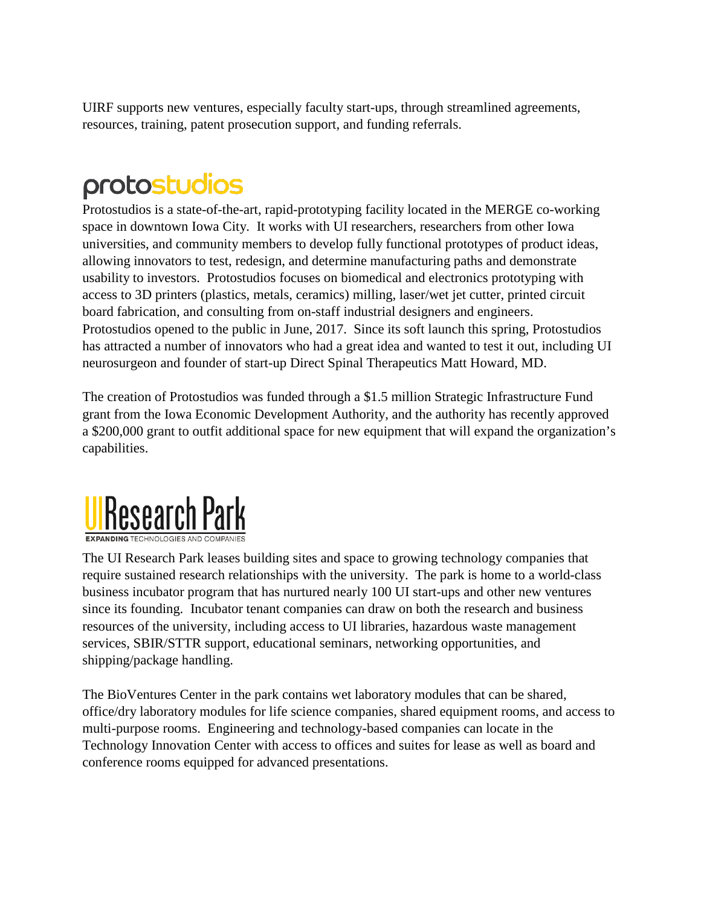UIRF supports new ventures, especially faculty start-ups, through streamlined agreements, resources, training, patent prosecution support, and funding referrals.

# protostudios

Protostudios is a state-of-the-art, rapid-prototyping facility located in the MERGE co-working space in downtown Iowa City. It works with UI researchers, researchers from other Iowa universities, and community members to develop fully functional prototypes of product ideas, allowing innovators to test, redesign, and determine manufacturing paths and demonstrate usability to investors. Protostudios focuses on biomedical and electronics prototyping with access to 3D printers (plastics, metals, ceramics) milling, laser/wet jet cutter, printed circuit board fabrication, and consulting from on-staff industrial designers and engineers. Protostudios opened to the public in June, 2017. Since its soft launch this spring, Protostudios has attracted a number of innovators who had a great idea and wanted to test it out, including UI neurosurgeon and founder of start-up Direct Spinal Therapeutics Matt Howard, MD.

The creation of Protostudios was funded through a \$1.5 million Strategic Infrastructure Fund grant from the Iowa Economic Development Authority, and the authority has recently approved a \$200,000 grant to outfit additional space for new equipment that will expand the organization's capabilities.



The UI Research Park leases building sites and space to growing technology companies that require sustained research relationships with the university. The park is home to a world-class business incubator program that has nurtured nearly 100 UI start-ups and other new ventures since its founding. Incubator tenant companies can draw on both the research and business resources of the university, including access to UI libraries, hazardous waste management services, SBIR/STTR support, educational seminars, networking opportunities, and shipping/package handling.

The BioVentures Center in the park contains wet laboratory modules that can be shared, office/dry laboratory modules for life science companies, shared equipment rooms, and access to multi-purpose rooms. Engineering and technology-based companies can locate in the Technology Innovation Center with access to offices and suites for lease as well as board and conference rooms equipped for advanced presentations.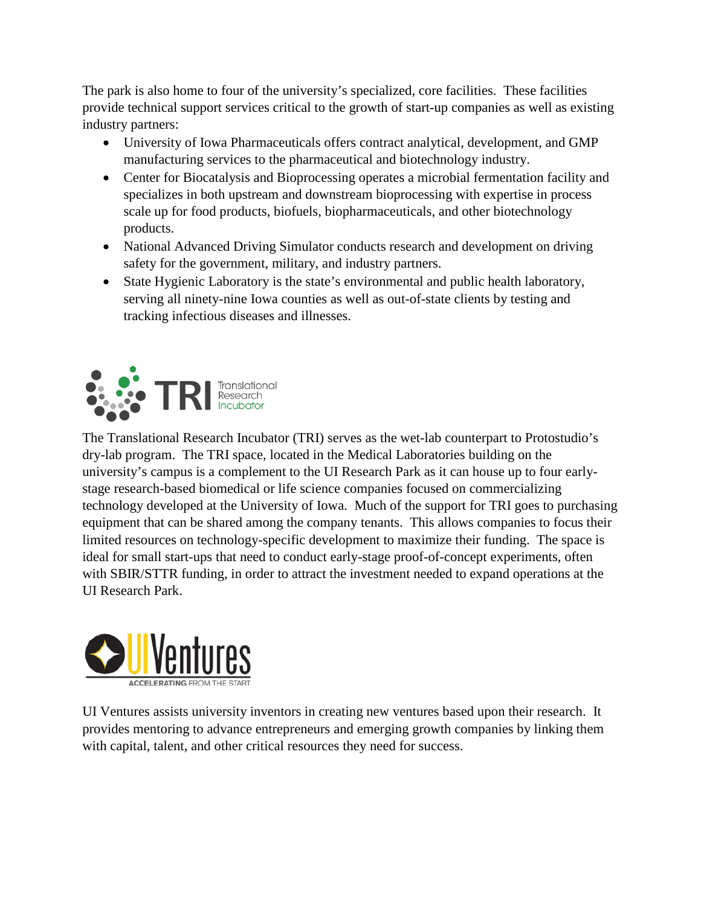The park is also home to four of the university's specialized, core facilities. These facilities provide technical support services critical to the growth of start-up companies as well as existing industry partners:

- University of Iowa Pharmaceuticals offers contract analytical, development, and GMP manufacturing services to the pharmaceutical and biotechnology industry.
- Center for Biocatalysis and Bioprocessing operates a microbial fermentation facility and specializes in both upstream and downstream bioprocessing with expertise in process scale up for food products, biofuels, biopharmaceuticals, and other biotechnology products.
- National Advanced Driving Simulator conducts research and development on driving safety for the government, military, and industry partners.
- State Hygienic Laboratory is the state's environmental and public health laboratory, serving all ninety-nine Iowa counties as well as out-of-state clients by testing and tracking infectious diseases and illnesses.



The Translational Research Incubator (TRI) serves as the wet-lab counterpart to Protostudio's dry-lab program. The TRI space, located in the Medical Laboratories building on the university's campus is a complement to the UI Research Park as it can house up to four earlystage research-based biomedical or life science companies focused on commercializing technology developed at the University of Iowa. Much of the support for TRI goes to purchasing equipment that can be shared among the company tenants. This allows companies to focus their limited resources on technology-specific development to maximize their funding. The space is ideal for small start-ups that need to conduct early-stage proof-of-concept experiments, often with SBIR/STTR funding, in order to attract the investment needed to expand operations at the UI Research Park.



UI Ventures assists university inventors in creating new ventures based upon their research. It provides mentoring to advance entrepreneurs and emerging growth companies by linking them with capital, talent, and other critical resources they need for success.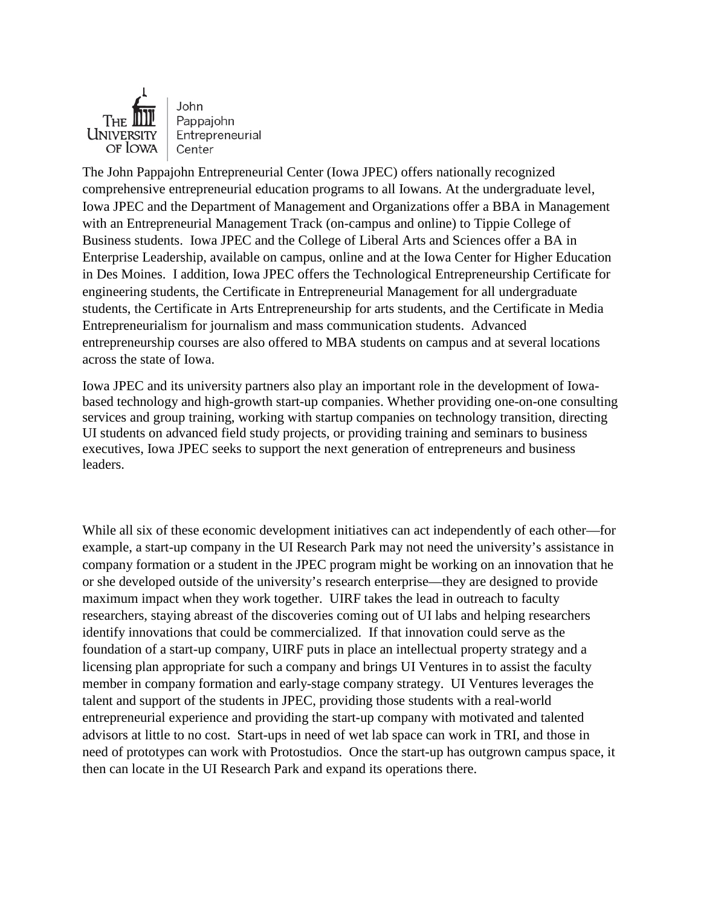

John Pappajohn Entrepreneurial Center

The John Pappajohn Entrepreneurial Center (Iowa JPEC) offers nationally recognized comprehensive entrepreneurial education programs to all Iowans. At the undergraduate level, Iowa JPEC and the Department of Management and Organizations offer a BBA in Management with an Entrepreneurial Management Track (on-campus and online) to Tippie College of Business students. Iowa JPEC and the College of Liberal Arts and Sciences offer a BA in Enterprise Leadership, available on campus, online and at the Iowa Center for Higher Education in Des Moines. I addition, Iowa JPEC offers the Technological Entrepreneurship Certificate for engineering students, the Certificate in Entrepreneurial Management for all undergraduate students, the Certificate in Arts Entrepreneurship for arts students, and the Certificate in Media Entrepreneurialism for journalism and mass communication students. Advanced entrepreneurship courses are also offered to MBA students on campus and at several locations across the state of Iowa.

Iowa JPEC and its university partners also play an important role in the development of Iowabased technology and high-growth start-up companies. Whether providing one-on-one consulting services and group training, working with startup companies on technology transition, directing UI students on advanced field study projects, or providing training and seminars to business executives, Iowa JPEC seeks to support the next generation of entrepreneurs and business leaders.

While all six of these economic development initiatives can act independently of each other—for example, a start-up company in the UI Research Park may not need the university's assistance in company formation or a student in the JPEC program might be working on an innovation that he or she developed outside of the university's research enterprise—they are designed to provide maximum impact when they work together. UIRF takes the lead in outreach to faculty researchers, staying abreast of the discoveries coming out of UI labs and helping researchers identify innovations that could be commercialized. If that innovation could serve as the foundation of a start-up company, UIRF puts in place an intellectual property strategy and a licensing plan appropriate for such a company and brings UI Ventures in to assist the faculty member in company formation and early-stage company strategy. UI Ventures leverages the talent and support of the students in JPEC, providing those students with a real-world entrepreneurial experience and providing the start-up company with motivated and talented advisors at little to no cost. Start-ups in need of wet lab space can work in TRI, and those in need of prototypes can work with Protostudios. Once the start-up has outgrown campus space, it then can locate in the UI Research Park and expand its operations there.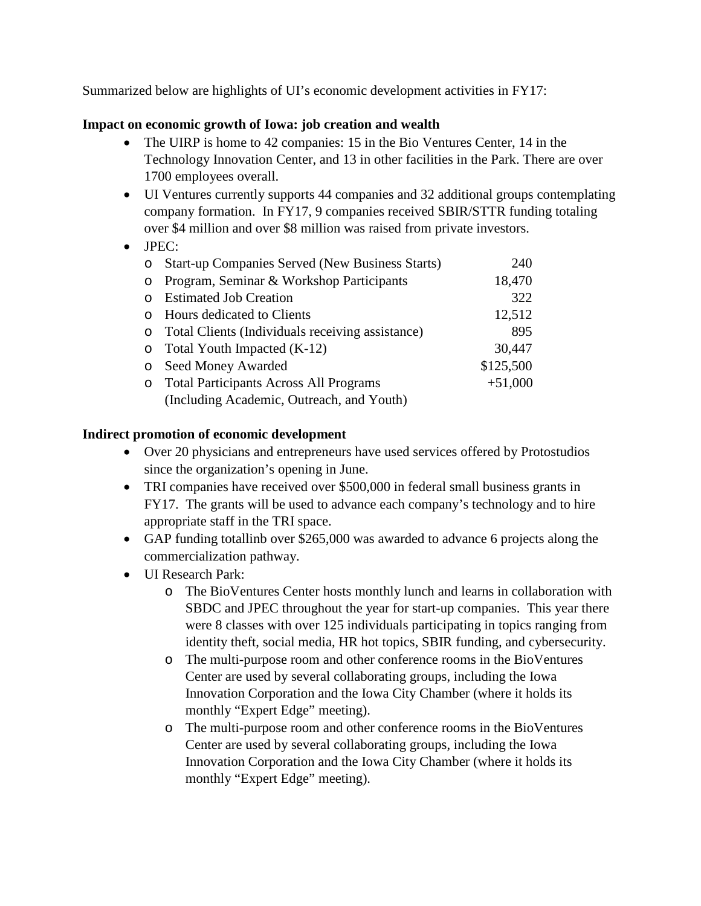Summarized below are highlights of UI's economic development activities in FY17:

## **Impact on economic growth of Iowa: job creation and wealth**

- The UIRP is home to 42 companies: 15 in the Bio Ventures Center, 14 in the Technology Innovation Center, and 13 in other facilities in the Park. There are over 1700 employees overall.
- UI Ventures currently supports 44 companies and 32 additional groups contemplating company formation. In FY17, 9 companies received SBIR/STTR funding totaling over \$4 million and over \$8 million was raised from private investors.
- JPEC:

| $\circ$  | <b>Start-up Companies Served (New Business Starts)</b> | 240       |
|----------|--------------------------------------------------------|-----------|
| $\circ$  | Program, Seminar & Workshop Participants               | 18,470    |
| $\Omega$ | <b>Estimated Job Creation</b>                          | 322       |
| $\Omega$ | Hours dedicated to Clients                             | 12,512    |
| $\circ$  | Total Clients (Individuals receiving assistance)       | 895       |
| $\circ$  | Total Youth Impacted (K-12)                            | 30,447    |
| $\circ$  | Seed Money Awarded                                     | \$125,500 |
| $\circ$  | <b>Total Participants Across All Programs</b>          | $+51,000$ |
|          | (Including Academic, Outreach, and Youth)              |           |

## **Indirect promotion of economic development**

- Over 20 physicians and entrepreneurs have used services offered by Protostudios since the organization's opening in June.
- TRI companies have received over \$500,000 in federal small business grants in FY17. The grants will be used to advance each company's technology and to hire appropriate staff in the TRI space.
- GAP funding totallinb over \$265,000 was awarded to advance 6 projects along the commercialization pathway.
- UI Research Park:
	- o The BioVentures Center hosts monthly lunch and learns in collaboration with SBDC and JPEC throughout the year for start-up companies. This year there were 8 classes with over 125 individuals participating in topics ranging from identity theft, social media, HR hot topics, SBIR funding, and cybersecurity.
	- o The multi-purpose room and other conference rooms in the BioVentures Center are used by several collaborating groups, including the Iowa Innovation Corporation and the Iowa City Chamber (where it holds its monthly "Expert Edge" meeting).
	- o The multi-purpose room and other conference rooms in the BioVentures Center are used by several collaborating groups, including the Iowa Innovation Corporation and the Iowa City Chamber (where it holds its monthly "Expert Edge" meeting).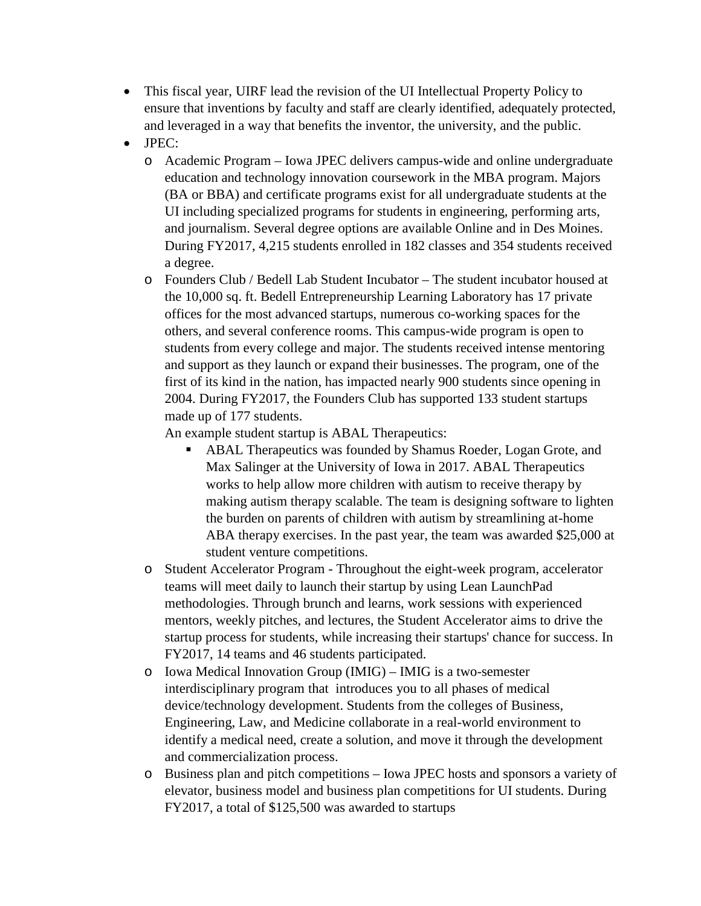- This fiscal year, UIRF lead the revision of the UI Intellectual Property Policy to ensure that inventions by faculty and staff are clearly identified, adequately protected, and leveraged in a way that benefits the inventor, the university, and the public.
- JPEC:
	- o Academic Program Iowa JPEC delivers campus-wide and online undergraduate education and technology innovation coursework in the MBA program. Majors (BA or BBA) and certificate programs exist for all undergraduate students at the UI including specialized programs for students in engineering, performing arts, and journalism. Several degree options are available Online and in Des Moines. During FY2017, 4,215 students enrolled in 182 classes and 354 students received a degree.
	- o Founders Club / Bedell Lab Student Incubator The student incubator housed at the 10,000 sq. ft. Bedell Entrepreneurship Learning Laboratory has 17 private offices for the most advanced startups, numerous co-working spaces for the others, and several conference rooms. This campus-wide program is open to students from every college and major. The students received intense mentoring and support as they launch or expand their businesses. The program, one of the first of its kind in the nation, has impacted nearly 900 students since opening in 2004. During FY2017, the Founders Club has supported 133 student startups made up of 177 students.

An example student startup is ABAL Therapeutics:

- ABAL Therapeutics was founded by Shamus Roeder, Logan Grote, and Max Salinger at the University of Iowa in 2017. ABAL Therapeutics works to help allow more children with autism to receive therapy by making autism therapy scalable. The team is designing software to lighten the burden on parents of children with autism by streamlining at-home ABA therapy exercises. In the past year, the team was awarded \$25,000 at student venture competitions.
- o Student Accelerator Program Throughout the eight-week program, accelerator teams will meet daily to launch their startup by using Lean LaunchPad methodologies. Through brunch and learns, work sessions with experienced mentors, weekly pitches, and lectures, the Student Accelerator aims to drive the startup process for students, while increasing their startups' chance for success. In FY2017, 14 teams and 46 students participated.
- o Iowa Medical Innovation Group (IMIG) IMIG is a two-semester interdisciplinary program that introduces you to all phases of medical device/technology development. Students from the colleges of Business, Engineering, Law, and Medicine collaborate in a real-world environment to identify a medical need, create a solution, and move it through the development and commercialization process.
- o Business plan and pitch competitions Iowa JPEC hosts and sponsors a variety of elevator, business model and business plan competitions for UI students. During FY2017, a total of \$125,500 was awarded to startups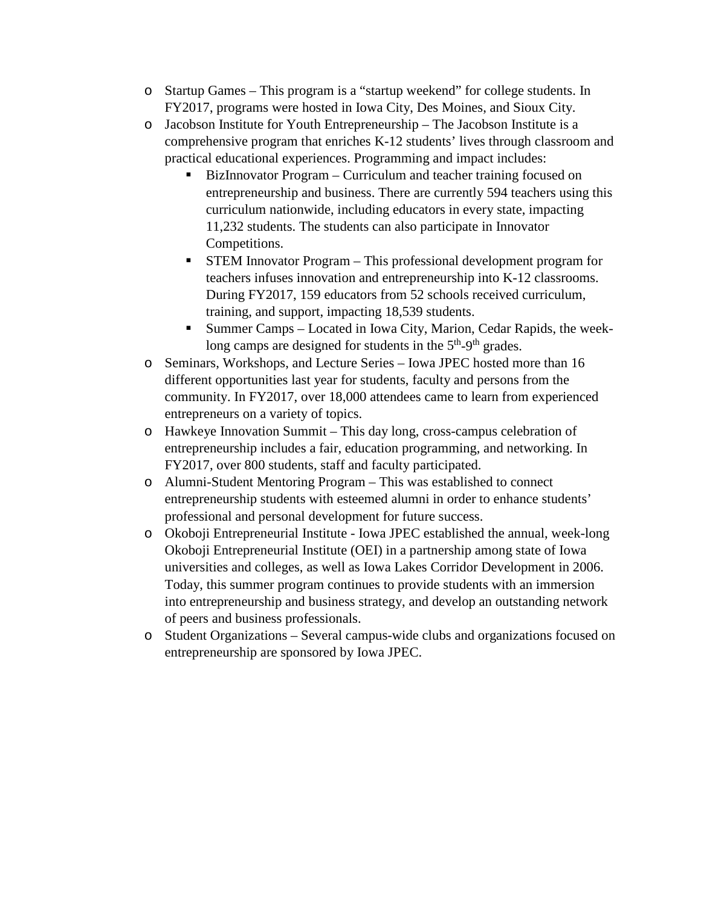- o Startup Games This program is a "startup weekend" for college students. In FY2017, programs were hosted in Iowa City, Des Moines, and Sioux City.
- o Jacobson Institute for Youth Entrepreneurship The Jacobson Institute is a comprehensive program that enriches K-12 students' lives through classroom and practical educational experiences. Programming and impact includes:
	- BizInnovator Program Curriculum and teacher training focused on entrepreneurship and business. There are currently 594 teachers using this curriculum nationwide, including educators in every state, impacting 11,232 students. The students can also participate in Innovator Competitions.
	- STEM Innovator Program This professional development program for teachers infuses innovation and entrepreneurship into K-12 classrooms. During FY2017, 159 educators from 52 schools received curriculum, training, and support, impacting 18,539 students.
	- Summer Camps Located in Iowa City, Marion, Cedar Rapids, the weeklong camps are designed for students in the  $5<sup>th</sup>-9<sup>th</sup>$  grades.
- o Seminars, Workshops, and Lecture Series Iowa JPEC hosted more than 16 different opportunities last year for students, faculty and persons from the community. In FY2017, over 18,000 attendees came to learn from experienced entrepreneurs on a variety of topics.
- o Hawkeye Innovation Summit This day long, cross-campus celebration of entrepreneurship includes a fair, education programming, and networking. In FY2017, over 800 students, staff and faculty participated.
- o Alumni-Student Mentoring Program This was established to connect entrepreneurship students with esteemed alumni in order to enhance students' professional and personal development for future success.
- o Okoboji Entrepreneurial Institute Iowa JPEC established the annual, week-long Okoboji Entrepreneurial Institute (OEI) in a partnership among state of Iowa universities and colleges, as well as Iowa Lakes Corridor Development in 2006. Today, this summer program continues to provide students with an immersion into entrepreneurship and business strategy, and develop an outstanding network of peers and business professionals.
- o Student Organizations Several campus-wide clubs and organizations focused on entrepreneurship are sponsored by Iowa JPEC.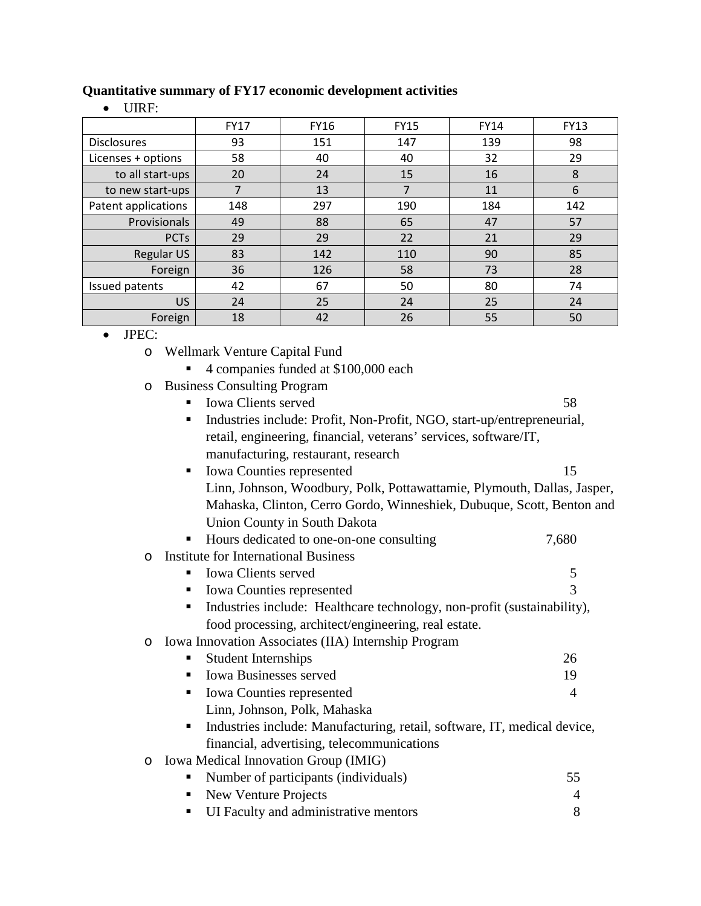#### **Quantitative summary of FY17 economic development activities**

• UIRF:

|                     | <b>FY17</b> | <b>FY16</b> | <b>FY15</b> | FY14 | <b>FY13</b> |
|---------------------|-------------|-------------|-------------|------|-------------|
| <b>Disclosures</b>  | 93          | 151         | 147         | 139  | 98          |
| Licenses + options  | 58          | 40          | 40          | 32   | 29          |
| to all start-ups    | 20          | 24          | 15          | 16   | 8           |
| to new start-ups    | 7           | 13          |             | 11   | 6           |
| Patent applications | 148         | 297         | 190         | 184  | 142         |
| Provisionals        | 49          | 88          | 65          | 47   | 57          |
| <b>PCTs</b>         | 29          | 29          | 22          | 21   | 29          |
| <b>Regular US</b>   | 83          | 142         | 110         | 90   | 85          |
| Foreign             | 36          | 126         | 58          | 73   | 28          |
| Issued patents      | 42          | 67          | 50          | 80   | 74          |
| US.                 | 24          | 25          | 24          | 25   | 24          |
| Foreign             | 18          | 42          | 26          | 55   | 50          |

• JPEC:

- o Wellmark Venture Capital Fund
	- 4 companies funded at \$100,000 each

| $\circ$ |  | <b>Business Consulting Program</b> |
|---------|--|------------------------------------|
|---------|--|------------------------------------|

|              | • Iowa Clients served                                                   | 58 |
|--------------|-------------------------------------------------------------------------|----|
| $\mathbf{u}$ | Industries include: Profit, Non-Profit, NGO, start-up/entrepreneurial,  |    |
|              | retail, engineering, financial, veterans' services, software/IT,        |    |
|              | manufacturing, restaurant, research                                     |    |
|              | <b>Iowa Counties represented</b>                                        | 15 |
|              | Linn, Johnson, Woodbury, Polk, Pottawattamie, Plymouth, Dallas, Jasper, |    |
|              | 11101.0 0 0 1 117 1 11 0 0 0 1                                          |    |

Mahaska, Clinton, Cerro Gordo, Winneshiek, Dubuque, Scott, Benton and Union County in South Dakota

|  | Hours dedicated to one-on-one consulting | 7,680 |
|--|------------------------------------------|-------|
|--|------------------------------------------|-------|

- o Institute for International Business
	- Iowa Clients served 5
	- **Iowa Counties represented** 3
	- Industries include: Healthcare technology, non-profit (sustainability), food processing, architect/engineering, real estate.
- o Iowa Innovation Associates (IIA) Internship Program
	- Student Internships 26 ■ Iowa Businesses served 19
	- Iowa Counties represented 4
		- Linn, Johnson, Polk, Mahaska
	- Industries include: Manufacturing, retail, software, IT, medical device, financial, advertising, telecommunications

## o Iowa Medical Innovation Group (IMIG)

| Number of participants (individuals) |  |
|--------------------------------------|--|
| New Venture Projects                 |  |

■ UI Faculty and administrative mentors 8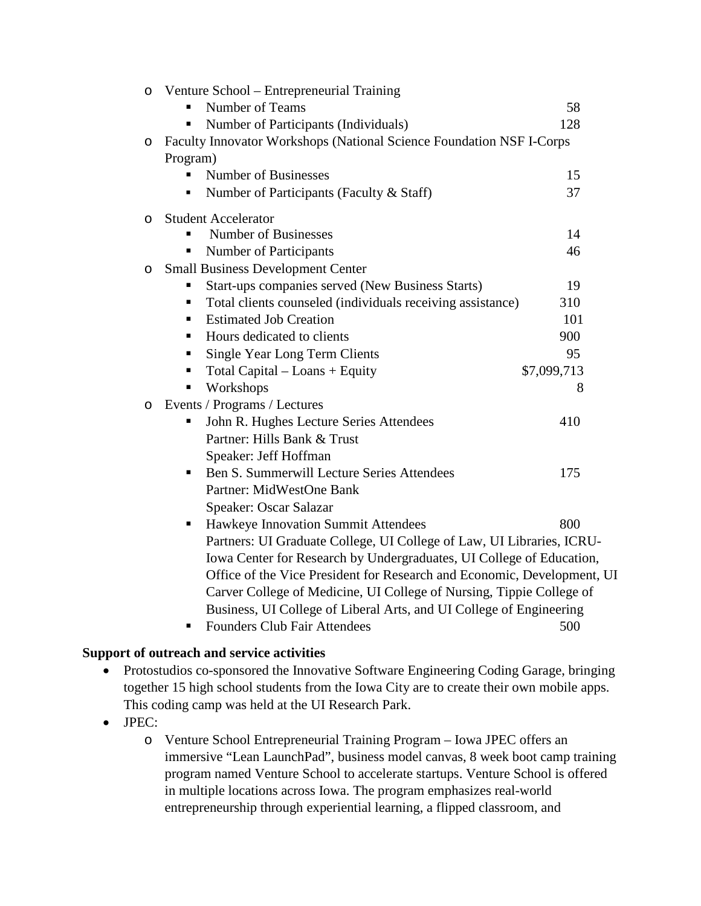| O       | Venture School – Entrepreneurial Training                               |             |
|---------|-------------------------------------------------------------------------|-------------|
|         | Number of Teams                                                         | 58          |
|         | Number of Participants (Individuals)<br>п                               | 128         |
| $\circ$ | Faculty Innovator Workshops (National Science Foundation NSF I-Corps    |             |
|         | Program)                                                                |             |
|         | <b>Number of Businesses</b>                                             | 15          |
|         | Number of Participants (Faculty & Staff)                                | 37          |
| O       | <b>Student Accelerator</b>                                              |             |
|         | <b>Number of Businesses</b>                                             | 14          |
|         | <b>Number of Participants</b>                                           | 46          |
| O       | <b>Small Business Development Center</b>                                |             |
|         | Start-ups companies served (New Business Starts)                        | 19          |
|         | Total clients counseled (individuals receiving assistance)<br>п         | 310         |
|         | <b>Estimated Job Creation</b><br>٠                                      | 101         |
|         | Hours dedicated to clients<br>٠                                         | 900         |
|         | Single Year Long Term Clients                                           | 95          |
|         | Total Capital $-$ Loans $+$ Equity                                      | \$7,099,713 |
|         | Workshops<br>٠                                                          | 8           |
| O       | Events / Programs / Lectures                                            |             |
|         | John R. Hughes Lecture Series Attendees                                 | 410         |
|         | Partner: Hills Bank & Trust                                             |             |
|         | Speaker: Jeff Hoffman                                                   |             |
|         | Ben S. Summerwill Lecture Series Attendees<br>п                         | 175         |
|         | Partner: MidWestOne Bank                                                |             |
|         | Speaker: Oscar Salazar                                                  |             |
|         | Hawkeye Innovation Summit Attendees<br>п                                | 800         |
|         | Partners: UI Graduate College, UI College of Law, UI Libraries, ICRU-   |             |
|         | Iowa Center for Research by Undergraduates, UI College of Education,    |             |
|         | Office of the Vice President for Research and Economic, Development, UI |             |
|         | Carver College of Medicine, UI College of Nursing, Tippie College of    |             |
|         | Business, UI College of Liberal Arts, and UI College of Engineering     |             |
|         | <b>Founders Club Fair Attendees</b>                                     | 500         |

## **Support of outreach and service activities**

- Protostudios co-sponsored the Innovative Software Engineering Coding Garage, bringing together 15 high school students from the Iowa City are to create their own mobile apps. This coding camp was held at the UI Research Park.
- JPEC:
	- o Venture School Entrepreneurial Training Program Iowa JPEC offers an immersive "Lean LaunchPad", business model canvas, 8 week boot camp training program named Venture School to accelerate startups. Venture School is offered in multiple locations across Iowa. The program emphasizes real-world entrepreneurship through experiential learning, a flipped classroom, and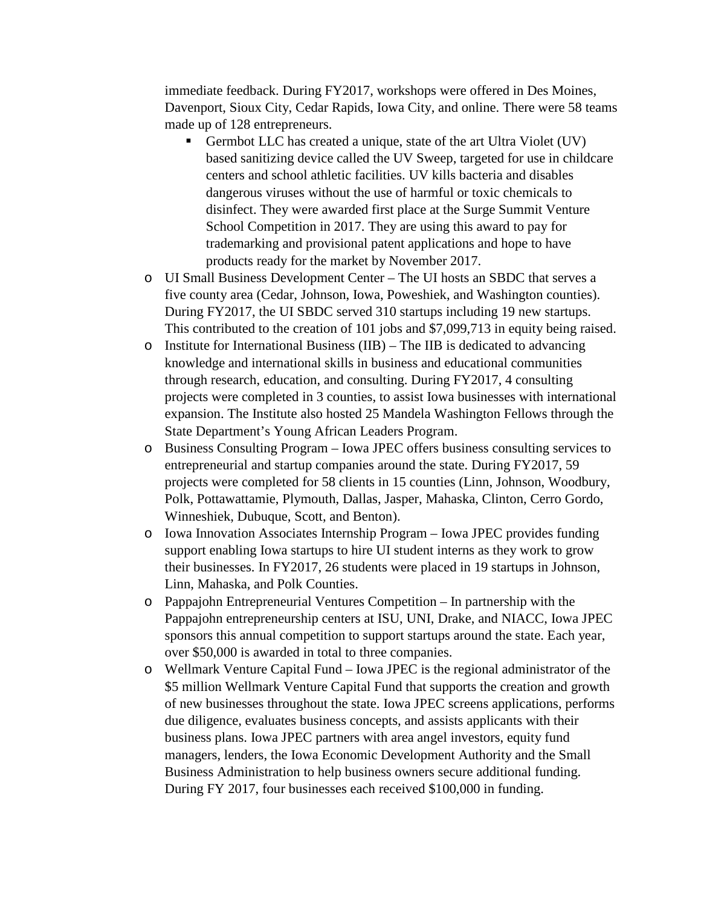immediate feedback. During FY2017, workshops were offered in Des Moines, Davenport, Sioux City, Cedar Rapids, Iowa City, and online. There were 58 teams made up of 128 entrepreneurs.

- Germbot LLC has created a unique, state of the art Ultra Violet (UV) based sanitizing device called the UV Sweep, targeted for use in childcare centers and school athletic facilities. UV kills bacteria and disables dangerous viruses without the use of harmful or toxic chemicals to disinfect. They were awarded first place at the Surge Summit Venture School Competition in 2017. They are using this award to pay for trademarking and provisional patent applications and hope to have products ready for the market by November 2017.
- o UI Small Business Development Center The UI hosts an SBDC that serves a five county area (Cedar, Johnson, Iowa, Poweshiek, and Washington counties). During FY2017, the UI SBDC served 310 startups including 19 new startups. This contributed to the creation of 101 jobs and \$7,099,713 in equity being raised.
- o Institute for International Business (IIB) The IIB is dedicated to advancing knowledge and international skills in business and educational communities through research, education, and consulting. During FY2017, 4 consulting projects were completed in 3 counties, to assist Iowa businesses with international expansion. The Institute also hosted 25 Mandela Washington Fellows through the State Department's Young African Leaders Program.
- o Business Consulting Program Iowa JPEC offers business consulting services to entrepreneurial and startup companies around the state. During FY2017, 59 projects were completed for 58 clients in 15 counties (Linn, Johnson, Woodbury, Polk, Pottawattamie, Plymouth, Dallas, Jasper, Mahaska, Clinton, Cerro Gordo, Winneshiek, Dubuque, Scott, and Benton).
- o Iowa Innovation Associates Internship Program Iowa JPEC provides funding support enabling Iowa startups to hire UI student interns as they work to grow their businesses. In FY2017, 26 students were placed in 19 startups in Johnson, Linn, Mahaska, and Polk Counties.
- o Pappajohn Entrepreneurial Ventures Competition In partnership with the Pappajohn entrepreneurship centers at ISU, UNI, Drake, and NIACC, Iowa JPEC sponsors this annual competition to support startups around the state. Each year, over \$50,000 is awarded in total to three companies.
- o Wellmark Venture Capital Fund Iowa JPEC is the regional administrator of the \$5 million Wellmark Venture Capital Fund that supports the creation and growth of new businesses throughout the state. Iowa JPEC screens applications, performs due diligence, evaluates business concepts, and assists applicants with their business plans. Iowa JPEC partners with area angel investors, equity fund managers, lenders, the Iowa Economic Development Authority and the Small Business Administration to help business owners secure additional funding. During FY 2017, four businesses each received \$100,000 in funding.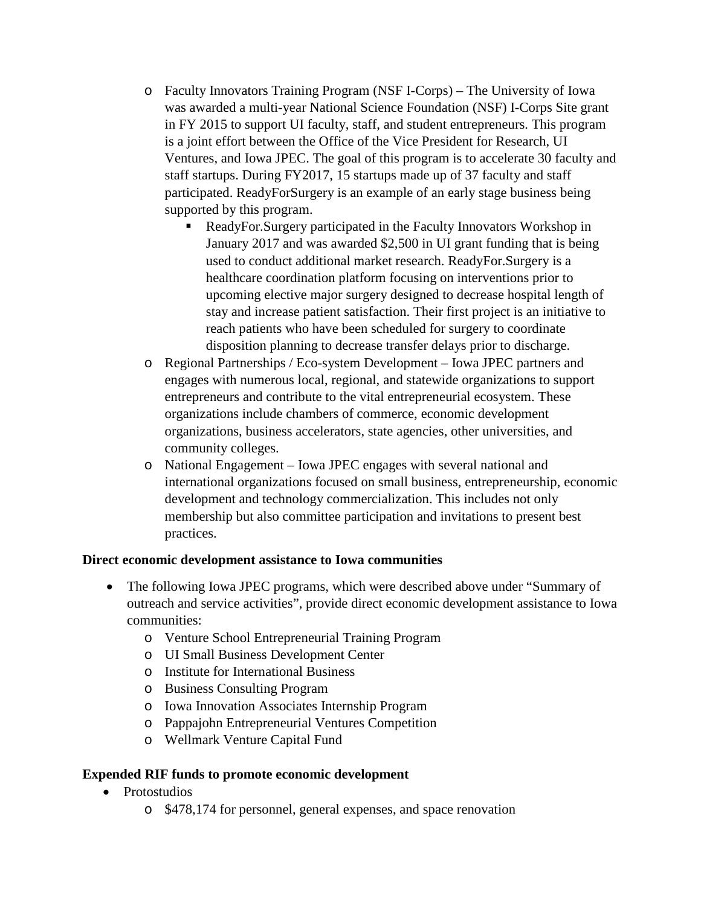- o Faculty Innovators Training Program (NSF I-Corps) The University of Iowa was awarded a multi-year National Science Foundation (NSF) I-Corps Site grant in FY 2015 to support UI faculty, staff, and student entrepreneurs. This program is a joint effort between the Office of the Vice President for Research, UI Ventures, and Iowa JPEC. The goal of this program is to accelerate 30 faculty and staff startups. During FY2017, 15 startups made up of 37 faculty and staff participated. ReadyForSurgery is an example of an early stage business being supported by this program.
	- ReadyFor.Surgery participated in the Faculty Innovators Workshop in January 2017 and was awarded \$2,500 in UI grant funding that is being used to conduct additional market research. ReadyFor.Surgery is a healthcare coordination platform focusing on interventions prior to upcoming elective major surgery designed to decrease hospital length of stay and increase patient satisfaction. Their first project is an initiative to reach patients who have been scheduled for surgery to coordinate disposition planning to decrease transfer delays prior to discharge.
- o Regional Partnerships / Eco-system Development Iowa JPEC partners and engages with numerous local, regional, and statewide organizations to support entrepreneurs and contribute to the vital entrepreneurial ecosystem. These organizations include chambers of commerce, economic development organizations, business accelerators, state agencies, other universities, and community colleges.
- o National Engagement Iowa JPEC engages with several national and international organizations focused on small business, entrepreneurship, economic development and technology commercialization. This includes not only membership but also committee participation and invitations to present best practices.

## **Direct economic development assistance to Iowa communities**

- The following Iowa JPEC programs, which were described above under "Summary of outreach and service activities", provide direct economic development assistance to Iowa communities:
	- o Venture School Entrepreneurial Training Program
	- o UI Small Business Development Center
	- o Institute for International Business
	- o Business Consulting Program
	- o Iowa Innovation Associates Internship Program
	- o Pappajohn Entrepreneurial Ventures Competition
	- o Wellmark Venture Capital Fund

## **Expended RIF funds to promote economic development**

- Protostudios
	- o \$478,174 for personnel, general expenses, and space renovation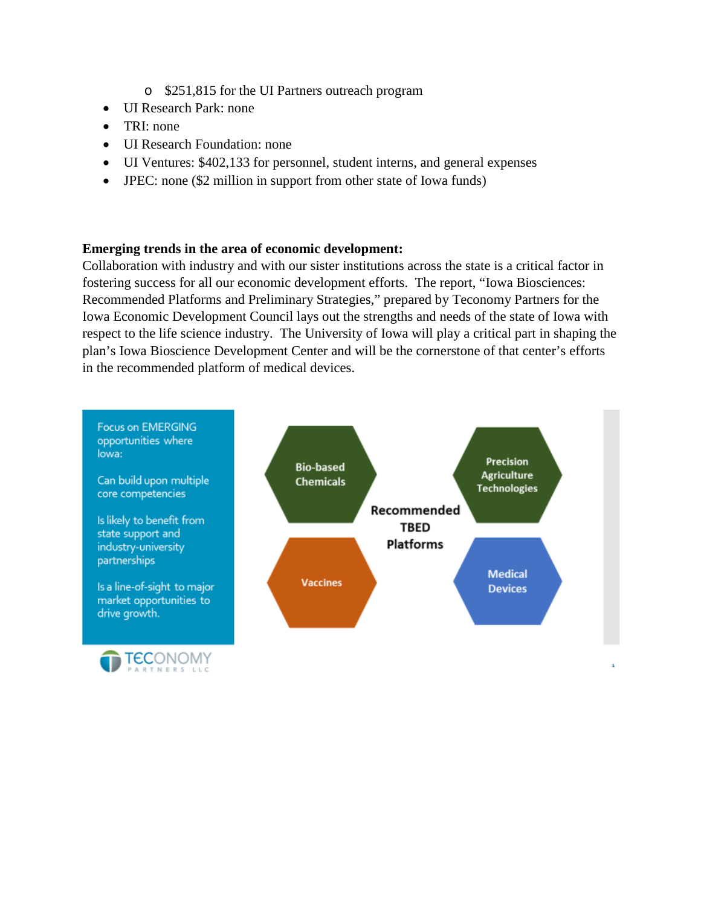- o \$251,815 for the UI Partners outreach program
- UI Research Park: none
- TRI: none
- UI Research Foundation: none
- UI Ventures: \$402,133 for personnel, student interns, and general expenses
- JPEC: none (\$2 million in support from other state of Iowa funds)

## **Emerging trends in the area of economic development:**

Collaboration with industry and with our sister institutions across the state is a critical factor in fostering success for all our economic development efforts. The report, "Iowa Biosciences: Recommended Platforms and Preliminary Strategies," prepared by Teconomy Partners for the Iowa Economic Development Council lays out the strengths and needs of the state of Iowa with respect to the life science industry. The University of Iowa will play a critical part in shaping the plan's Iowa Bioscience Development Center and will be the cornerstone of that center's efforts in the recommended platform of medical devices.

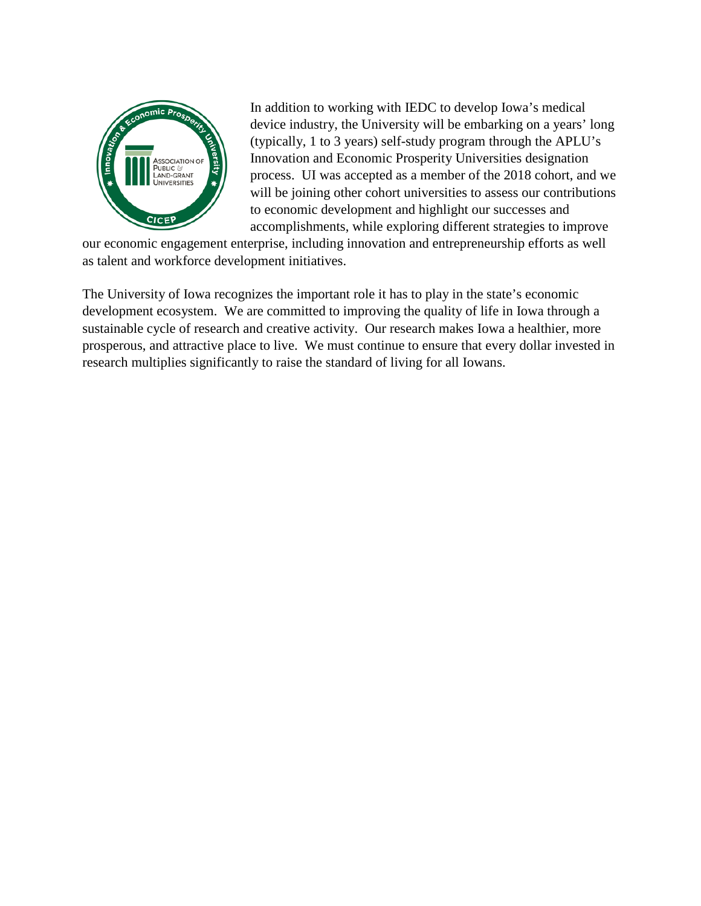

In addition to working with IEDC to develop Iowa's medical device industry, the University will be embarking on a years' long (typically, 1 to 3 years) self-study program through the APLU's Innovation and Economic Prosperity Universities designation process. UI was accepted as a member of the 2018 cohort, and we will be joining other cohort universities to assess our contributions to economic development and highlight our successes and accomplishments, while exploring different strategies to improve

our economic engagement enterprise, including innovation and entrepreneurship efforts as well as talent and workforce development initiatives.

The University of Iowa recognizes the important role it has to play in the state's economic development ecosystem. We are committed to improving the quality of life in Iowa through a sustainable cycle of research and creative activity. Our research makes Iowa a healthier, more prosperous, and attractive place to live. We must continue to ensure that every dollar invested in research multiplies significantly to raise the standard of living for all Iowans.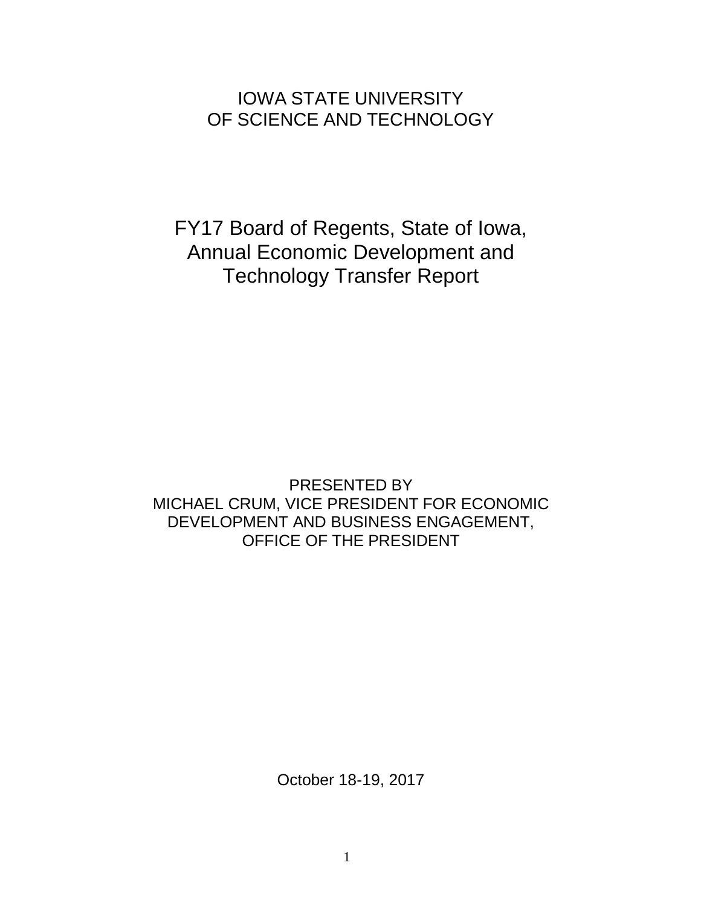# IOWA STATE UNIVERSITY OF SCIENCE AND TECHNOLOGY

FY17 Board of Regents, State of Iowa, Annual Economic Development and Technology Transfer Report

PRESENTED BY MICHAEL CRUM, VICE PRESIDENT FOR ECONOMIC DEVELOPMENT AND BUSINESS ENGAGEMENT, OFFICE OF THE PRESIDENT

October 18-19, 2017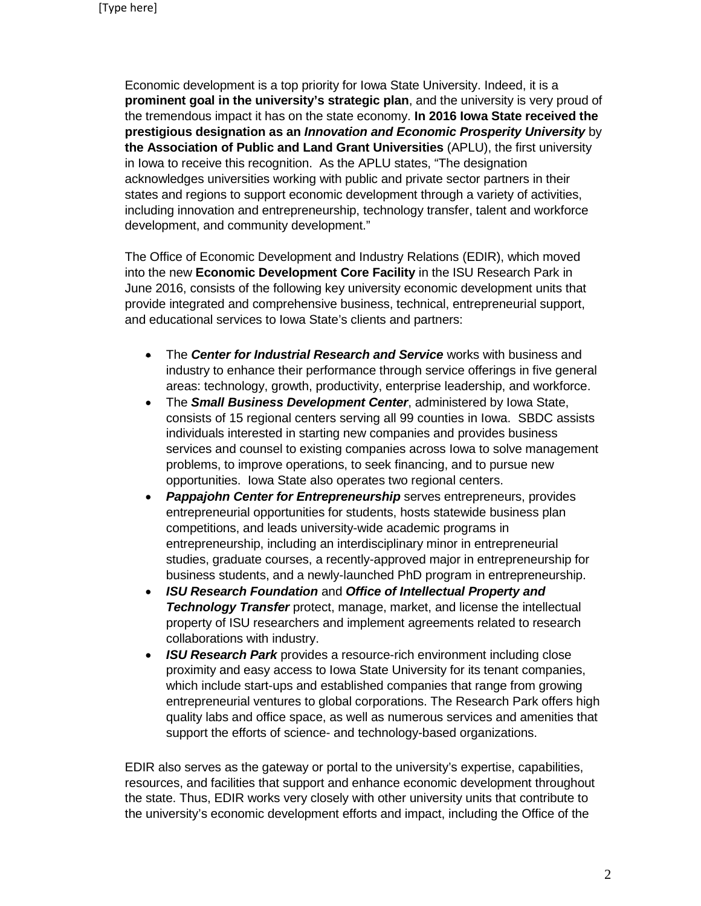Economic development is a top priority for Iowa State University. Indeed, it is a **prominent goal in the university's strategic plan**, and the university is very proud of the tremendous impact it has on the state economy. **In 2016 Iowa State received the prestigious designation as an** *Innovation and Economic Prosperity University* by **the Association of Public and Land Grant Universities** (APLU), the first university in Iowa to receive this recognition. As the APLU states, "The designation acknowledges universities working with public and private sector partners in their states and regions to support economic development through a variety of activities, including innovation and entrepreneurship, technology transfer, talent and workforce development, and community development."

The Office of Economic Development and Industry Relations (EDIR), which moved into the new **Economic Development Core Facility** in the ISU Research Park in June 2016, consists of the following key university economic development units that provide integrated and comprehensive business, technical, entrepreneurial support, and educational services to Iowa State's clients and partners:

- The *Center for Industrial Research and Service* works with business and industry to enhance their performance through service offerings in five general areas: technology, growth, productivity, enterprise leadership, and workforce.
- The *Small Business Development Center*, administered by Iowa State, consists of 15 regional centers serving all 99 counties in Iowa. SBDC assists individuals interested in starting new companies and provides business services and counsel to existing companies across Iowa to solve management problems, to improve operations, to seek financing, and to pursue new opportunities. Iowa State also operates two regional centers.
- *Pappajohn Center for Entrepreneurship* serves entrepreneurs, provides entrepreneurial opportunities for students, hosts statewide business plan competitions, and leads university-wide academic programs in entrepreneurship, including an interdisciplinary minor in entrepreneurial studies, graduate courses, a recently-approved major in entrepreneurship for business students, and a newly-launched PhD program in entrepreneurship.
- *ISU Research Foundation* and *Office of Intellectual Property and Technology Transfer* protect, manage, market, and license the intellectual property of ISU researchers and implement agreements related to research collaborations with industry.
- *ISU Research Park* provides a resource-rich environment including close proximity and easy access to Iowa State University for its tenant companies, which include start-ups and established companies that range from growing entrepreneurial ventures to global corporations. The Research Park offers high quality labs and office space, as well as numerous services and amenities that support the efforts of science- and technology-based organizations.

EDIR also serves as the gateway or portal to the university's expertise, capabilities, resources, and facilities that support and enhance economic development throughout the state. Thus, EDIR works very closely with other university units that contribute to the university's economic development efforts and impact, including the Office of the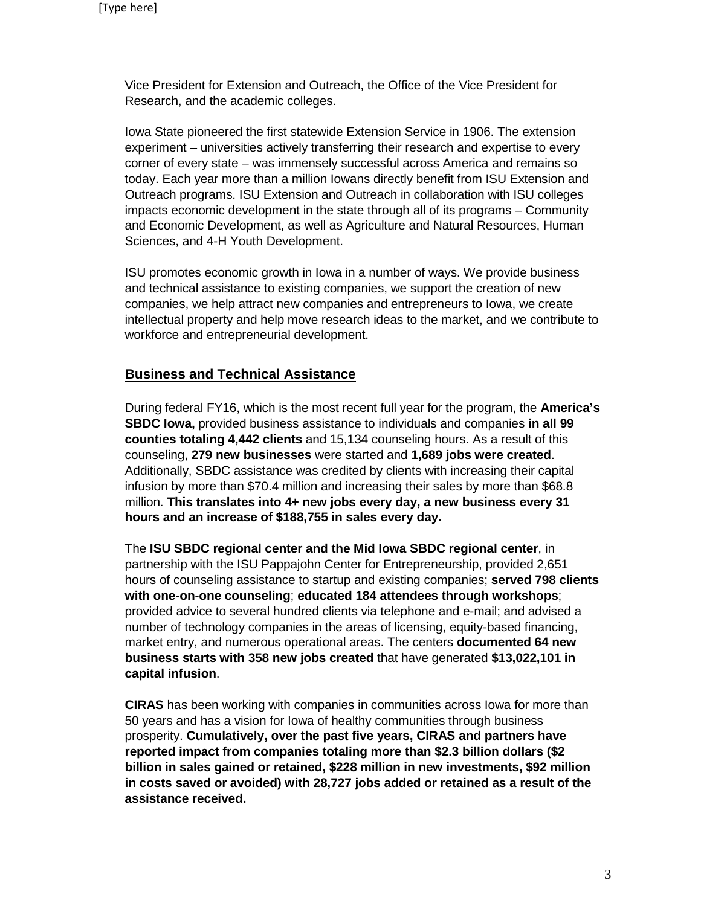Vice President for Extension and Outreach, the Office of the Vice President for Research, and the academic colleges.

Iowa State pioneered the first statewide Extension Service in 1906. The extension experiment – universities actively transferring their research and expertise to every corner of every state – was immensely successful across America and remains so today. Each year more than a million Iowans directly benefit from ISU Extension and Outreach programs. ISU Extension and Outreach in collaboration with ISU colleges impacts economic development in the state through all of its programs – Community and Economic Development, as well as Agriculture and Natural Resources, Human Sciences, and 4-H Youth Development.

ISU promotes economic growth in Iowa in a number of ways. We provide business and technical assistance to existing companies, we support the creation of new companies, we help attract new companies and entrepreneurs to Iowa, we create intellectual property and help move research ideas to the market, and we contribute to workforce and entrepreneurial development.

## **Business and Technical Assistance**

During federal FY16, which is the most recent full year for the program, the **America's SBDC Iowa,** provided business assistance to individuals and companies **in all 99 counties totaling 4,442 clients** and 15,134 counseling hours. As a result of this counseling, **279 new businesses** were started and **1,689 jobs were created**. Additionally, SBDC assistance was credited by clients with increasing their capital infusion by more than \$70.4 million and increasing their sales by more than \$68.8 million. **This translates into 4+ new jobs every day, a new business every 31 hours and an increase of \$188,755 in sales every day.**

The **ISU SBDC regional center and the Mid Iowa SBDC regional center**, in partnership with the ISU Pappajohn Center for Entrepreneurship, provided 2,651 hours of counseling assistance to startup and existing companies; **served 798 clients with one-on-one counseling**; **educated 184 attendees through workshops**; provided advice to several hundred clients via telephone and e-mail; and advised a number of technology companies in the areas of licensing, equity-based financing, market entry, and numerous operational areas. The centers **documented 64 new business starts with 358 new jobs created** that have generated **\$13,022,101 in capital infusion**.

**CIRAS** has been working with companies in communities across Iowa for more than 50 years and has a vision for Iowa of healthy communities through business prosperity. **Cumulatively, over the past five years, CIRAS and partners have reported impact from companies totaling more than \$2.3 billion dollars (\$2 billion in sales gained or retained, \$228 million in new investments, \$92 million in costs saved or avoided) with 28,727 jobs added or retained as a result of the assistance received.**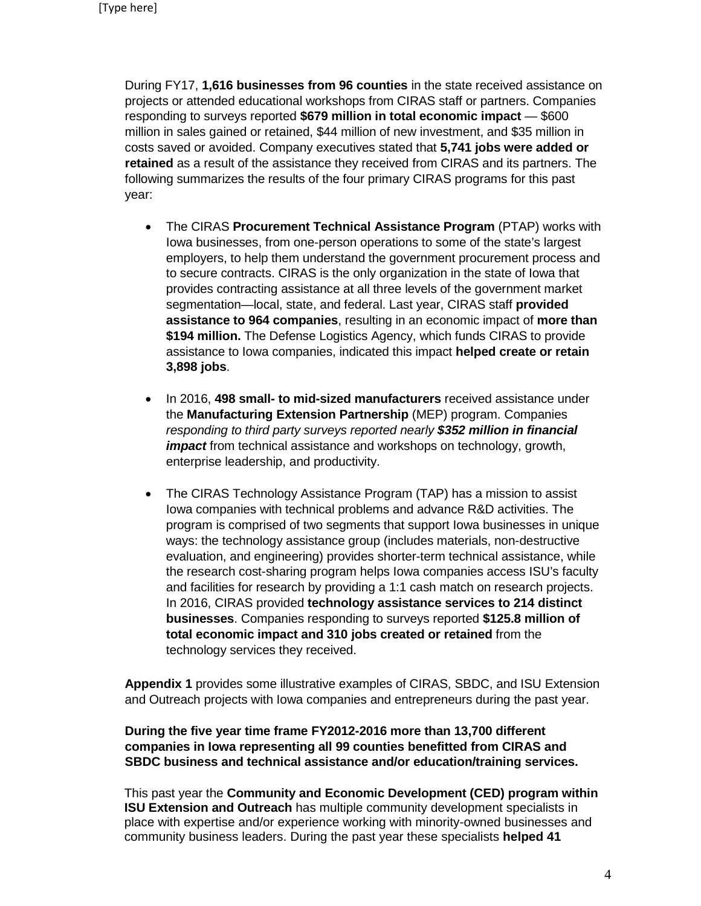During FY17, **1,616 businesses from 96 counties** in the state received assistance on projects or attended educational workshops from CIRAS staff or partners. Companies responding to surveys reported **\$679 million in total economic impact** — \$600 million in sales gained or retained, \$44 million of new investment, and \$35 million in costs saved or avoided. Company executives stated that **5,741 jobs were added or retained** as a result of the assistance they received from CIRAS and its partners. The following summarizes the results of the four primary CIRAS programs for this past year:

- The CIRAS **Procurement Technical Assistance Program** (PTAP) works with Iowa businesses, from one-person operations to some of the state's largest employers, to help them understand the government procurement process and to secure contracts. CIRAS is the only organization in the state of Iowa that provides contracting assistance at all three levels of the government market segmentation—local, state, and federal. Last year, CIRAS staff **provided assistance to 964 companies**, resulting in an economic impact of **more than \$194 million.** The Defense Logistics Agency, which funds CIRAS to provide assistance to Iowa companies, indicated this impact **helped create or retain 3,898 jobs**.
- In 2016, **498 small- to mid-sized manufacturers** received assistance under the **Manufacturing Extension Partnership** (MEP) program. Companies *responding to third party surveys reported nearly \$352 million in financial impact* from technical assistance and workshops on technology, growth, enterprise leadership, and productivity.
- The CIRAS Technology Assistance Program (TAP) has a mission to assist Iowa companies with technical problems and advance R&D activities. The program is comprised of two segments that support Iowa businesses in unique ways: the technology assistance group (includes materials, non-destructive evaluation, and engineering) provides shorter-term technical assistance, while the research cost-sharing program helps Iowa companies access ISU's faculty and facilities for research by providing a 1:1 cash match on research projects. In 2016, CIRAS provided **technology assistance services to 214 distinct businesses**. Companies responding to surveys reported **\$125.8 million of total economic impact and 310 jobs created or retained** from the technology services they received.

**Appendix 1** provides some illustrative examples of CIRAS, SBDC, and ISU Extension and Outreach projects with Iowa companies and entrepreneurs during the past year.

## **During the five year time frame FY2012-2016 more than 13,700 different companies in Iowa representing all 99 counties benefitted from CIRAS and SBDC business and technical assistance and/or education/training services.**

This past year the **Community and Economic Development (CED) program within ISU Extension and Outreach** has multiple community development specialists in place with expertise and/or experience working with minority-owned businesses and community business leaders. During the past year these specialists **helped 41**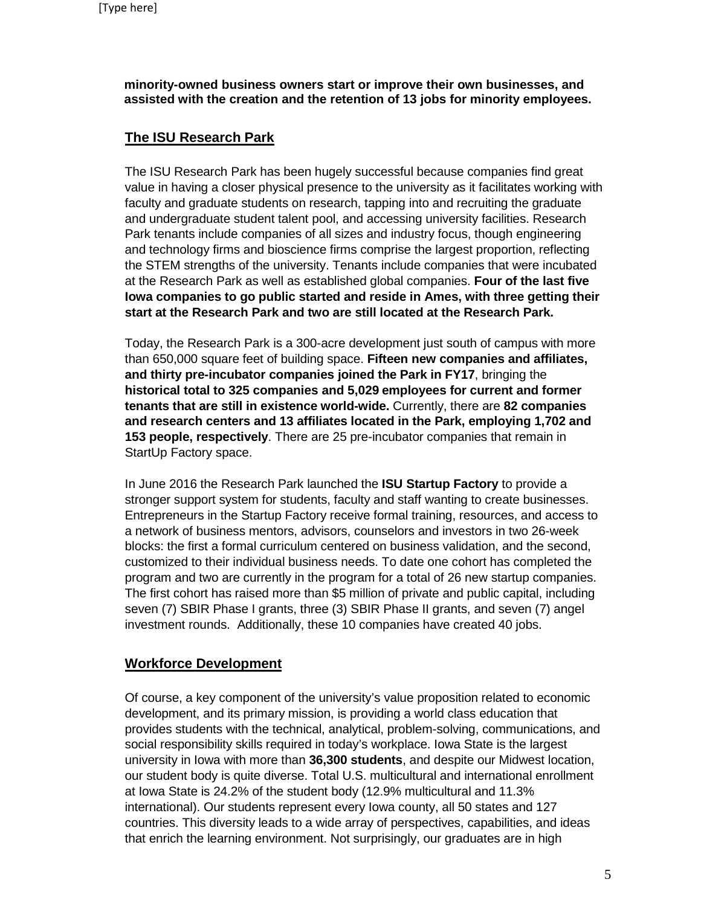**minority-owned business owners start or improve their own businesses, and assisted with the creation and the retention of 13 jobs for minority employees.** 

## **The ISU Research Park**

The ISU Research Park has been hugely successful because companies find great value in having a closer physical presence to the university as it facilitates working with faculty and graduate students on research, tapping into and recruiting the graduate and undergraduate student talent pool, and accessing university facilities. Research Park tenants include companies of all sizes and industry focus, though engineering and technology firms and bioscience firms comprise the largest proportion, reflecting the STEM strengths of the university. Tenants include companies that were incubated at the Research Park as well as established global companies. **Four of the last five Iowa companies to go public started and reside in Ames, with three getting their start at the Research Park and two are still located at the Research Park.**

Today, the Research Park is a 300-acre development just south of campus with more than 650,000 square feet of building space. **Fifteen new companies and affiliates, and thirty pre-incubator companies joined the Park in FY17**, bringing the **historical total to 325 companies and 5,029 employees for current and former tenants that are still in existence world-wide.** Currently, there are **82 companies and research centers and 13 affiliates located in the Park, employing 1,702 and 153 people, respectively**. There are 25 pre-incubator companies that remain in StartUp Factory space.

In June 2016 the Research Park launched the **ISU Startup Factory** to provide a stronger support system for students, faculty and staff wanting to create businesses. Entrepreneurs in the Startup Factory receive formal training, resources, and access to a network of business mentors, advisors, counselors and investors in two 26-week blocks: the first a formal curriculum centered on business validation, and the second, customized to their individual business needs. To date one cohort has completed the program and two are currently in the program for a total of 26 new startup companies. The first cohort has raised more than \$5 million of private and public capital, including seven (7) SBIR Phase I grants, three (3) SBIR Phase II grants, and seven (7) angel investment rounds. Additionally, these 10 companies have created 40 jobs.

## **Workforce Development**

Of course, a key component of the university's value proposition related to economic development, and its primary mission, is providing a world class education that provides students with the technical, analytical, problem-solving, communications, and social responsibility skills required in today's workplace. Iowa State is the largest university in Iowa with more than **36,300 students**, and despite our Midwest location, our student body is quite diverse. Total U.S. multicultural and international enrollment at Iowa State is 24.2% of the student body (12.9% multicultural and 11.3% international). Our students represent every Iowa county, all 50 states and 127 countries. This diversity leads to a wide array of perspectives, capabilities, and ideas that enrich the learning environment. Not surprisingly, our graduates are in high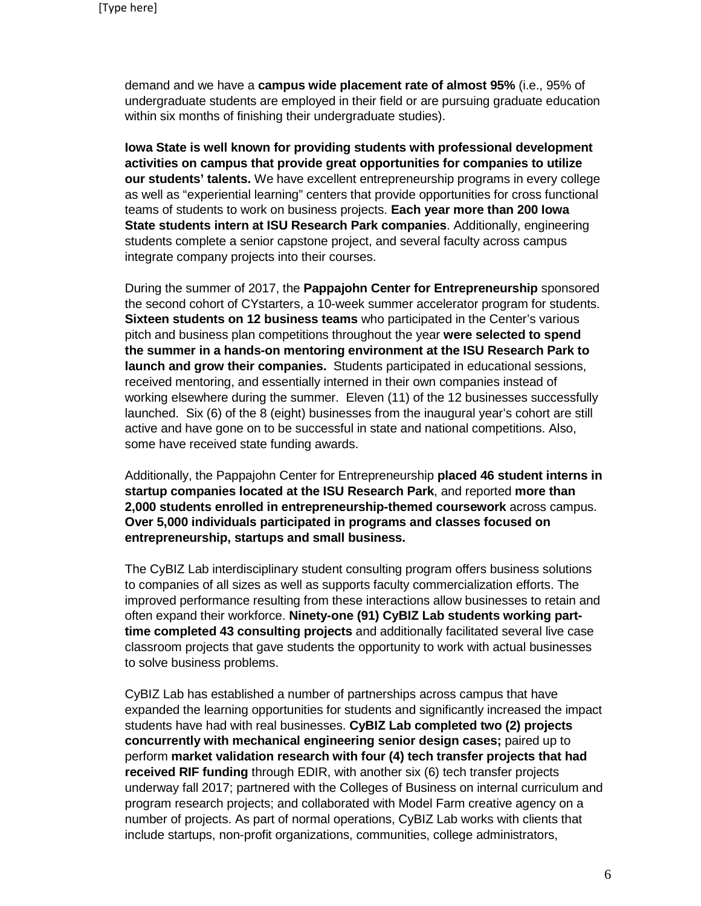demand and we have a **campus wide placement rate of almost 95%** (i.e., 95% of undergraduate students are employed in their field or are pursuing graduate education within six months of finishing their undergraduate studies).

**Iowa State is well known for providing students with professional development activities on campus that provide great opportunities for companies to utilize our students' talents.** We have excellent entrepreneurship programs in every college as well as "experiential learning" centers that provide opportunities for cross functional teams of students to work on business projects. **Each year more than 200 Iowa State students intern at ISU Research Park companies**. Additionally, engineering students complete a senior capstone project, and several faculty across campus integrate company projects into their courses.

During the summer of 2017, the **Pappajohn Center for Entrepreneurship** sponsored the second cohort of CYstarters, a 10-week summer accelerator program for students. **Sixteen students on 12 business teams** who participated in the Center's various pitch and business plan competitions throughout the year **were selected to spend the summer in a hands-on mentoring environment at the ISU Research Park to launch and grow their companies.** Students participated in educational sessions, received mentoring, and essentially interned in their own companies instead of working elsewhere during the summer. Eleven (11) of the 12 businesses successfully launched. Six (6) of the 8 (eight) businesses from the inaugural year's cohort are still active and have gone on to be successful in state and national competitions. Also, some have received state funding awards.

Additionally, the Pappajohn Center for Entrepreneurship **placed 46 student interns in startup companies located at the ISU Research Park**, and reported **more than 2,000 students enrolled in entrepreneurship-themed coursework** across campus. **Over 5,000 individuals participated in programs and classes focused on entrepreneurship, startups and small business.** 

The CyBIZ Lab interdisciplinary student consulting program offers business solutions to companies of all sizes as well as supports faculty commercialization efforts. The improved performance resulting from these interactions allow businesses to retain and often expand their workforce. **Ninety-one (91) CyBIZ Lab students working parttime completed 43 consulting projects** and additionally facilitated several live case classroom projects that gave students the opportunity to work with actual businesses to solve business problems.

CyBIZ Lab has established a number of partnerships across campus that have expanded the learning opportunities for students and significantly increased the impact students have had with real businesses. **CyBIZ Lab completed two (2) projects concurrently with mechanical engineering senior design cases;** paired up to perform **market validation research with four (4) tech transfer projects that had received RIF funding** through EDIR, with another six (6) tech transfer projects underway fall 2017; partnered with the Colleges of Business on internal curriculum and program research projects; and collaborated with Model Farm creative agency on a number of projects. As part of normal operations, CyBIZ Lab works with clients that include startups, non-profit organizations, communities, college administrators,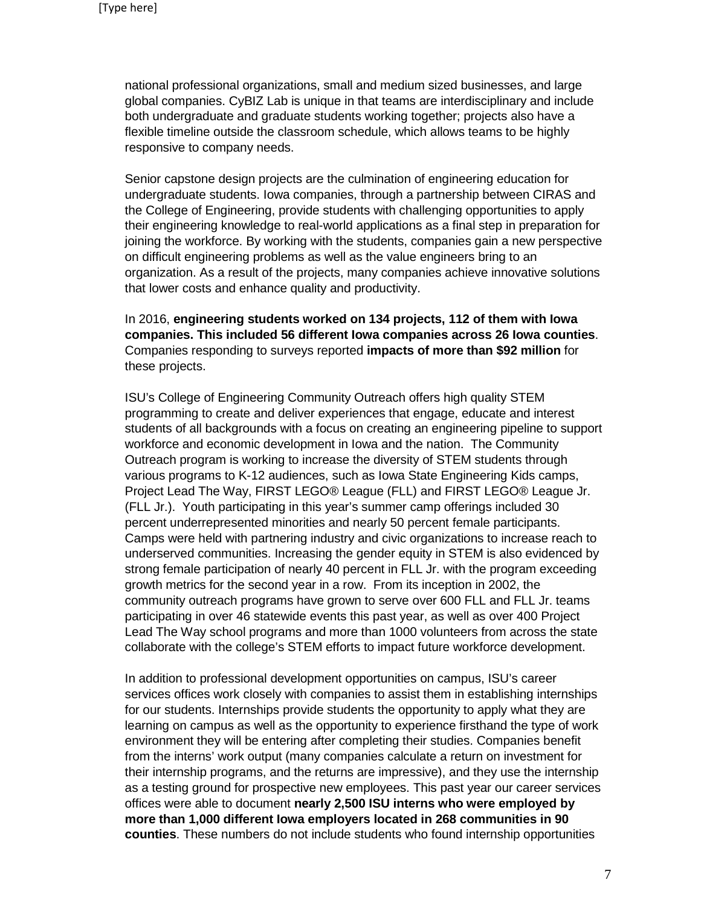national professional organizations, small and medium sized businesses, and large global companies. CyBIZ Lab is unique in that teams are interdisciplinary and include both undergraduate and graduate students working together; projects also have a flexible timeline outside the classroom schedule, which allows teams to be highly responsive to company needs.

Senior capstone design projects are the culmination of engineering education for undergraduate students. Iowa companies, through a partnership between CIRAS and the College of Engineering, provide students with challenging opportunities to apply their engineering knowledge to real-world applications as a final step in preparation for joining the workforce. By working with the students, companies gain a new perspective on difficult engineering problems as well as the value engineers bring to an organization. As a result of the projects, many companies achieve innovative solutions that lower costs and enhance quality and productivity.

In 2016, **engineering students worked on 134 projects, 112 of them with Iowa companies. This included 56 different Iowa companies across 26 Iowa counties**. Companies responding to surveys reported **impacts of more than \$92 million** for these projects.

ISU's College of Engineering Community Outreach offers high quality STEM programming to create and deliver experiences that engage, educate and interest students of all backgrounds with a focus on creating an engineering pipeline to support workforce and economic development in Iowa and the nation. The Community Outreach program is working to increase the diversity of STEM students through various programs to K-12 audiences, such as Iowa State Engineering Kids camps, Project Lead The Way, FIRST LEGO® League (FLL) and FIRST LEGO® League Jr. (FLL Jr.). Youth participating in this year's summer camp offerings included 30 percent underrepresented minorities and nearly 50 percent female participants. Camps were held with partnering industry and civic organizations to increase reach to underserved communities. Increasing the gender equity in STEM is also evidenced by strong female participation of nearly 40 percent in FLL Jr. with the program exceeding growth metrics for the second year in a row. From its inception in 2002, the community outreach programs have grown to serve over 600 FLL and FLL Jr. teams participating in over 46 statewide events this past year, as well as over 400 Project Lead The Way school programs and more than 1000 volunteers from across the state collaborate with the college's STEM efforts to impact future workforce development.

In addition to professional development opportunities on campus, ISU's career services offices work closely with companies to assist them in establishing internships for our students. Internships provide students the opportunity to apply what they are learning on campus as well as the opportunity to experience firsthand the type of work environment they will be entering after completing their studies. Companies benefit from the interns' work output (many companies calculate a return on investment for their internship programs, and the returns are impressive), and they use the internship as a testing ground for prospective new employees. This past year our career services offices were able to document **nearly 2,500 ISU interns who were employed by more than 1,000 different Iowa employers located in 268 communities in 90 counties**. These numbers do not include students who found internship opportunities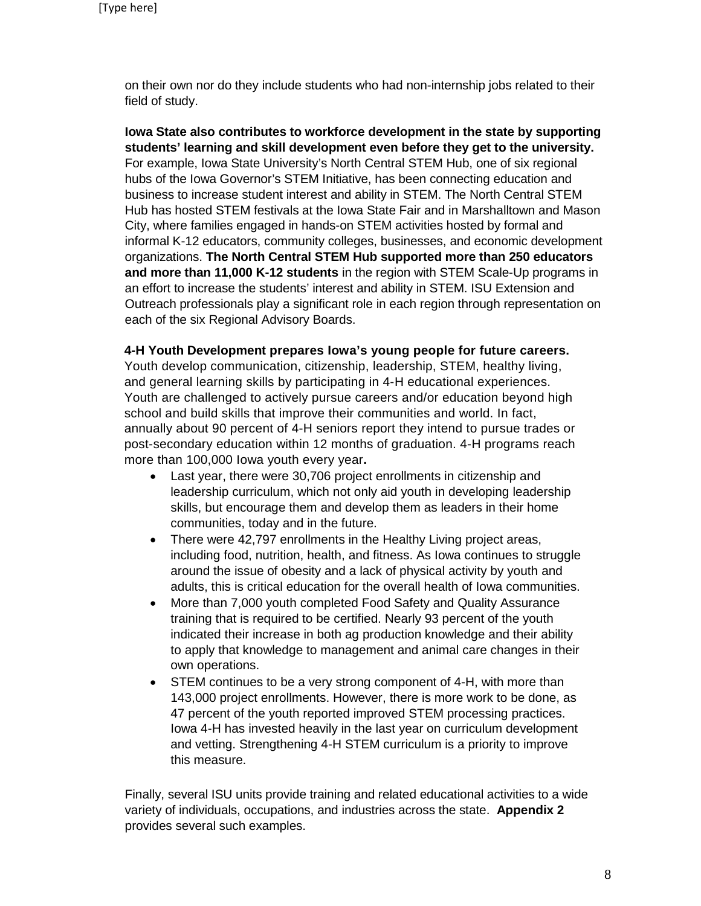on their own nor do they include students who had non-internship jobs related to their field of study.

**Iowa State also contributes to workforce development in the state by supporting students' learning and skill development even before they get to the university.** For example, Iowa State University's North Central STEM Hub, one of six regional hubs of the Iowa Governor's STEM Initiative, has been connecting education and business to increase student interest and ability in STEM. The North Central STEM Hub has hosted STEM festivals at the Iowa State Fair and in Marshalltown and Mason City, where families engaged in hands-on STEM activities hosted by formal and informal K-12 educators, community colleges, businesses, and economic development organizations. **The North Central STEM Hub supported more than 250 educators and more than 11,000 K-12 students** in the region with STEM Scale-Up programs in an effort to increase the students' interest and ability in STEM. ISU Extension and Outreach professionals play a significant role in each region through representation on each of the six Regional Advisory Boards.

#### **4-H Youth Development prepares Iowa's young people for future careers.**

Youth develop communication, citizenship, leadership, STEM, healthy living, and general learning skills by participating in 4-H educational experiences. Youth are challenged to actively pursue careers and/or education beyond high school and build skills that improve their communities and world. In fact, annually about 90 percent of 4-H seniors report they intend to pursue trades or post-secondary education within 12 months of graduation. 4-H programs reach more than 100,000 Iowa youth every year**.**

- Last year, there were 30,706 project enrollments in citizenship and leadership curriculum, which not only aid youth in developing leadership skills, but encourage them and develop them as leaders in their home communities, today and in the future.
- There were 42,797 enrollments in the Healthy Living project areas, including food, nutrition, health, and fitness. As Iowa continues to struggle around the issue of obesity and a lack of physical activity by youth and adults, this is critical education for the overall health of Iowa communities.
- More than 7,000 youth completed Food Safety and Quality Assurance training that is required to be certified. Nearly 93 percent of the youth indicated their increase in both ag production knowledge and their ability to apply that knowledge to management and animal care changes in their own operations.
- STEM continues to be a very strong component of 4-H, with more than 143,000 project enrollments. However, there is more work to be done, as 47 percent of the youth reported improved STEM processing practices. Iowa 4-H has invested heavily in the last year on curriculum development and vetting. Strengthening 4-H STEM curriculum is a priority to improve this measure.

Finally, several ISU units provide training and related educational activities to a wide variety of individuals, occupations, and industries across the state. **Appendix 2**  provides several such examples.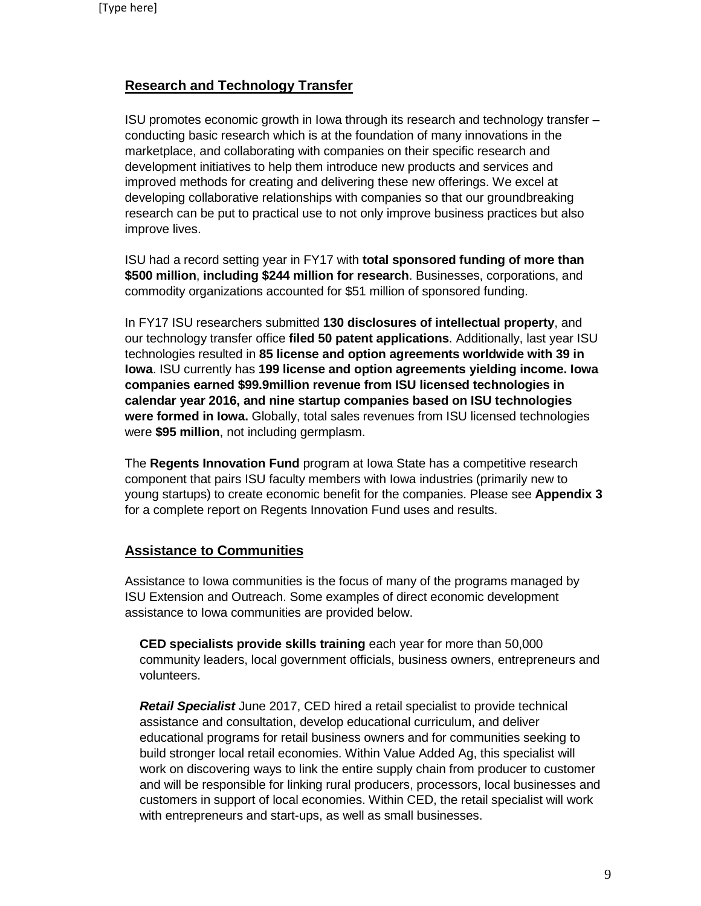## **Research and Technology Transfer**

ISU promotes economic growth in Iowa through its research and technology transfer – conducting basic research which is at the foundation of many innovations in the marketplace, and collaborating with companies on their specific research and development initiatives to help them introduce new products and services and improved methods for creating and delivering these new offerings. We excel at developing collaborative relationships with companies so that our groundbreaking research can be put to practical use to not only improve business practices but also improve lives.

ISU had a record setting year in FY17 with **total sponsored funding of more than \$500 million**, **including \$244 million for research**. Businesses, corporations, and commodity organizations accounted for \$51 million of sponsored funding.

In FY17 ISU researchers submitted **130 disclosures of intellectual property**, and our technology transfer office **filed 50 patent applications**. Additionally, last year ISU technologies resulted in **85 license and option agreements worldwide with 39 in Iowa**. ISU currently has **199 license and option agreements yielding income. Iowa companies earned \$99.9million revenue from ISU licensed technologies in calendar year 2016, and nine startup companies based on ISU technologies were formed in Iowa.** Globally, total sales revenues from ISU licensed technologies were **\$95 million**, not including germplasm.

The **Regents Innovation Fund** program at Iowa State has a competitive research component that pairs ISU faculty members with Iowa industries (primarily new to young startups) to create economic benefit for the companies. Please see **Appendix 3** for a complete report on Regents Innovation Fund uses and results.

## **Assistance to Communities**

Assistance to Iowa communities is the focus of many of the programs managed by ISU Extension and Outreach. Some examples of direct economic development assistance to Iowa communities are provided below.

**CED specialists provide skills training** each year for more than 50,000 community leaders, local government officials, business owners, entrepreneurs and volunteers.

*Retail Specialist* June 2017, CED hired a retail specialist to provide technical assistance and consultation, develop educational curriculum, and deliver educational programs for retail business owners and for communities seeking to build stronger local retail economies. Within Value Added Ag, this specialist will work on discovering ways to link the entire supply chain from producer to customer and will be responsible for linking rural producers, processors, local businesses and customers in support of local economies. Within CED, the retail specialist will work with entrepreneurs and start-ups, as well as small businesses.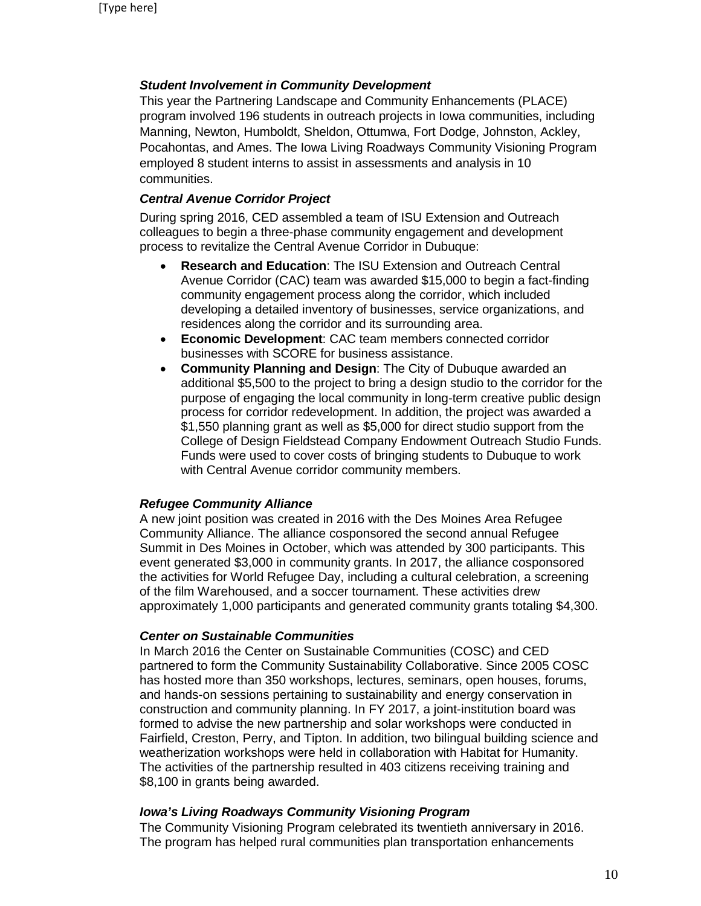## *Student Involvement in Community Development*

This year the Partnering Landscape and Community Enhancements (PLACE) program involved 196 students in outreach projects in Iowa communities, including Manning, Newton, Humboldt, Sheldon, Ottumwa, Fort Dodge, Johnston, Ackley, Pocahontas, and Ames. The Iowa Living Roadways Community Visioning Program employed 8 student interns to assist in assessments and analysis in 10 communities.

## *Central Avenue Corridor Project*

During spring 2016, CED assembled a team of ISU Extension and Outreach colleagues to begin a three-phase community engagement and development process to revitalize the Central Avenue Corridor in Dubuque:

- **Research and Education**: The ISU Extension and Outreach Central Avenue Corridor (CAC) team was awarded \$15,000 to begin a fact-finding community engagement process along the corridor, which included developing a detailed inventory of businesses, service organizations, and residences along the corridor and its surrounding area.
- **Economic Development**: CAC team members connected corridor businesses with SCORE for business assistance.
- **Community Planning and Design**: The City of Dubuque awarded an additional \$5,500 to the project to bring a design studio to the corridor for the purpose of engaging the local community in long-term creative public design process for corridor redevelopment. In addition, the project was awarded a \$1,550 planning grant as well as \$5,000 for direct studio support from the College of Design Fieldstead Company Endowment Outreach Studio Funds. Funds were used to cover costs of bringing students to Dubuque to work with Central Avenue corridor community members.

## *Refugee Community Alliance*

A new joint position was created in 2016 with the Des Moines Area Refugee Community Alliance. The alliance cosponsored the second annual Refugee Summit in Des Moines in October, which was attended by 300 participants. This event generated \$3,000 in community grants. In 2017, the alliance cosponsored the activities for World Refugee Day, including a cultural celebration, a screening of the film Warehoused, and a soccer tournament. These activities drew approximately 1,000 participants and generated community grants totaling \$4,300.

## *Center on Sustainable Communities*

In March 2016 the Center on Sustainable Communities (COSC) and CED partnered to form the Community Sustainability Collaborative. Since 2005 COSC has hosted more than 350 workshops, lectures, seminars, open houses, forums, and hands-on sessions pertaining to sustainability and energy conservation in construction and community planning. In FY 2017, a joint-institution board was formed to advise the new partnership and solar workshops were conducted in Fairfield, Creston, Perry, and Tipton. In addition, two bilingual building science and weatherization workshops were held in collaboration with Habitat for Humanity. The activities of the partnership resulted in 403 citizens receiving training and \$8,100 in grants being awarded.

## *Iowa's Living Roadways Community Visioning Program*

The Community Visioning Program celebrated its twentieth anniversary in 2016. The program has helped rural communities plan transportation enhancements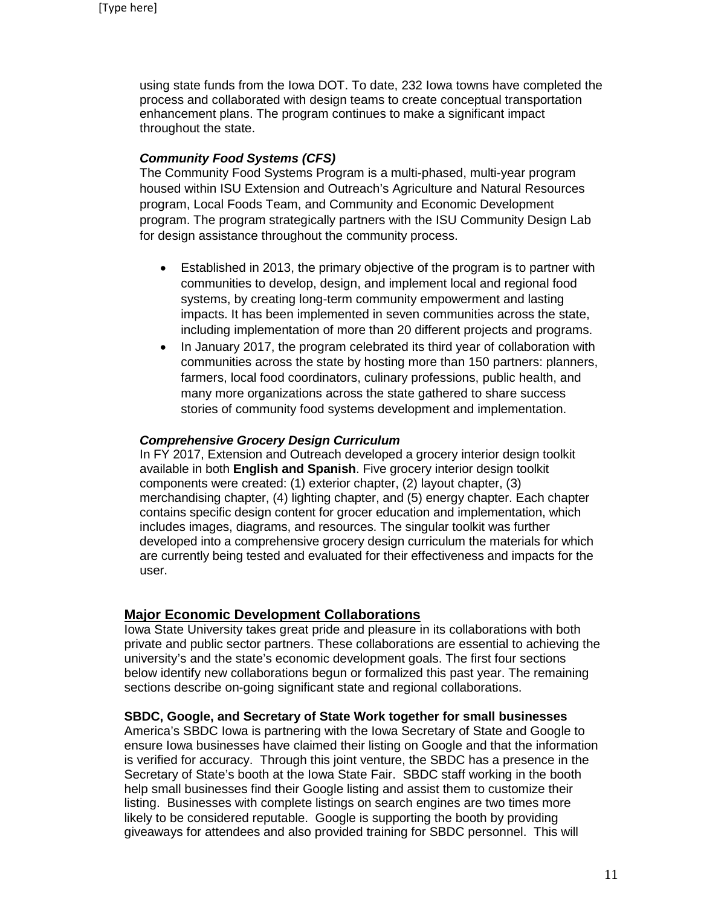using state funds from the Iowa DOT. To date, 232 Iowa towns have completed the process and collaborated with design teams to create conceptual transportation enhancement plans. The program continues to make a significant impact throughout the state.

#### *Community Food Systems (CFS)*

The Community Food Systems Program is a multi-phased, multi-year program housed within ISU Extension and Outreach's Agriculture and Natural Resources program, Local Foods Team, and Community and Economic Development program. The program strategically partners with the ISU Community Design Lab for design assistance throughout the community process.

- Established in 2013, the primary objective of the program is to partner with communities to develop, design, and implement local and regional food systems, by creating long-term community empowerment and lasting impacts. It has been implemented in seven communities across the state, including implementation of more than 20 different projects and programs.
- In January 2017, the program celebrated its third year of collaboration with communities across the state by hosting more than 150 partners: planners, farmers, local food coordinators, culinary professions, public health, and many more organizations across the state gathered to share success stories of community food systems development and implementation.

#### *Comprehensive Grocery Design Curriculum*

In FY 2017, Extension and Outreach developed a grocery interior design toolkit available in both **English and Spanish**. Five grocery interior design toolkit components were created: (1) exterior chapter, (2) layout chapter, (3) merchandising chapter, (4) lighting chapter, and (5) energy chapter. Each chapter contains specific design content for grocer education and implementation, which includes images, diagrams, and resources. The singular toolkit was further developed into a comprehensive grocery design curriculum the materials for which are currently being tested and evaluated for their effectiveness and impacts for the user.

## **Major Economic Development Collaborations**

Iowa State University takes great pride and pleasure in its collaborations with both private and public sector partners. These collaborations are essential to achieving the university's and the state's economic development goals. The first four sections below identify new collaborations begun or formalized this past year. The remaining sections describe on-going significant state and regional collaborations.

#### **SBDC, Google, and Secretary of State Work together for small businesses**

America's SBDC Iowa is partnering with the Iowa Secretary of State and Google to ensure Iowa businesses have claimed their listing on Google and that the information is verified for accuracy. Through this joint venture, the SBDC has a presence in the Secretary of State's booth at the Iowa State Fair. SBDC staff working in the booth help small businesses find their Google listing and assist them to customize their listing. Businesses with complete listings on search engines are two times more likely to be considered reputable. Google is supporting the booth by providing giveaways for attendees and also provided training for SBDC personnel. This will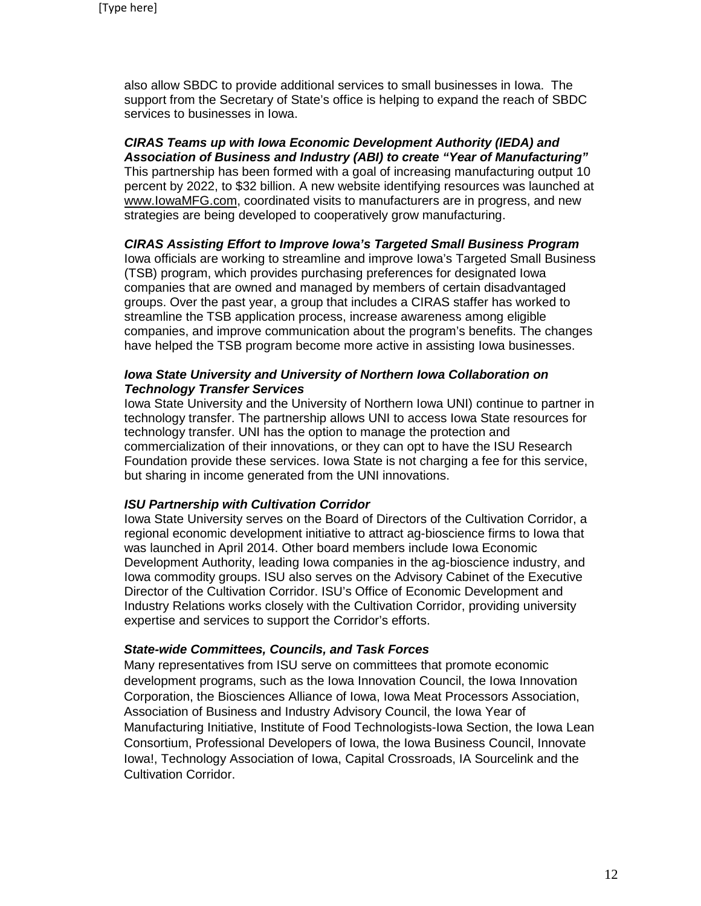also allow SBDC to provide additional services to small businesses in Iowa. The support from the Secretary of State's office is helping to expand the reach of SBDC services to businesses in Iowa.

*CIRAS Teams up with Iowa Economic Development Authority (IEDA) and Association of Business and Industry (ABI) to create "Year of Manufacturing"* This partnership has been formed with a goal of increasing manufacturing output 10 percent by 2022, to \$32 billion. A new website identifying resources was launched at [www.IowaMFG.com,](http://www.iowamfg.com/) coordinated visits to manufacturers are in progress, and new strategies are being developed to cooperatively grow manufacturing.

#### *CIRAS Assisting Effort to Improve Iowa's Targeted Small Business Program*

Iowa officials are working to streamline and improve Iowa's Targeted Small Business (TSB) program, which provides purchasing preferences for designated Iowa companies that are owned and managed by members of certain disadvantaged groups. Over the past year, a group that includes a CIRAS staffer has worked to streamline the TSB application process, increase awareness among eligible companies, and improve communication about the program's benefits. The changes have helped the TSB program become more active in assisting Iowa businesses.

#### *Iowa State University and University of Northern Iowa Collaboration on Technology Transfer Services*

Iowa State University and the University of Northern Iowa UNI) continue to partner in technology transfer. The partnership allows UNI to access Iowa State resources for technology transfer. UNI has the option to manage the protection and commercialization of their innovations, or they can opt to have the ISU Research Foundation provide these services. Iowa State is not charging a fee for this service, but sharing in income generated from the UNI innovations.

#### *ISU Partnership with Cultivation Corridor*

Iowa State University serves on the Board of Directors of the Cultivation Corridor, a regional economic development initiative to attract ag-bioscience firms to Iowa that was launched in April 2014. Other board members include Iowa Economic Development Authority, leading Iowa companies in the ag-bioscience industry, and Iowa commodity groups. ISU also serves on the Advisory Cabinet of the Executive Director of the Cultivation Corridor. ISU's Office of Economic Development and Industry Relations works closely with the Cultivation Corridor, providing university expertise and services to support the Corridor's efforts.

## *State-wide Committees, Councils, and Task Forces*

Many representatives from ISU serve on committees that promote economic development programs, such as the Iowa Innovation Council, the Iowa Innovation Corporation, the Biosciences Alliance of Iowa, Iowa Meat Processors Association, Association of Business and Industry Advisory Council, the Iowa Year of Manufacturing Initiative, Institute of Food Technologists-Iowa Section, the Iowa Lean Consortium, Professional Developers of Iowa, the Iowa Business Council, Innovate Iowa!, Technology Association of Iowa, Capital Crossroads, IA Sourcelink and the Cultivation Corridor.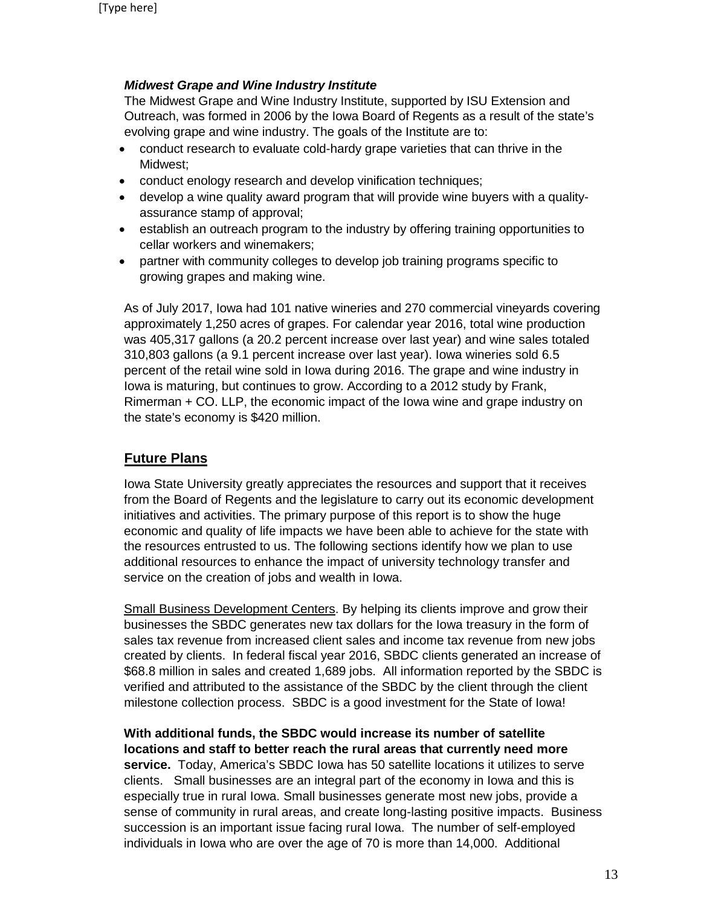## *Midwest Grape and Wine Industry Institute*

The Midwest Grape and Wine Industry Institute, supported by ISU Extension and Outreach, was formed in 2006 by the Iowa Board of Regents as a result of the state's evolving grape and wine industry. The goals of the Institute are to:

- conduct research to evaluate cold-hardy grape varieties that can thrive in the Midwest;
- conduct enology research and develop vinification techniques;
- develop a wine quality award program that will provide wine buyers with a qualityassurance stamp of approval;
- establish an outreach program to the industry by offering training opportunities to cellar workers and winemakers;
- partner with community colleges to develop job training programs specific to growing grapes and making wine.

As of July 2017, Iowa had 101 native wineries and 270 commercial vineyards covering approximately 1,250 acres of grapes. For calendar year 2016, total wine production was 405,317 gallons (a 20.2 percent increase over last year) and wine sales totaled 310,803 gallons (a 9.1 percent increase over last year). Iowa wineries sold 6.5 percent of the retail wine sold in Iowa during 2016. The grape and wine industry in Iowa is maturing, but continues to grow. According to a 2012 study by Frank, Rimerman + CO. LLP, the economic impact of the Iowa wine and grape industry on the state's economy is \$420 million.

## **Future Plans**

Iowa State University greatly appreciates the resources and support that it receives from the Board of Regents and the legislature to carry out its economic development initiatives and activities. The primary purpose of this report is to show the huge economic and quality of life impacts we have been able to achieve for the state with the resources entrusted to us. The following sections identify how we plan to use additional resources to enhance the impact of university technology transfer and service on the creation of jobs and wealth in Iowa.

Small Business Development Centers. By helping its clients improve and grow their businesses the SBDC generates new tax dollars for the Iowa treasury in the form of sales tax revenue from increased client sales and income tax revenue from new jobs created by clients. In federal fiscal year 2016, SBDC clients generated an increase of \$68.8 million in sales and created 1,689 jobs. All information reported by the SBDC is verified and attributed to the assistance of the SBDC by the client through the client milestone collection process. SBDC is a good investment for the State of Iowa!

**With additional funds, the SBDC would increase its number of satellite locations and staff to better reach the rural areas that currently need more service.** Today, America's SBDC Iowa has 50 satellite locations it utilizes to serve clients. Small businesses are an integral part of the economy in Iowa and this is especially true in rural Iowa. Small businesses generate most new jobs, provide a sense of community in rural areas, and create long-lasting positive impacts. Business succession is an important issue facing rural Iowa. The number of self-employed individuals in Iowa who are over the age of 70 is more than 14,000. Additional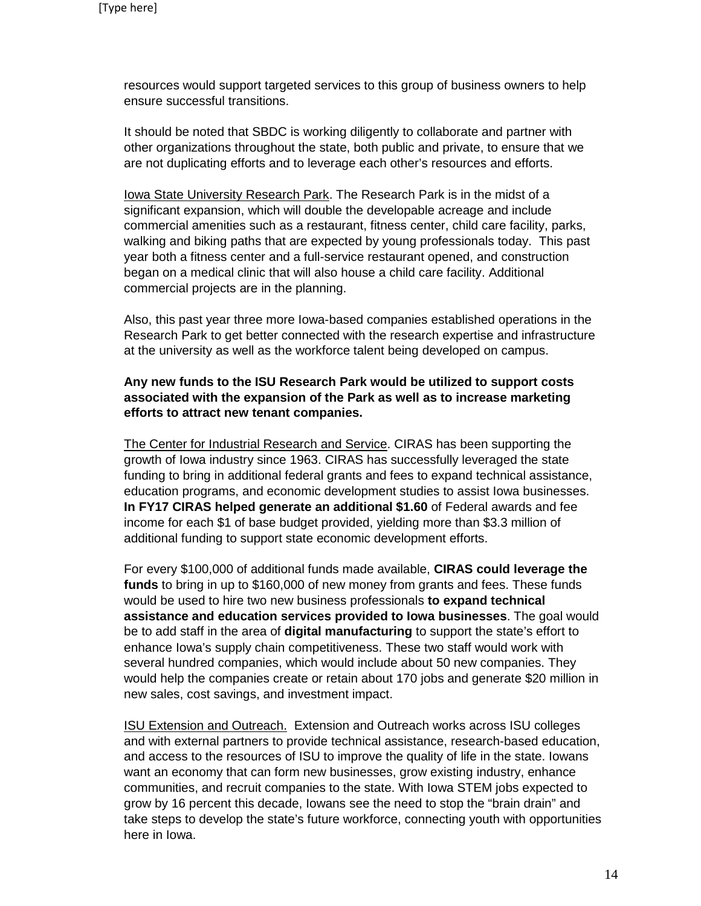resources would support targeted services to this group of business owners to help ensure successful transitions.

It should be noted that SBDC is working diligently to collaborate and partner with other organizations throughout the state, both public and private, to ensure that we are not duplicating efforts and to leverage each other's resources and efforts.

lowa State University Research Park. The Research Park is in the midst of a significant expansion, which will double the developable acreage and include commercial amenities such as a restaurant, fitness center, child care facility, parks, walking and biking paths that are expected by young professionals today. This past year both a fitness center and a full-service restaurant opened, and construction began on a medical clinic that will also house a child care facility. Additional commercial projects are in the planning.

Also, this past year three more Iowa-based companies established operations in the Research Park to get better connected with the research expertise and infrastructure at the university as well as the workforce talent being developed on campus.

## **Any new funds to the ISU Research Park would be utilized to support costs associated with the expansion of the Park as well as to increase marketing efforts to attract new tenant companies.**

The Center for Industrial Research and Service. CIRAS has been supporting the growth of Iowa industry since 1963. CIRAS has successfully leveraged the state funding to bring in additional federal grants and fees to expand technical assistance, education programs, and economic development studies to assist Iowa businesses. **In FY17 CIRAS helped generate an additional \$1.60** of Federal awards and fee income for each \$1 of base budget provided, yielding more than \$3.3 million of additional funding to support state economic development efforts.

For every \$100,000 of additional funds made available, **CIRAS could leverage the funds** to bring in up to \$160,000 of new money from grants and fees. These funds would be used to hire two new business professionals **to expand technical assistance and education services provided to Iowa businesses**. The goal would be to add staff in the area of **digital manufacturing** to support the state's effort to enhance Iowa's supply chain competitiveness. These two staff would work with several hundred companies, which would include about 50 new companies. They would help the companies create or retain about 170 jobs and generate \$20 million in new sales, cost savings, and investment impact.

ISU Extension and Outreach. Extension and Outreach works across ISU colleges and with external partners to provide technical assistance, research-based education, and access to the resources of ISU to improve the quality of life in the state. Iowans want an economy that can form new businesses, grow existing industry, enhance communities, and recruit companies to the state. With Iowa STEM jobs expected to grow by 16 percent this decade, Iowans see the need to stop the "brain drain" and take steps to develop the state's future workforce, connecting youth with opportunities here in Iowa.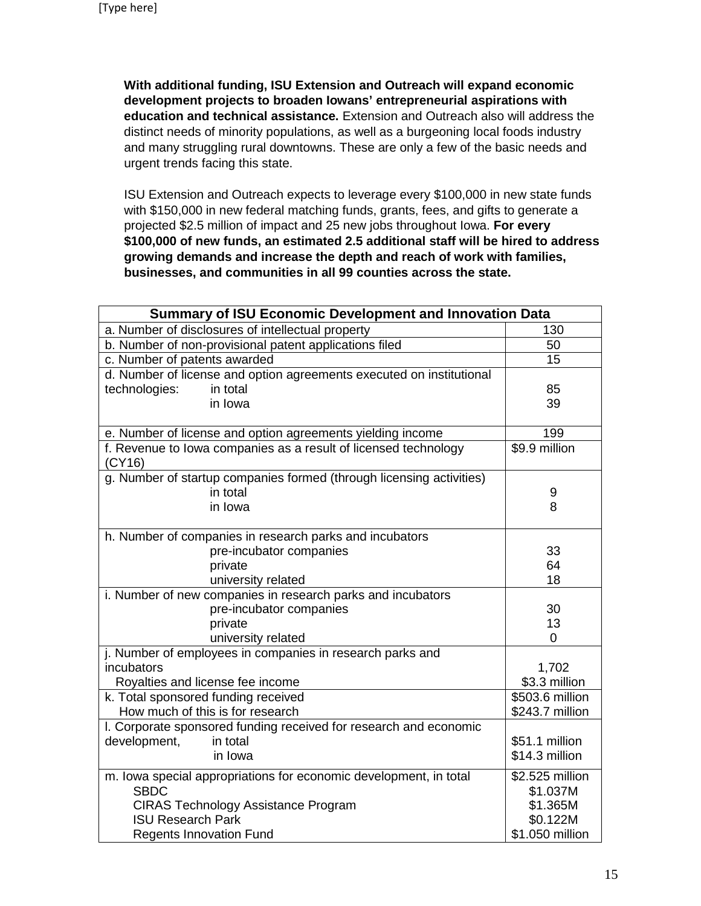**With additional funding, ISU Extension and Outreach will expand economic development projects to broaden Iowans' entrepreneurial aspirations with education and technical assistance.** Extension and Outreach also will address the distinct needs of minority populations, as well as a burgeoning local foods industry and many struggling rural downtowns. These are only a few of the basic needs and urgent trends facing this state.

ISU Extension and Outreach expects to leverage every \$100,000 in new state funds with \$150,000 in new federal matching funds, grants, fees, and gifts to generate a projected \$2.5 million of impact and 25 new jobs throughout Iowa. **For every \$100,000 of new funds, an estimated 2.5 additional staff will be hired to address growing demands and increase the depth and reach of work with families, businesses, and communities in all 99 counties across the state.**

| <b>Summary of ISU Economic Development and Innovation Data</b>       |                 |  |  |
|----------------------------------------------------------------------|-----------------|--|--|
| a. Number of disclosures of intellectual property                    | 130             |  |  |
| b. Number of non-provisional patent applications filed               | 50              |  |  |
| c. Number of patents awarded                                         | 15              |  |  |
| d. Number of license and option agreements executed on institutional |                 |  |  |
| technologies:<br>in total                                            | 85              |  |  |
| in Iowa                                                              | 39              |  |  |
|                                                                      |                 |  |  |
| e. Number of license and option agreements yielding income           | 199             |  |  |
| f. Revenue to lowa companies as a result of licensed technology      | \$9.9 million   |  |  |
| (CY16)                                                               |                 |  |  |
| g. Number of startup companies formed (through licensing activities) |                 |  |  |
| in total                                                             | 9               |  |  |
| in Iowa                                                              | 8               |  |  |
| h. Number of companies in research parks and incubators              |                 |  |  |
| pre-incubator companies                                              | 33              |  |  |
| private                                                              | 64              |  |  |
| university related                                                   | 18              |  |  |
| i. Number of new companies in research parks and incubators          |                 |  |  |
| pre-incubator companies                                              | 30              |  |  |
| private                                                              | 13              |  |  |
| university related                                                   | $\overline{0}$  |  |  |
| j. Number of employees in companies in research parks and            |                 |  |  |
| incubators                                                           | 1,702           |  |  |
| Royalties and license fee income                                     | \$3.3 million   |  |  |
| k. Total sponsored funding received                                  | \$503.6 million |  |  |
| How much of this is for research                                     | \$243.7 million |  |  |
| I. Corporate sponsored funding received for research and economic    |                 |  |  |
| development,<br>in total                                             | \$51.1 million  |  |  |
| in Iowa                                                              | \$14.3 million  |  |  |
| m. Iowa special appropriations for economic development, in total    | \$2.525 million |  |  |
| <b>SBDC</b>                                                          | \$1.037M        |  |  |
| <b>CIRAS Technology Assistance Program</b>                           | \$1.365M        |  |  |
| <b>ISU Research Park</b>                                             | \$0.122M        |  |  |
| <b>Regents Innovation Fund</b>                                       | \$1.050 million |  |  |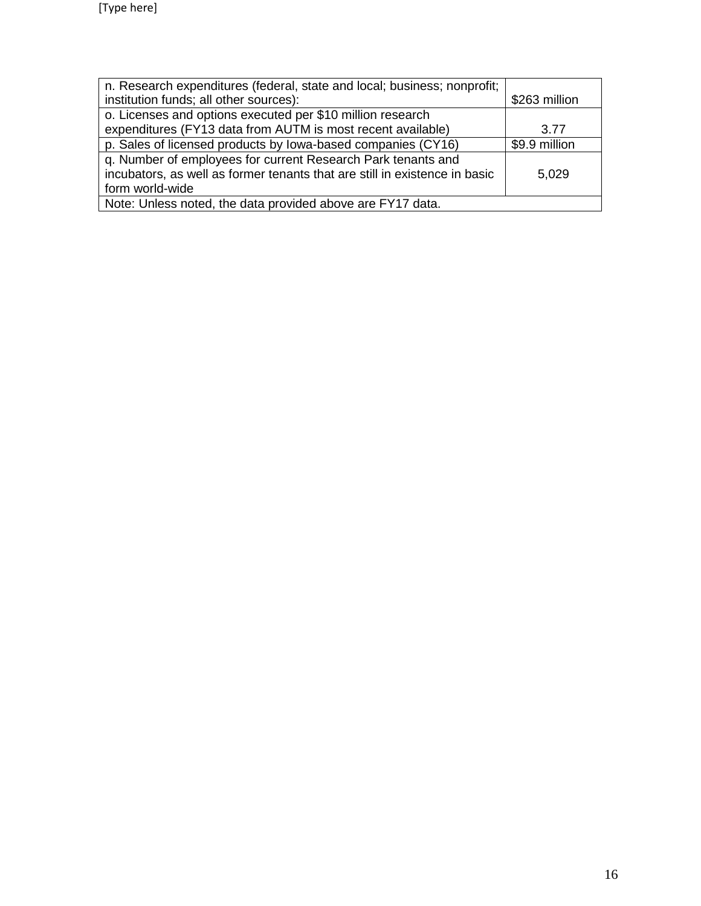| n. Research expenditures (federal, state and local; business; nonprofit;   |               |  |
|----------------------------------------------------------------------------|---------------|--|
| institution funds; all other sources):                                     | \$263 million |  |
| o. Licenses and options executed per \$10 million research                 |               |  |
| expenditures (FY13 data from AUTM is most recent available)                | 3.77          |  |
| p. Sales of licensed products by Iowa-based companies (CY16)               | \$9.9 million |  |
| q. Number of employees for current Research Park tenants and               |               |  |
| incubators, as well as former tenants that are still in existence in basic | 5,029         |  |
| form world-wide                                                            |               |  |
| Note: Unless noted, the data provided above are FY17 data.                 |               |  |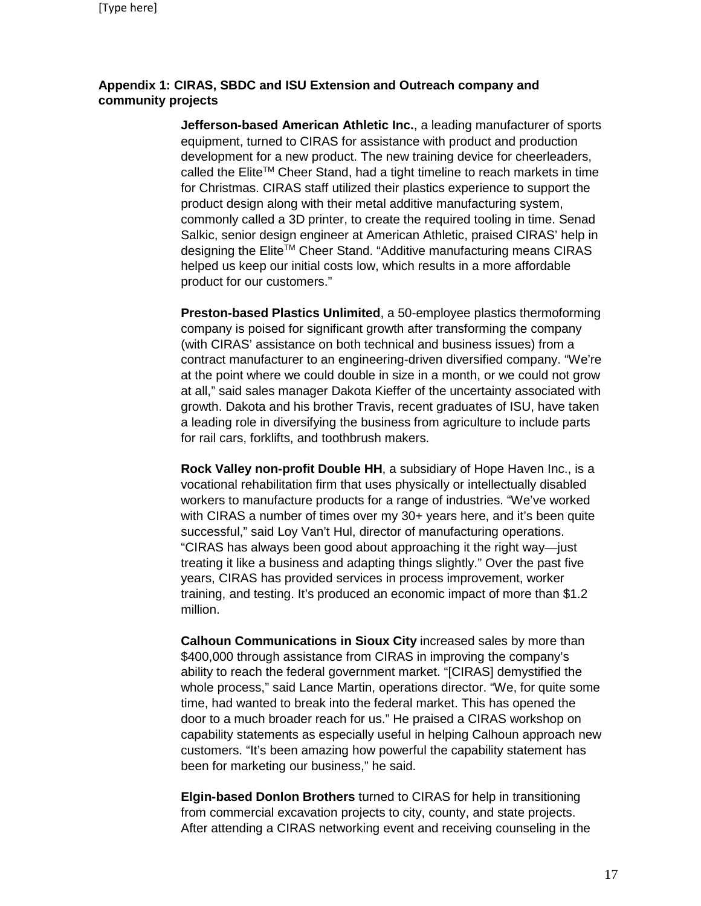## **Appendix 1: CIRAS, SBDC and ISU Extension and Outreach company and community projects**

**Jefferson-based American Athletic Inc.**, a leading manufacturer of sports equipment, turned to CIRAS for assistance with product and production development for a new product. The new training device for cheerleaders, called the Elite™ Cheer Stand, had a tight timeline to reach markets in time for Christmas. CIRAS staff utilized their plastics experience to support the product design along with their metal additive manufacturing system, commonly called a 3D printer, to create the required tooling in time. Senad Salkic, senior design engineer at American Athletic, praised CIRAS' help in designing the Elite<sup>™</sup> Cheer Stand. "Additive manufacturing means CIRAS helped us keep our initial costs low, which results in a more affordable product for our customers."

**Preston-based Plastics Unlimited**, a 50-employee plastics thermoforming company is poised for significant growth after transforming the company (with CIRAS' assistance on both technical and business issues) from a contract manufacturer to an engineering-driven diversified company. "We're at the point where we could double in size in a month, or we could not grow at all," said sales manager Dakota Kieffer of the uncertainty associated with growth. Dakota and his brother Travis, recent graduates of ISU, have taken a leading role in diversifying the business from agriculture to include parts for rail cars, forklifts, and toothbrush makers.

**Rock Valley non-profit Double HH**, a subsidiary of Hope Haven Inc., is a vocational rehabilitation firm that uses physically or intellectually disabled workers to manufacture products for a range of industries. "We've worked with CIRAS a number of times over my 30+ years here, and it's been quite successful," said Loy Van't Hul, director of manufacturing operations. "CIRAS has always been good about approaching it the right way—just treating it like a business and adapting things slightly." Over the past five years, CIRAS has provided services in process improvement, worker training, and testing. It's produced an economic impact of more than \$1.2 million.

**Calhoun Communications in Sioux City** increased sales by more than \$400,000 through assistance from CIRAS in improving the company's ability to reach the federal government market. "[CIRAS] demystified the whole process," said Lance Martin, operations director. "We, for quite some time, had wanted to break into the federal market. This has opened the door to a much broader reach for us." He praised a CIRAS workshop on capability statements as especially useful in helping Calhoun approach new customers. "It's been amazing how powerful the capability statement has been for marketing our business," he said.

**Elgin-based Donlon Brothers** turned to CIRAS for help in transitioning from commercial excavation projects to city, county, and state projects. After attending a CIRAS networking event and receiving counseling in the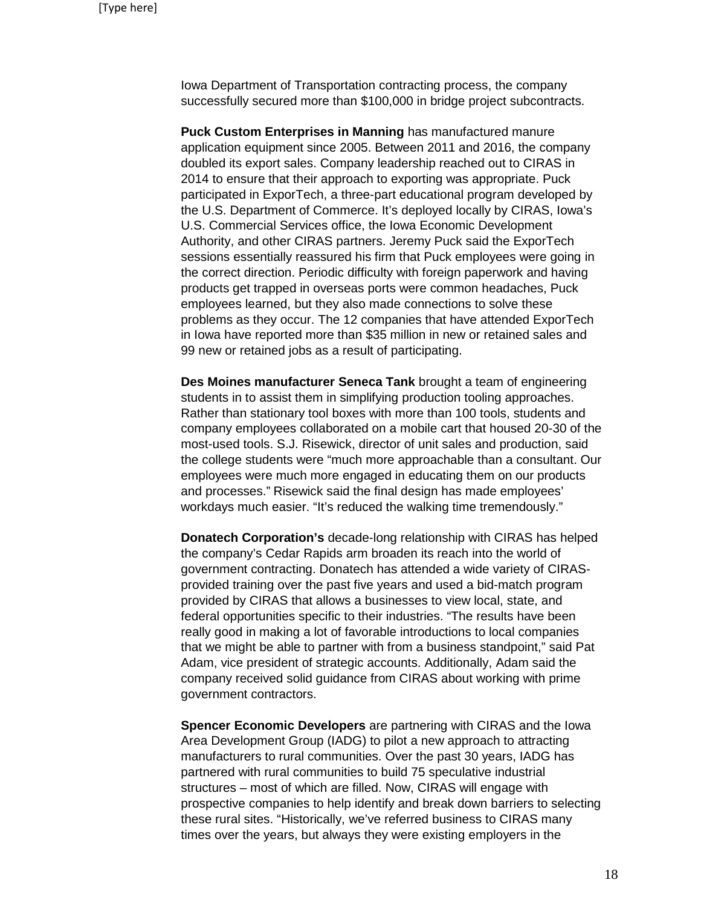Iowa Department of Transportation contracting process, the company successfully secured more than \$100,000 in bridge project subcontracts.

**Puck Custom Enterprises in Manning** has manufactured manure application equipment since 2005. Between 2011 and 2016, the company doubled its export sales. Company leadership reached out to CIRAS in 2014 to ensure that their approach to exporting was appropriate. Puck participated in ExporTech, a three-part educational program developed by the U.S. Department of Commerce. It's deployed locally by CIRAS, Iowa's U.S. Commercial Services office, the Iowa Economic Development Authority, and other CIRAS partners. Jeremy Puck said the ExporTech sessions essentially reassured his firm that Puck employees were going in the correct direction. Periodic difficulty with foreign paperwork and having products get trapped in overseas ports were common headaches, Puck employees learned, but they also made connections to solve these problems as they occur. The 12 companies that have attended ExporTech in Iowa have reported more than \$35 million in new or retained sales and 99 new or retained jobs as a result of participating.

**Des Moines manufacturer Seneca Tank** brought a team of engineering students in to assist them in simplifying production tooling approaches. Rather than stationary tool boxes with more than 100 tools, students and company employees collaborated on a mobile cart that housed 20-30 of the most-used tools. S.J. Risewick, director of unit sales and production, said the college students were "much more approachable than a consultant. Our employees were much more engaged in educating them on our products and processes." Risewick said the final design has made employees' workdays much easier. "It's reduced the walking time tremendously."

**Donatech Corporation's** decade-long relationship with CIRAS has helped the company's Cedar Rapids arm broaden its reach into the world of government contracting. Donatech has attended a wide variety of CIRASprovided training over the past five years and used a bid-match program provided by CIRAS that allows a businesses to view local, state, and federal opportunities specific to their industries. "The results have been really good in making a lot of favorable introductions to local companies that we might be able to partner with from a business standpoint," said Pat Adam, vice president of strategic accounts. Additionally, Adam said the company received solid guidance from CIRAS about working with prime government contractors.

**Spencer Economic Developers** are partnering with CIRAS and the Iowa Area Development Group (IADG) to pilot a new approach to attracting manufacturers to rural communities. Over the past 30 years, IADG has partnered with rural communities to build 75 speculative industrial structures – most of which are filled. Now, CIRAS will engage with prospective companies to help identify and break down barriers to selecting these rural sites. "Historically, we've referred business to CIRAS many times over the years, but always they were existing employers in the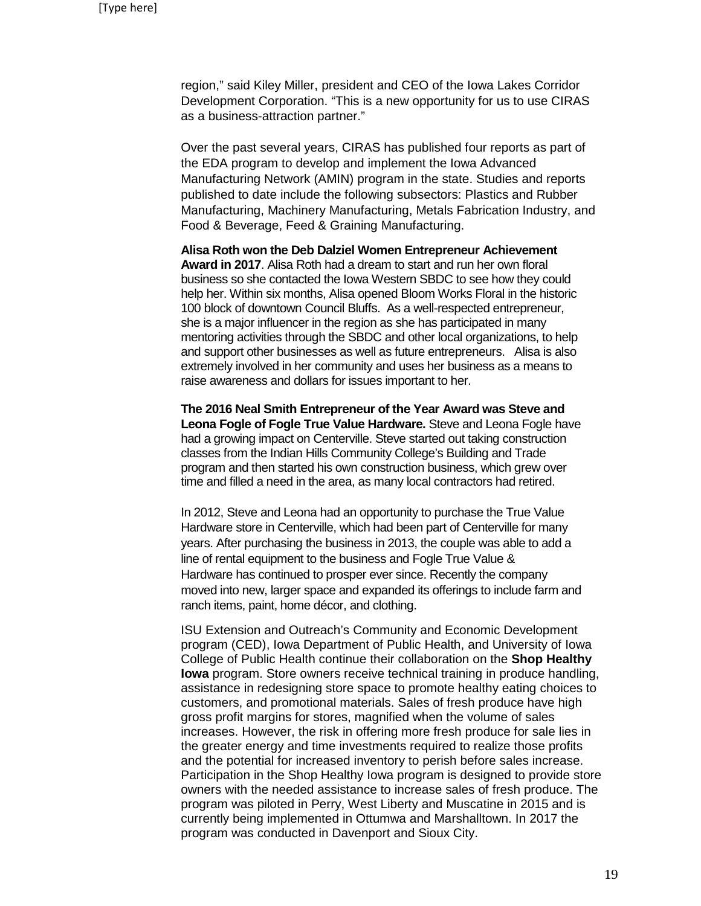region," said Kiley Miller, president and CEO of the Iowa Lakes Corridor Development Corporation. "This is a new opportunity for us to use CIRAS as a business-attraction partner."

Over the past several years, CIRAS has published four reports as part of the EDA program to develop and implement the Iowa Advanced Manufacturing Network (AMIN) program in the state. Studies and reports published to date include the following subsectors: Plastics and Rubber Manufacturing, Machinery Manufacturing, Metals Fabrication Industry, and Food & Beverage, Feed & Graining Manufacturing.

**Alisa Roth won the Deb Dalziel Women Entrepreneur Achievement Award in 2017**. Alisa Roth had a dream to start and run her own floral business so she contacted the Iowa Western SBDC to see how they could help her. Within six months, Alisa opened Bloom Works Floral in the historic 100 block of downtown Council Bluffs. As a well-respected entrepreneur, she is a major influencer in the region as she has participated in many mentoring activities through the SBDC and other local organizations, to help and support other businesses as well as future entrepreneurs. Alisa is also extremely involved in her community and uses her business as a means to raise awareness and dollars for issues important to her.

**The 2016 Neal Smith Entrepreneur of the Year Award was Steve and Leona Fogle of Fogle True Value Hardware.** Steve and Leona Fogle have had a growing impact on Centerville. Steve started out taking construction classes from the Indian Hills Community College's Building and Trade program and then started his own construction business, which grew over time and filled a need in the area, as many local contractors had retired.

In 2012, Steve and Leona had an opportunity to purchase the True Value Hardware store in Centerville, which had been part of Centerville for many years. After purchasing the business in 2013, the couple was able to add a line of rental equipment to the business and Fogle True Value & Hardware has continued to prosper ever since. Recently the company moved into new, larger space and expanded its offerings to include farm and ranch items, paint, home décor, and clothing.

ISU Extension and Outreach's Community and Economic Development program (CED), Iowa Department of Public Health, and University of Iowa College of Public Health continue their collaboration on the **Shop Healthy Iowa** program. Store owners receive technical training in produce handling, assistance in redesigning store space to promote healthy eating choices to customers, and promotional materials. Sales of fresh produce have high gross profit margins for stores, magnified when the volume of sales increases. However, the risk in offering more fresh produce for sale lies in the greater energy and time investments required to realize those profits and the potential for increased inventory to perish before sales increase. Participation in the Shop Healthy Iowa program is designed to provide store owners with the needed assistance to increase sales of fresh produce. The program was piloted in Perry, West Liberty and Muscatine in 2015 and is currently being implemented in Ottumwa and Marshalltown. In 2017 the program was conducted in Davenport and Sioux City.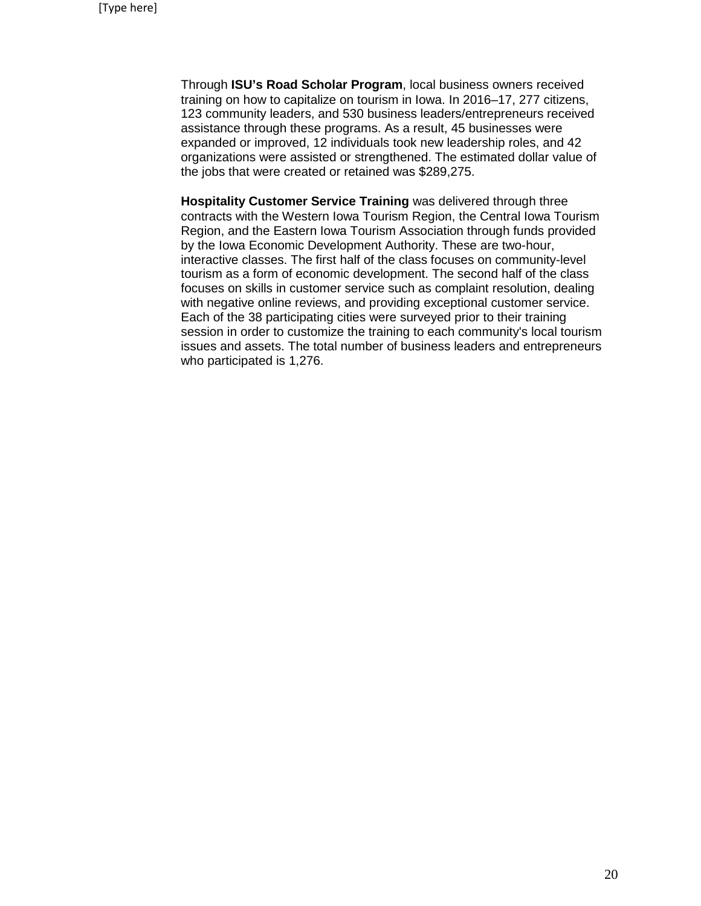Through **ISU's Road Scholar Program**, local business owners received training on how to capitalize on tourism in Iowa. In 2016–17, 277 citizens, 123 community leaders, and 530 business leaders/entrepreneurs received assistance through these programs. As a result, 45 businesses were expanded or improved, 12 individuals took new leadership roles, and 42 organizations were assisted or strengthened. The estimated dollar value of the jobs that were created or retained was \$289,275.

**Hospitality Customer Service Training** was delivered through three contracts with the Western Iowa Tourism Region, the Central Iowa Tourism Region, and the Eastern Iowa Tourism Association through funds provided by the Iowa Economic Development Authority. These are two-hour, interactive classes. The first half of the class focuses on community-level tourism as a form of economic development. The second half of the class focuses on skills in customer service such as complaint resolution, dealing with negative online reviews, and providing exceptional customer service. Each of the 38 participating cities were surveyed prior to their training session in order to customize the training to each community's local tourism issues and assets. The total number of business leaders and entrepreneurs who participated is 1,276.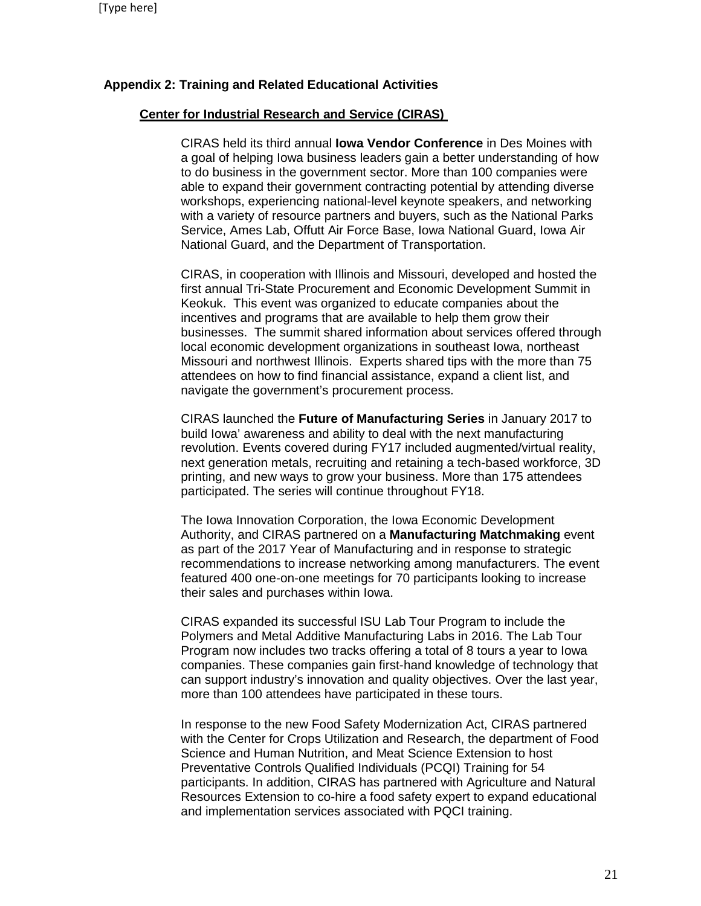#### **Appendix 2: Training and Related Educational Activities**

#### **Center for Industrial Research and Service (CIRAS)**

CIRAS held its third annual **Iowa Vendor Conference** in Des Moines with a goal of helping Iowa business leaders gain a better understanding of how to do business in the government sector. More than 100 companies were able to expand their government contracting potential by attending diverse workshops, experiencing national-level keynote speakers, and networking with a variety of resource partners and buyers, such as the National Parks Service, Ames Lab, Offutt Air Force Base, Iowa National Guard, Iowa Air National Guard, and the Department of Transportation.

CIRAS, in cooperation with Illinois and Missouri, developed and hosted the first annual Tri-State Procurement and Economic Development Summit in Keokuk. This event was organized to educate companies about the incentives and programs that are available to help them grow their businesses. The summit shared information about services offered through local economic development organizations in southeast Iowa, northeast Missouri and northwest Illinois. Experts shared tips with the more than 75 attendees on how to find financial assistance, expand a client list, and navigate the government's procurement process.

CIRAS launched the **Future of Manufacturing Series** in January 2017 to build Iowa' awareness and ability to deal with the next manufacturing revolution. Events covered during FY17 included augmented/virtual reality, next generation metals, recruiting and retaining a tech-based workforce, 3D printing, and new ways to grow your business. More than 175 attendees participated. The series will continue throughout FY18.

The Iowa Innovation Corporation, the Iowa Economic Development Authority, and CIRAS partnered on a **Manufacturing Matchmaking** event as part of the 2017 Year of Manufacturing and in response to strategic recommendations to increase networking among manufacturers. The event featured 400 one-on-one meetings for 70 participants looking to increase their sales and purchases within Iowa.

CIRAS expanded its successful ISU Lab Tour Program to include the Polymers and Metal Additive Manufacturing Labs in 2016. The Lab Tour Program now includes two tracks offering a total of 8 tours a year to Iowa companies. These companies gain first-hand knowledge of technology that can support industry's innovation and quality objectives. Over the last year, more than 100 attendees have participated in these tours.

In response to the new Food Safety Modernization Act, CIRAS partnered with the Center for Crops Utilization and Research, the department of Food Science and Human Nutrition, and Meat Science Extension to host Preventative Controls Qualified Individuals (PCQI) Training for 54 participants. In addition, CIRAS has partnered with Agriculture and Natural Resources Extension to co-hire a food safety expert to expand educational and implementation services associated with PQCI training.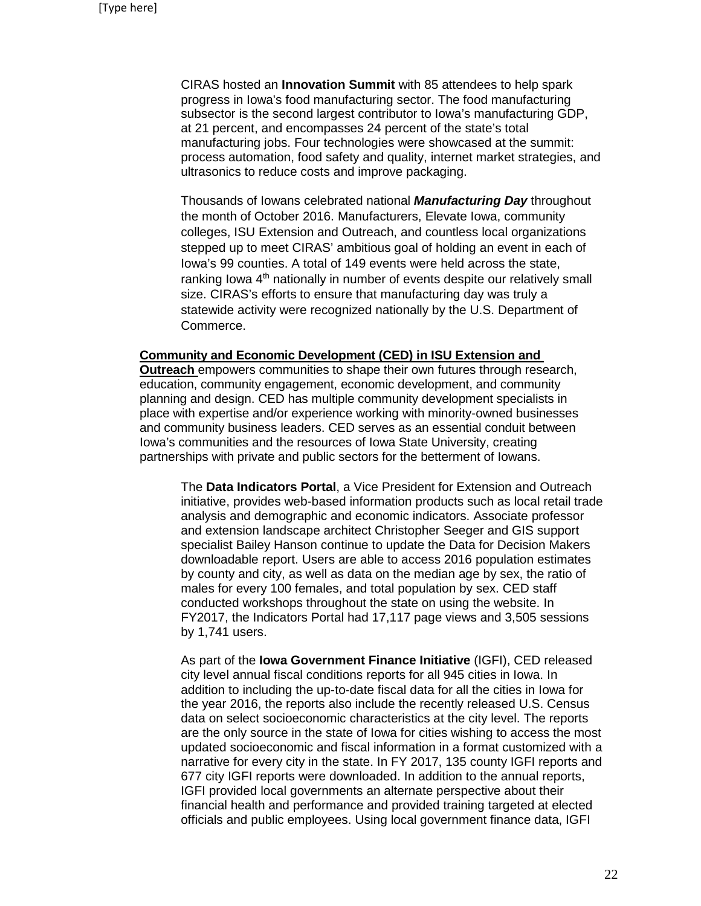CIRAS hosted an **Innovation Summit** with 85 attendees to help spark progress in Iowa's food manufacturing sector. The food manufacturing subsector is the second largest contributor to Iowa's manufacturing GDP, at 21 percent, and encompasses 24 percent of the state's total manufacturing jobs. Four technologies were showcased at the summit: process automation, food safety and quality, internet market strategies, and ultrasonics to reduce costs and improve packaging.

Thousands of Iowans celebrated national *Manufacturing Day* throughout the month of October 2016. Manufacturers, Elevate Iowa, community colleges, ISU Extension and Outreach, and countless local organizations stepped up to meet CIRAS' ambitious goal of holding an event in each of Iowa's 99 counties. A total of 149 events were held across the state, ranking Iowa 4<sup>th</sup> nationally in number of events despite our relatively small size. CIRAS's efforts to ensure that manufacturing day was truly a statewide activity were recognized nationally by the U.S. Department of Commerce.

#### **Community and Economic Development (CED) in ISU Extension and**

**Outreach** empowers communities to shape their own futures through research, education, community engagement, economic development, and community planning and design. CED has multiple community development specialists in place with expertise and/or experience working with minority-owned businesses and community business leaders. CED serves as an essential conduit between Iowa's communities and the resources of Iowa State University, creating partnerships with private and public sectors for the betterment of Iowans.

The **Data Indicators Portal**, a Vice President for Extension and Outreach initiative, provides web-based information products such as local retail trade analysis and demographic and economic indicators. Associate professor and extension landscape architect Christopher Seeger and GIS support specialist Bailey Hanson continue to update the Data for Decision Makers downloadable report. Users are able to access 2016 population estimates by county and city, as well as data on the median age by sex, the ratio of males for every 100 females, and total population by sex. CED staff conducted workshops throughout the state on using the website. In FY2017, the Indicators Portal had 17,117 page views and 3,505 sessions by 1,741 users.

As part of the **Iowa Government Finance Initiative** (IGFI), CED released city level annual fiscal conditions reports for all 945 cities in Iowa. In addition to including the up-to-date fiscal data for all the cities in Iowa for the year 2016, the reports also include the recently released U.S. Census data on select socioeconomic characteristics at the city level. The reports are the only source in the state of Iowa for cities wishing to access the most updated socioeconomic and fiscal information in a format customized with a narrative for every city in the state. In FY 2017, 135 county IGFI reports and 677 city IGFI reports were downloaded. In addition to the annual reports, IGFI provided local governments an alternate perspective about their financial health and performance and provided training targeted at elected officials and public employees. Using local government finance data, IGFI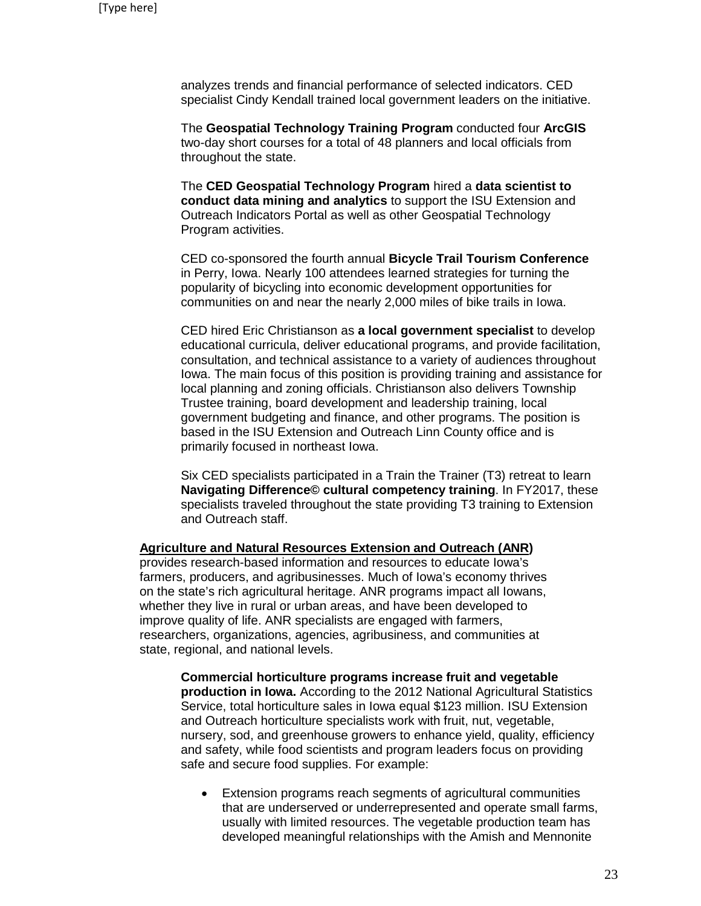analyzes trends and financial performance of selected indicators. CED specialist Cindy Kendall trained local government leaders on the initiative.

The **Geospatial Technology Training Program** conducted four **ArcGIS** two-day short courses for a total of 48 planners and local officials from throughout the state.

The **CED Geospatial Technology Program** hired a **data scientist to conduct data mining and analytics** to support the ISU Extension and Outreach Indicators Portal as well as other Geospatial Technology Program activities.

CED co-sponsored the fourth annual **Bicycle Trail Tourism Conference** in Perry, Iowa. Nearly 100 attendees learned strategies for turning the popularity of bicycling into economic development opportunities for communities on and near the nearly 2,000 miles of bike trails in Iowa.

CED hired Eric Christianson as **a local government specialist** to develop educational curricula, deliver educational programs, and provide facilitation, consultation, and technical assistance to a variety of audiences throughout Iowa. The main focus of this position is providing training and assistance for local planning and zoning officials. Christianson also delivers Township Trustee training, board development and leadership training, local government budgeting and finance, and other programs. The position is based in the ISU Extension and Outreach Linn County office and is primarily focused in northeast Iowa.

Six CED specialists participated in a Train the Trainer (T3) retreat to learn **Navigating Difference© cultural competency training**. In FY2017, these specialists traveled throughout the state providing T3 training to Extension and Outreach staff.

#### **Agriculture and Natural Resources Extension and Outreach (ANR)**

provides research-based information and resources to educate Iowa's farmers, producers, and agribusinesses. Much of Iowa's economy thrives on the state's rich agricultural heritage. ANR programs impact all Iowans, whether they live in rural or urban areas, and have been developed to improve quality of life. ANR specialists are engaged with farmers, researchers, organizations, agencies, agribusiness, and communities at state, regional, and national levels.

**Commercial horticulture programs increase fruit and vegetable production in Iowa.** According to the 2012 National Agricultural Statistics Service, total horticulture sales in Iowa equal \$123 million. ISU Extension and Outreach horticulture specialists work with fruit, nut, vegetable, nursery, sod, and greenhouse growers to enhance yield, quality, efficiency and safety, while food scientists and program leaders focus on providing safe and secure food supplies. For example:

Extension programs reach segments of agricultural communities that are underserved or underrepresented and operate small farms, usually with limited resources. The vegetable production team has developed meaningful relationships with the Amish and Mennonite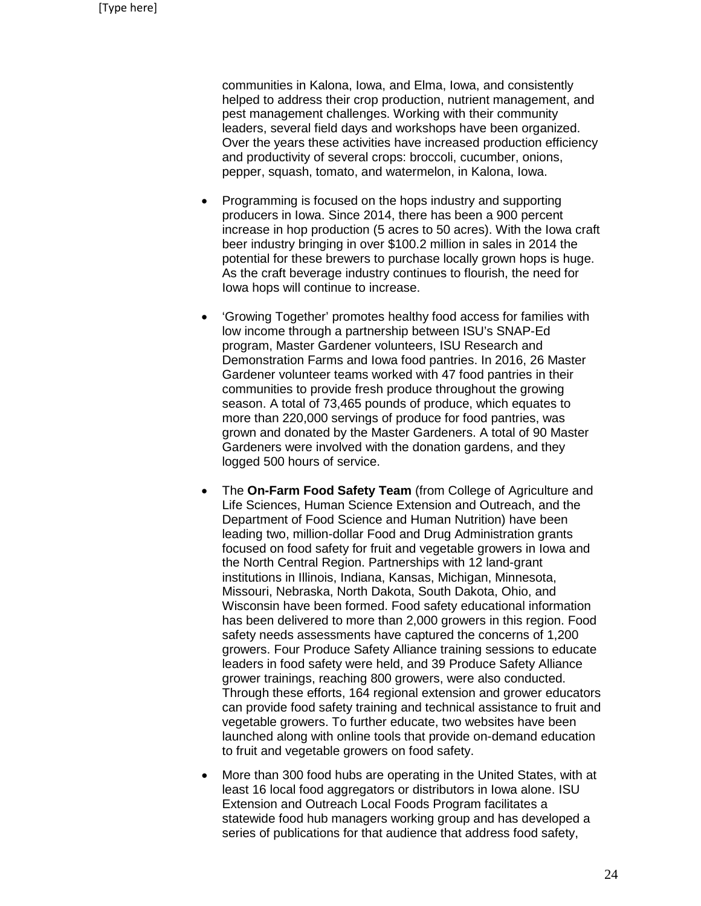communities in Kalona, Iowa, and Elma, Iowa, and consistently helped to address their crop production, nutrient management, and pest management challenges. Working with their community leaders, several field days and workshops have been organized. Over the years these activities have increased production efficiency and productivity of several crops: broccoli, cucumber, onions, pepper, squash, tomato, and watermelon, in Kalona, Iowa.

- Programming is focused on the hops industry and supporting producers in Iowa. Since 2014, there has been a 900 percent increase in hop production (5 acres to 50 acres). With the Iowa craft beer industry bringing in over \$100.2 million in sales in 2014 the potential for these brewers to purchase locally grown hops is huge. As the craft beverage industry continues to flourish, the need for Iowa hops will continue to increase.
- 'Growing Together' promotes healthy food access for families with low income through a partnership between ISU's SNAP-Ed program, Master Gardener volunteers, ISU Research and Demonstration Farms and Iowa food pantries. In 2016, 26 Master Gardener volunteer teams worked with 47 food pantries in their communities to provide fresh produce throughout the growing season. A total of 73,465 pounds of produce, which equates to more than 220,000 servings of produce for food pantries, was grown and donated by the Master Gardeners. A total of 90 Master Gardeners were involved with the donation gardens, and they logged 500 hours of service.
- The **On-Farm Food Safety Team** (from College of Agriculture and Life Sciences, Human Science Extension and Outreach, and the Department of Food Science and Human Nutrition) have been leading two, million-dollar Food and Drug Administration grants focused on food safety for fruit and vegetable growers in Iowa and the North Central Region. Partnerships with 12 land-grant institutions in Illinois, Indiana, Kansas, Michigan, Minnesota, Missouri, Nebraska, North Dakota, South Dakota, Ohio, and Wisconsin have been formed. Food safety educational information has been delivered to more than 2,000 growers in this region. Food safety needs assessments have captured the concerns of 1,200 growers. Four Produce Safety Alliance training sessions to educate leaders in food safety were held, and 39 Produce Safety Alliance grower trainings, reaching 800 growers, were also conducted. Through these efforts, 164 regional extension and grower educators can provide food safety training and technical assistance to fruit and vegetable growers. To further educate, two websites have been launched along with online tools that provide on-demand education to fruit and vegetable growers on food safety.
- More than 300 food hubs are operating in the United States, with at least 16 local food aggregators or distributors in Iowa alone. ISU Extension and Outreach Local Foods Program facilitates a statewide food hub managers working group and has developed a series of publications for that audience that address food safety,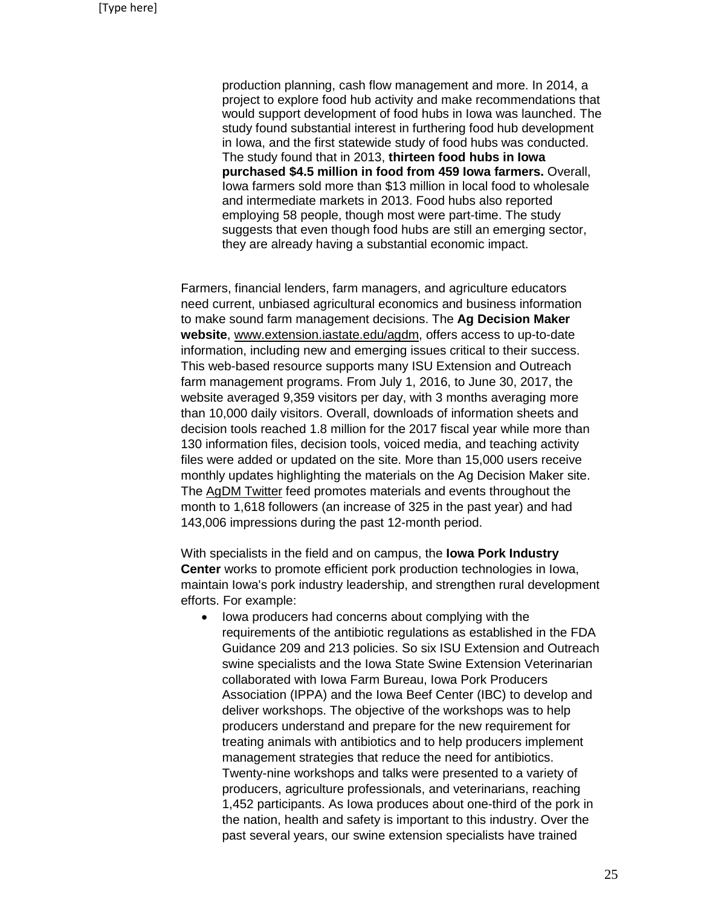production planning, cash flow management and more. In 2014, a project to explore food hub activity and make recommendations that would support development of food hubs in Iowa was launched. The study found substantial interest in furthering food hub development in Iowa, and the first statewide study of food hubs was conducted. The study found that in 2013, **thirteen food hubs in Iowa purchased \$4.5 million in food from 459 Iowa farmers.** Overall, Iowa farmers sold more than \$13 million in local food to wholesale and intermediate markets in 2013. Food hubs also reported employing 58 people, though most were part-time. The study suggests that even though food hubs are still an emerging sector, they are already having a substantial economic impact.

Farmers, financial lenders, farm managers, and agriculture educators need current, unbiased agricultural economics and business information to make sound farm management decisions. The **Ag Decision Maker website**, [www.extension.iastate.edu/agdm,](http://www.extension.iastate.edu/agdm/) offers access to up-to-date information, including new and emerging issues critical to their success. This web-based resource supports many ISU Extension and Outreach farm management programs. From July 1, 2016, to June 30, 2017, the website averaged 9,359 visitors per day, with 3 months averaging more than 10,000 daily visitors. Overall, downloads of information sheets and decision tools reached 1.8 million for the 2017 fiscal year while more than 130 information files, decision tools, voiced media, and teaching activity files were added or updated on the site. More than 15,000 users receive monthly updates highlighting the materials on the Ag Decision Maker site. The [AgDM Twitter](https://twitter.com/ISU_AgDM) feed promotes materials and events throughout the month to 1,618 followers (an increase of 325 in the past year) and had 143,006 impressions during the past 12-month period.

With specialists in the field and on campus, the **Iowa Pork Industry Center** works to promote efficient pork production technologies in Iowa, maintain Iowa's pork industry leadership, and strengthen rural development efforts. For example:

lowa producers had concerns about complying with the requirements of the antibiotic regulations as established in the FDA Guidance 209 and 213 policies. So six ISU Extension and Outreach swine specialists and the Iowa State Swine Extension Veterinarian collaborated with Iowa Farm Bureau, Iowa Pork Producers Association (IPPA) and the Iowa Beef Center (IBC) to develop and deliver workshops. The objective of the workshops was to help producers understand and prepare for the new requirement for treating animals with antibiotics and to help producers implement management strategies that reduce the need for antibiotics. Twenty-nine workshops and talks were presented to a variety of producers, agriculture professionals, and veterinarians, reaching 1,452 participants. As Iowa produces about one-third of the pork in the nation, health and safety is important to this industry. Over the past several years, our swine extension specialists have trained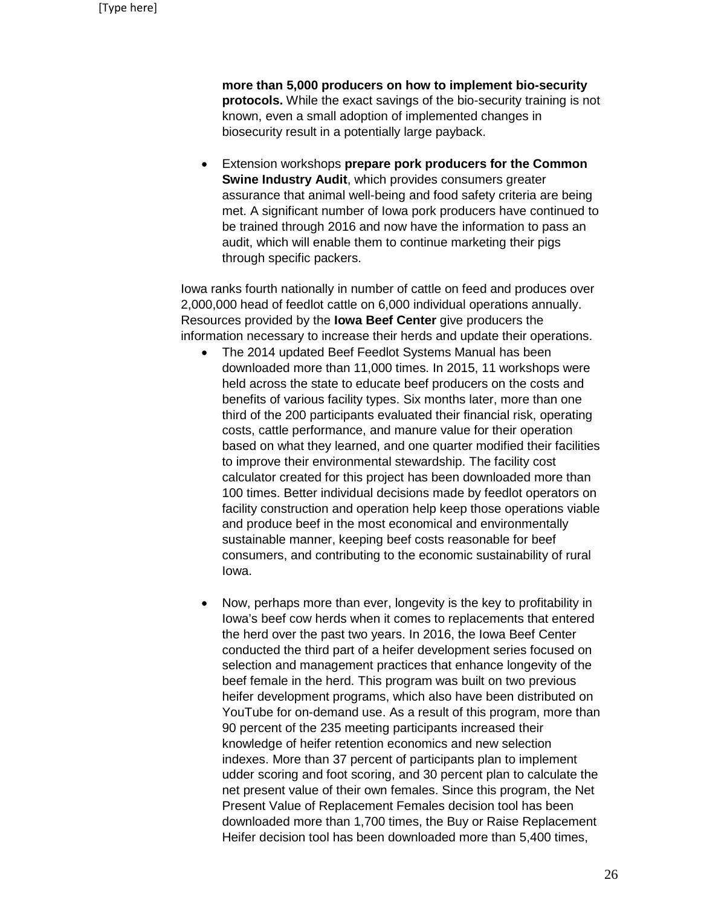**more than 5,000 producers on how to implement bio-security protocols.** While the exact savings of the bio-security training is not known, even a small adoption of implemented changes in biosecurity result in a potentially large payback.

• Extension workshops **prepare pork producers for the Common Swine Industry Audit**, which provides consumers greater assurance that animal well-being and food safety criteria are being met. A significant number of Iowa pork producers have continued to be trained through 2016 and now have the information to pass an audit, which will enable them to continue marketing their pigs through specific packers.

Iowa ranks fourth nationally in number of cattle on feed and produces over 2,000,000 head of feedlot cattle on 6,000 individual operations annually. Resources provided by the **Iowa Beef Center** give producers the information necessary to increase their herds and update their operations.

- The 2014 updated Beef Feedlot Systems Manual has been downloaded more than 11,000 times. In 2015, 11 workshops were held across the state to educate beef producers on the costs and benefits of various facility types. Six months later, more than one third of the 200 participants evaluated their financial risk, operating costs, cattle performance, and manure value for their operation based on what they learned, and one quarter modified their facilities to improve their environmental stewardship. The facility cost calculator created for this project has been downloaded more than 100 times. Better individual decisions made by feedlot operators on facility construction and operation help keep those operations viable and produce beef in the most economical and environmentally sustainable manner, keeping beef costs reasonable for beef consumers, and contributing to the economic sustainability of rural Iowa.
- Now, perhaps more than ever, longevity is the key to profitability in Iowa's beef cow herds when it comes to replacements that entered the herd over the past two years. In 2016, the Iowa Beef Center conducted the third part of a heifer development series focused on selection and management practices that enhance longevity of the beef female in the herd. This program was built on two previous heifer development programs, which also have been distributed on YouTube for on-demand use. As a result of this program, more than 90 percent of the 235 meeting participants increased their knowledge of heifer retention economics and new selection indexes. More than 37 percent of participants plan to implement udder scoring and foot scoring, and 30 percent plan to calculate the net present value of their own females. Since this program, the Net Present Value of Replacement Females decision tool has been downloaded more than 1,700 times, the Buy or Raise Replacement Heifer decision tool has been downloaded more than 5,400 times,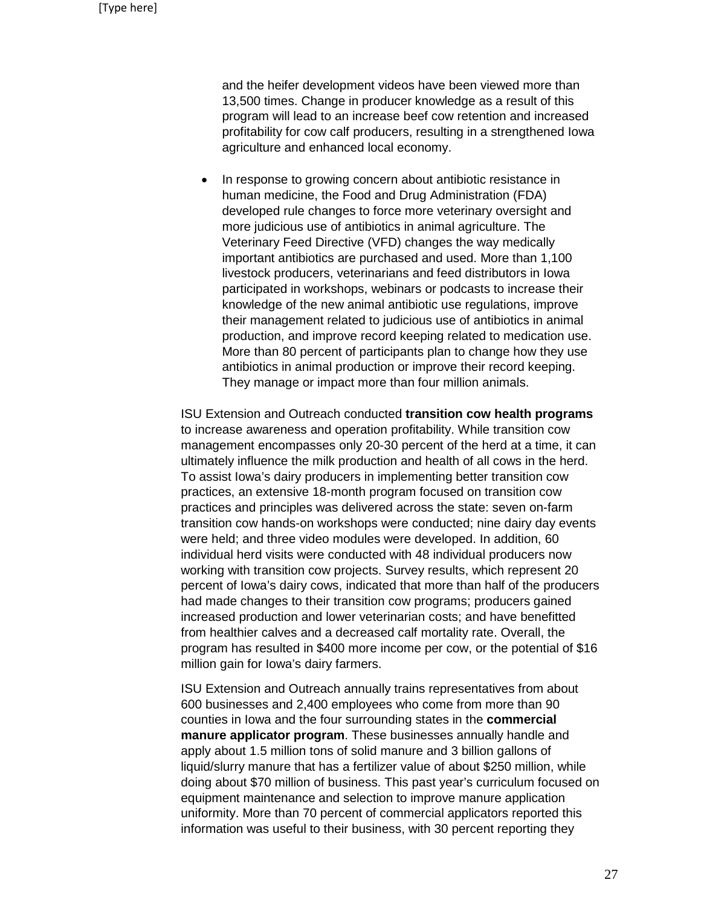and the heifer development videos have been viewed more than 13,500 times. Change in producer knowledge as a result of this program will lead to an increase beef cow retention and increased profitability for cow calf producers, resulting in a strengthened Iowa agriculture and enhanced local economy.

• In response to growing concern about antibiotic resistance in human medicine, the Food and Drug Administration (FDA) developed rule changes to force more veterinary oversight and more judicious use of antibiotics in animal agriculture. The Veterinary Feed Directive (VFD) changes the way medically important antibiotics are purchased and used. More than 1,100 livestock producers, veterinarians and feed distributors in Iowa participated in workshops, webinars or podcasts to increase their knowledge of the new animal antibiotic use regulations, improve their management related to judicious use of antibiotics in animal production, and improve record keeping related to medication use. More than 80 percent of participants plan to change how they use antibiotics in animal production or improve their record keeping. They manage or impact more than four million animals.

ISU Extension and Outreach conducted **transition cow health programs** to increase awareness and operation profitability. While transition cow management encompasses only 20-30 percent of the herd at a time, it can ultimately influence the milk production and health of all cows in the herd. To assist Iowa's dairy producers in implementing better transition cow practices, an extensive 18-month program focused on transition cow practices and principles was delivered across the state: seven on-farm transition cow hands-on workshops were conducted; nine dairy day events were held; and three video modules were developed. In addition, 60 individual herd visits were conducted with 48 individual producers now working with transition cow projects. Survey results, which represent 20 percent of Iowa's dairy cows, indicated that more than half of the producers had made changes to their transition cow programs; producers gained increased production and lower veterinarian costs; and have benefitted from healthier calves and a decreased calf mortality rate. Overall, the program has resulted in \$400 more income per cow, or the potential of \$16 million gain for Iowa's dairy farmers.

ISU Extension and Outreach annually trains representatives from about 600 businesses and 2,400 employees who come from more than 90 counties in Iowa and the four surrounding states in the **commercial manure applicator program**. These businesses annually handle and apply about 1.5 million tons of solid manure and 3 billion gallons of liquid/slurry manure that has a fertilizer value of about \$250 million, while doing about \$70 million of business. This past year's curriculum focused on equipment maintenance and selection to improve manure application uniformity. More than 70 percent of commercial applicators reported this information was useful to their business, with 30 percent reporting they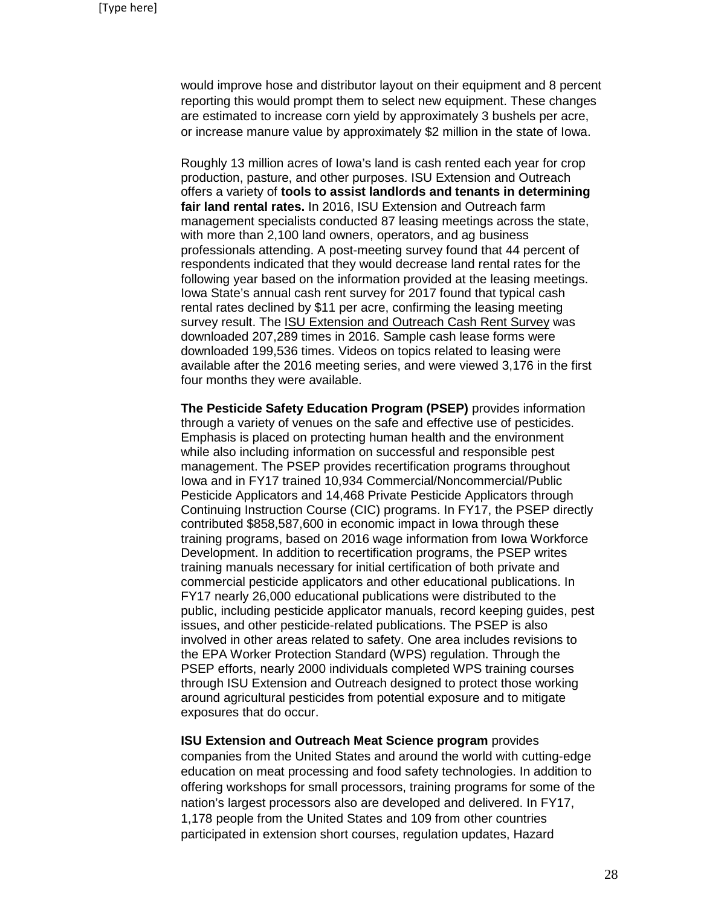would improve hose and distributor layout on their equipment and 8 percent reporting this would prompt them to select new equipment. These changes are estimated to increase corn yield by approximately 3 bushels per acre, or increase manure value by approximately \$2 million in the state of Iowa.

Roughly 13 million acres of Iowa's land is cash rented each year for crop production, pasture, and other purposes. ISU Extension and Outreach offers a variety of **tools to assist landlords and tenants in determining fair land rental rates.** In 2016, ISU Extension and Outreach farm management specialists conducted 87 leasing meetings across the state, with more than 2,100 land owners, operators, and ag business professionals attending. A post-meeting survey found that 44 percent of respondents indicated that they would decrease land rental rates for the following year based on the information provided at the leasing meetings. Iowa State's annual cash rent survey for 2017 found that typical cash rental rates declined by \$11 per acre, confirming the leasing meeting survey result. The [ISU Extension and Outreach Cash Rent Survey](https://www.extension.iastate.edu/agdm/wholefarm/pdf/c2-10.pdf) was downloaded 207,289 times in 2016. Sample cash lease forms were downloaded 199,536 times. Videos on topics related to leasing were available after the 2016 meeting series, and were viewed 3,176 in the first four months they were available.

**The Pesticide Safety Education Program (PSEP)** provides information through a variety of venues on the safe and effective use of pesticides. Emphasis is placed on protecting human health and the environment while also including information on successful and responsible pest management. The PSEP provides recertification programs throughout Iowa and in FY17 trained 10,934 Commercial/Noncommercial/Public Pesticide Applicators and 14,468 Private Pesticide Applicators through Continuing Instruction Course (CIC) programs. In FY17, the PSEP directly contributed \$858,587,600 in economic impact in Iowa through these training programs, based on 2016 wage information from Iowa Workforce Development. In addition to recertification programs, the PSEP writes training manuals necessary for initial certification of both private and commercial pesticide applicators and other educational publications. In FY17 nearly 26,000 educational publications were distributed to the public, including pesticide applicator manuals, record keeping guides, pest issues, and other pesticide-related publications. The PSEP is also involved in other areas related to safety. One area includes revisions to the EPA Worker Protection Standard (WPS) regulation. Through the PSEP efforts, nearly 2000 individuals completed WPS training courses through ISU Extension and Outreach designed to protect those working around agricultural pesticides from potential exposure and to mitigate exposures that do occur.

**ISU Extension and Outreach Meat Science program** provides companies from the United States and around the world with cutting-edge education on meat processing and food safety technologies. In addition to offering workshops for small processors, training programs for some of the nation's largest processors also are developed and delivered. In FY17, 1,178 people from the United States and 109 from other countries participated in extension short courses, regulation updates, Hazard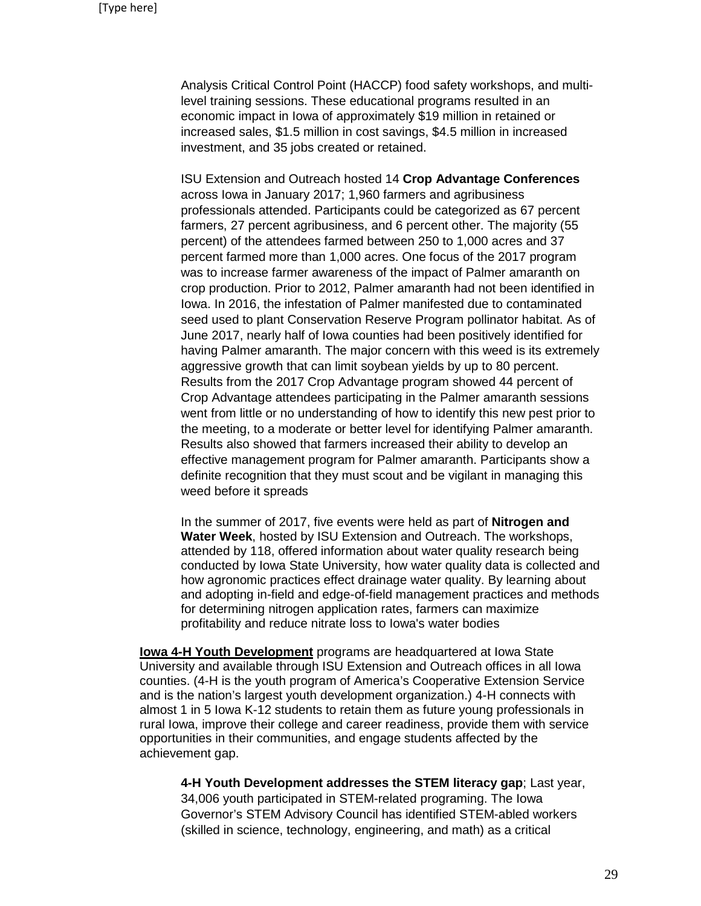Analysis Critical Control Point (HACCP) food safety workshops, and multilevel training sessions. These educational programs resulted in an economic impact in Iowa of approximately \$19 million in retained or increased sales, \$1.5 million in cost savings, \$4.5 million in increased investment, and 35 jobs created or retained.

ISU Extension and Outreach hosted 14 **Crop Advantage Conferences** across Iowa in January 2017; 1,960 farmers and agribusiness professionals attended. Participants could be categorized as 67 percent farmers, 27 percent agribusiness, and 6 percent other. The majority (55 percent) of the attendees farmed between 250 to 1,000 acres and 37 percent farmed more than 1,000 acres. One focus of the 2017 program was to increase farmer awareness of the impact of Palmer amaranth on crop production. Prior to 2012, Palmer amaranth had not been identified in Iowa. In 2016, the infestation of Palmer manifested due to contaminated seed used to plant Conservation Reserve Program pollinator habitat. As of June 2017, nearly half of Iowa counties had been positively identified for having Palmer amaranth. The major concern with this weed is its extremely aggressive growth that can limit soybean yields by up to 80 percent. Results from the 2017 Crop Advantage program showed 44 percent of Crop Advantage attendees participating in the Palmer amaranth sessions went from little or no understanding of how to identify this new pest prior to the meeting, to a moderate or better level for identifying Palmer amaranth. Results also showed that farmers increased their ability to develop an effective management program for Palmer amaranth. Participants show a definite recognition that they must scout and be vigilant in managing this weed before it spreads

In the summer of 2017, five events were held as part of **Nitrogen and Water Week**, hosted by ISU Extension and Outreach. The workshops, attended by 118, offered information about water quality research being conducted by Iowa State University, how water quality data is collected and how agronomic practices effect drainage water quality. By learning about and adopting in-field and edge-of-field management practices and methods for determining nitrogen application rates, farmers can maximize profitability and reduce nitrate loss to Iowa's water bodies

**Iowa 4-H Youth Development** programs are headquartered at Iowa State University and available through ISU Extension and Outreach offices in all Iowa counties. (4-H is the youth program of America's Cooperative Extension Service and is the nation's largest youth development organization.) 4-H connects with almost 1 in 5 Iowa K-12 students to retain them as future young professionals in rural Iowa, improve their college and career readiness, provide them with service opportunities in their communities, and engage students affected by the achievement gap.

**4-H Youth Development addresses the STEM literacy gap**; Last year, 34,006 youth participated in STEM-related programing. The Iowa Governor's STEM Advisory Council has identified STEM-abled workers (skilled in science, technology, engineering, and math) as a critical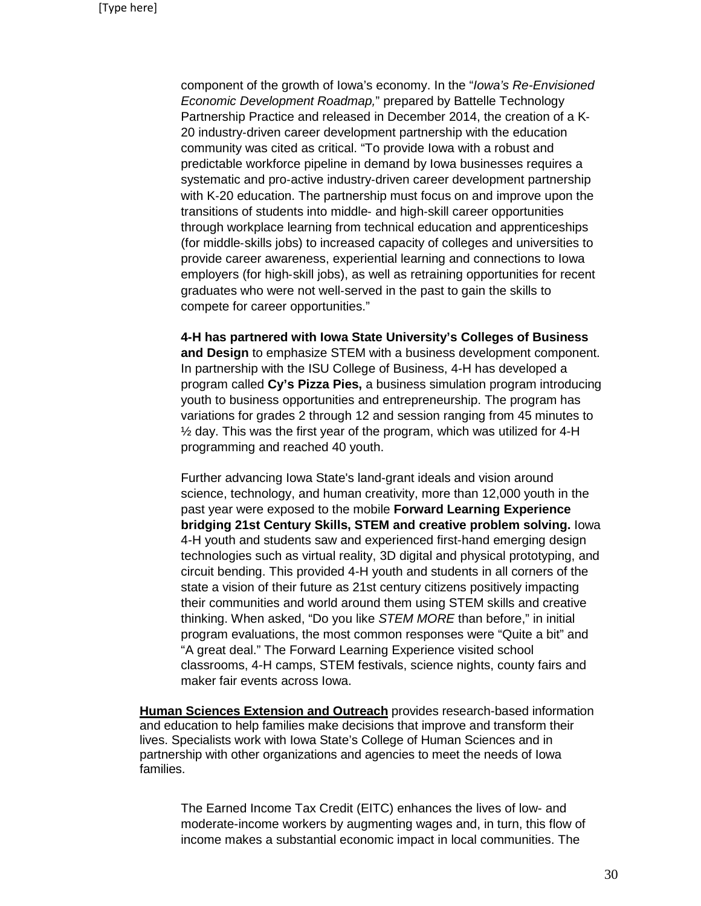component of the growth of Iowa's economy. In the "*Iowa's Re-Envisioned Economic Development Roadmap,*" prepared by Battelle Technology Partnership Practice and released in December 2014, the creation of a K‐ 20 industry‐driven career development partnership with the education community was cited as critical. "To provide Iowa with a robust and predictable workforce pipeline in demand by Iowa businesses requires a systematic and pro‐active industry‐driven career development partnership with K-20 education. The partnership must focus on and improve upon the transitions of students into middle‐ and high‐skill career opportunities through workplace learning from technical education and apprenticeships (for middle‐skills jobs) to increased capacity of colleges and universities to provide career awareness, experiential learning and connections to Iowa employers (for high‐skill jobs), as well as retraining opportunities for recent graduates who were not well‐served in the past to gain the skills to compete for career opportunities."

**4-H has partnered with Iowa State University's Colleges of Business and Design** to emphasize STEM with a business development component. In partnership with the ISU College of Business, 4-H has developed a program called **Cy's Pizza Pies,** a business simulation program introducing youth to business opportunities and entrepreneurship. The program has variations for grades 2 through 12 and session ranging from 45 minutes to  $\frac{1}{2}$  day. This was the first year of the program, which was utilized for 4-H programming and reached 40 youth.

Further advancing Iowa State's land-grant ideals and vision around science, technology, and human creativity, more than 12,000 youth in the past year were exposed to the mobile **Forward Learning Experience bridging 21st Century Skills, STEM and creative problem solving.** Iowa 4-H youth and students saw and experienced first-hand emerging design technologies such as virtual reality, 3D digital and physical prototyping, and circuit bending. This provided 4-H youth and students in all corners of the state a vision of their future as 21st century citizens positively impacting their communities and world around them using STEM skills and creative thinking. When asked, "Do you like *STEM MORE* than before," in initial program evaluations, the most common responses were "Quite a bit" and "A great deal." The Forward Learning Experience visited school classrooms, 4-H camps, STEM festivals, science nights, county fairs and maker fair events across Iowa.

**Human Sciences Extension and Outreach** provides research-based information and education to help families make decisions that improve and transform their lives. Specialists work with Iowa State's College of Human Sciences and in partnership with other organizations and agencies to meet the needs of Iowa families.

The Earned Income Tax Credit (EITC) enhances the lives of low- and moderate-income workers by augmenting wages and, in turn, this flow of income makes a substantial economic impact in local communities. The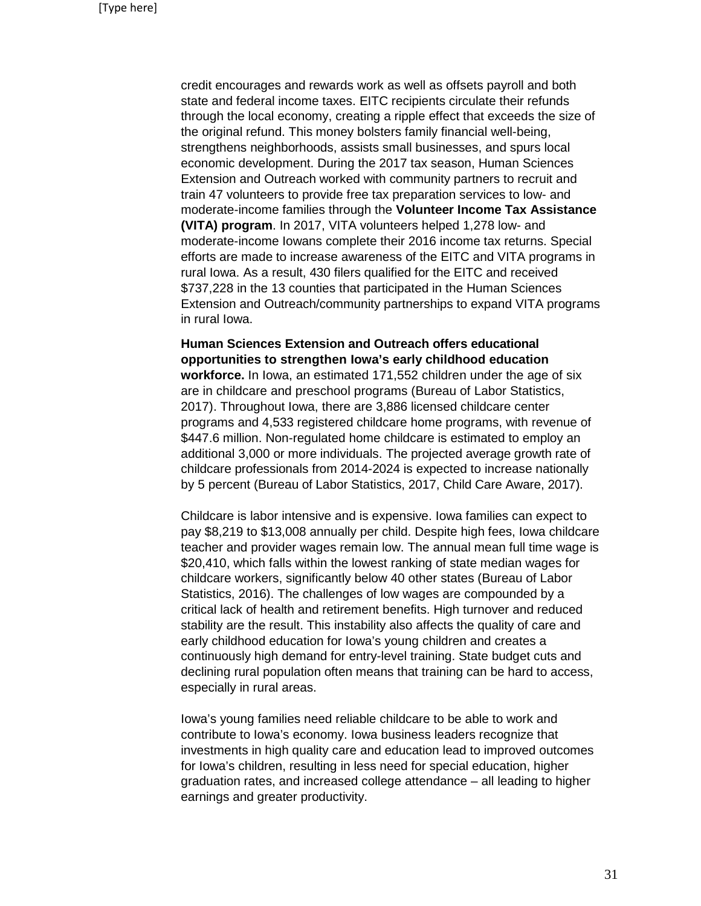credit encourages and rewards work as well as offsets payroll and both state and federal income taxes. EITC recipients circulate their refunds through the local economy, creating a ripple effect that exceeds the size of the original refund. This money bolsters family financial well-being, strengthens neighborhoods, assists small businesses, and spurs local economic development. During the 2017 tax season, Human Sciences Extension and Outreach worked with community partners to recruit and train 47 volunteers to provide free tax preparation services to low- and moderate-income families through the **Volunteer Income Tax Assistance (VITA) program**. In 2017, VITA volunteers helped 1,278 low- and moderate-income Iowans complete their 2016 income tax returns. Special efforts are made to increase awareness of the EITC and VITA programs in rural Iowa. As a result, 430 filers qualified for the EITC and received \$737,228 in the 13 counties that participated in the Human Sciences Extension and Outreach/community partnerships to expand VITA programs in rural Iowa.

**Human Sciences Extension and Outreach offers educational opportunities to strengthen Iowa's early childhood education workforce.** In Iowa, an estimated 171,552 children under the age of six are in childcare and preschool programs (Bureau of Labor Statistics, 2017). Throughout Iowa, there are 3,886 licensed childcare center programs and 4,533 registered childcare home programs, with revenue of \$447.6 million. Non-regulated home childcare is estimated to employ an additional 3,000 or more individuals. The projected average growth rate of childcare professionals from 2014-2024 is expected to increase nationally by 5 percent (Bureau of Labor Statistics, 2017, Child Care Aware, 2017).

Childcare is labor intensive and is expensive. Iowa families can expect to pay \$8,219 to \$13,008 annually per child. Despite high fees, Iowa childcare teacher and provider wages remain low. The annual mean full time wage is \$20,410, which falls within the lowest ranking of state median wages for childcare workers, significantly below 40 other states (Bureau of Labor Statistics, 2016). The challenges of low wages are compounded by a critical lack of health and retirement benefits. High turnover and reduced stability are the result. This instability also affects the quality of care and early childhood education for Iowa's young children and creates a continuously high demand for entry-level training. State budget cuts and declining rural population often means that training can be hard to access, especially in rural areas.

Iowa's young families need reliable childcare to be able to work and contribute to Iowa's economy. Iowa business leaders recognize that investments in high quality care and education lead to improved outcomes for Iowa's children, resulting in less need for special education, higher graduation rates, and increased college attendance – all leading to higher earnings and greater productivity.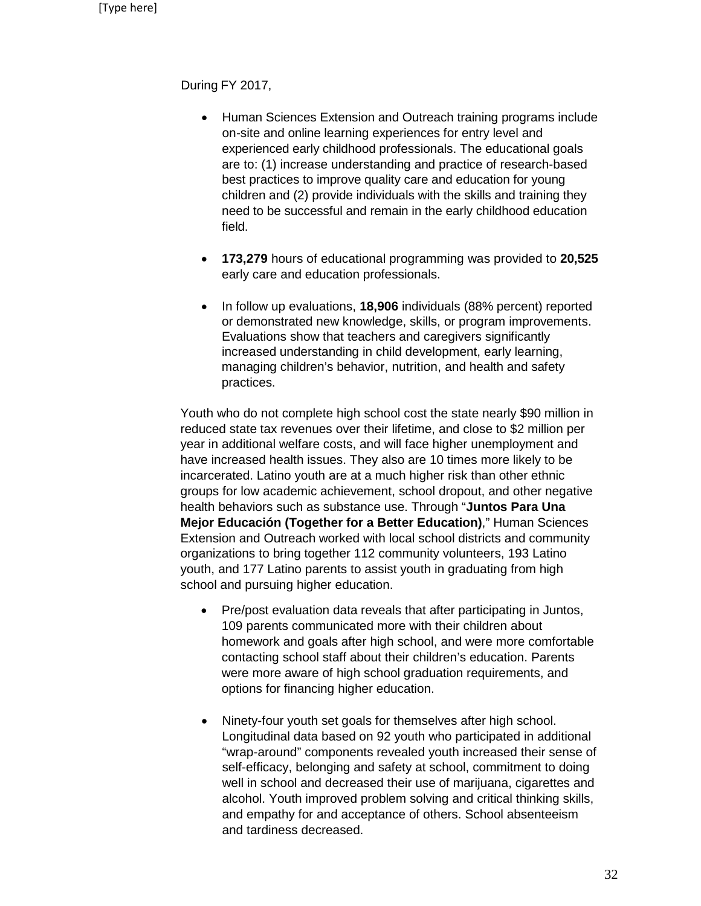During FY 2017,

- Human Sciences Extension and Outreach training programs include on-site and online learning experiences for entry level and experienced early childhood professionals. The educational goals are to: (1) increase understanding and practice of research-based best practices to improve quality care and education for young children and (2) provide individuals with the skills and training they need to be successful and remain in the early childhood education field.
- **173,279** hours of educational programming was provided to **20,525** early care and education professionals.
- In follow up evaluations, **18,906** individuals (88% percent) reported or demonstrated new knowledge, skills, or program improvements. Evaluations show that teachers and caregivers significantly increased understanding in child development, early learning, managing children's behavior, nutrition, and health and safety practices.

Youth who do not complete high school cost the state nearly \$90 million in reduced state tax revenues over their lifetime, and close to \$2 million per year in additional welfare costs, and will face higher unemployment and have increased health issues. They also are 10 times more likely to be incarcerated. Latino youth are at a much higher risk than other ethnic groups for low academic achievement, school dropout, and other negative health behaviors such as substance use. Through "**Juntos Para Una Mejor Educación (Together for a Better Education)**," Human Sciences Extension and Outreach worked with local school districts and community organizations to bring together 112 community volunteers, 193 Latino youth, and 177 Latino parents to assist youth in graduating from high school and pursuing higher education.

- Pre/post evaluation data reveals that after participating in Juntos, 109 parents communicated more with their children about homework and goals after high school, and were more comfortable contacting school staff about their children's education. Parents were more aware of high school graduation requirements, and options for financing higher education.
- Ninety-four youth set goals for themselves after high school. Longitudinal data based on 92 youth who participated in additional "wrap-around" components revealed youth increased their sense of self-efficacy, belonging and safety at school, commitment to doing well in school and decreased their use of marijuana, cigarettes and alcohol. Youth improved problem solving and critical thinking skills, and empathy for and acceptance of others. School absenteeism and tardiness decreased.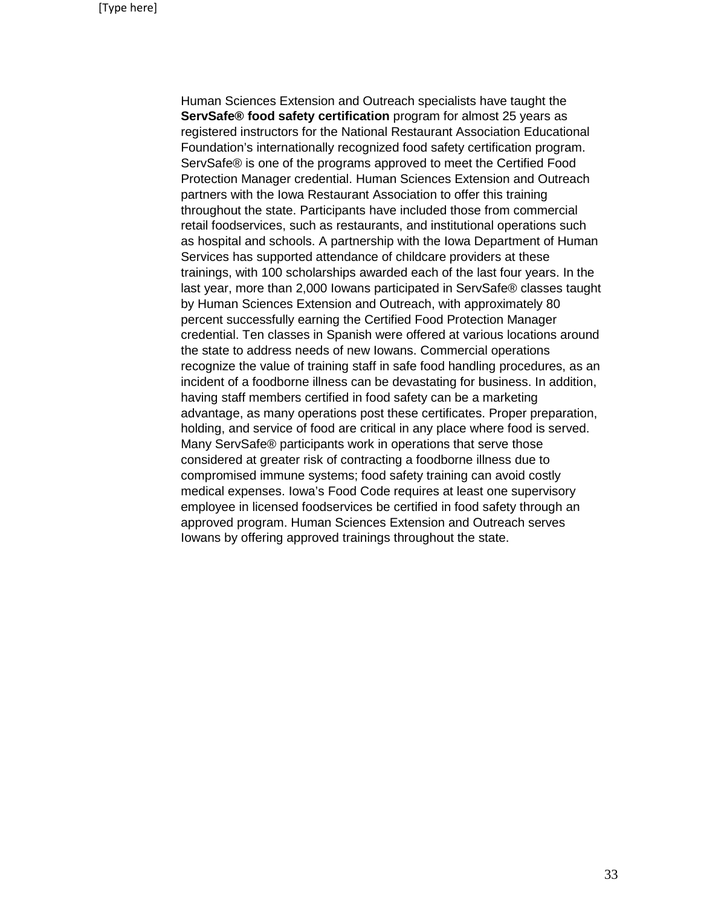Human Sciences Extension and Outreach specialists have taught the **ServSafe® food safety certification** program for almost 25 years as registered instructors for the National Restaurant Association Educational Foundation's internationally recognized food safety certification program. ServSafe® is one of the programs approved to meet the Certified Food Protection Manager credential. Human Sciences Extension and Outreach partners with the Iowa Restaurant Association to offer this training throughout the state. Participants have included those from commercial retail foodservices, such as restaurants, and institutional operations such as hospital and schools. A partnership with the Iowa Department of Human Services has supported attendance of childcare providers at these trainings, with 100 scholarships awarded each of the last four years. In the last year, more than 2,000 Iowans participated in ServSafe® classes taught by Human Sciences Extension and Outreach, with approximately 80 percent successfully earning the Certified Food Protection Manager credential. Ten classes in Spanish were offered at various locations around the state to address needs of new Iowans. Commercial operations recognize the value of training staff in safe food handling procedures, as an incident of a foodborne illness can be devastating for business. In addition, having staff members certified in food safety can be a marketing advantage, as many operations post these certificates. Proper preparation, holding, and service of food are critical in any place where food is served. Many ServSafe® participants work in operations that serve those considered at greater risk of contracting a foodborne illness due to compromised immune systems; food safety training can avoid costly medical expenses. Iowa's Food Code requires at least one supervisory employee in licensed foodservices be certified in food safety through an approved program. Human Sciences Extension and Outreach serves Iowans by offering approved trainings throughout the state.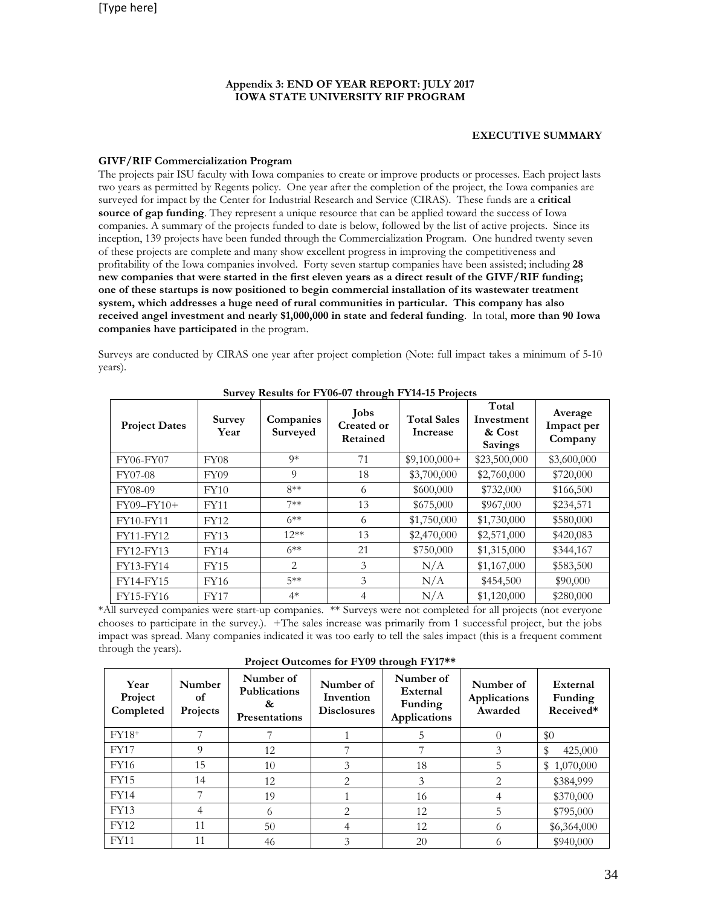## **Appendix 3: END OF YEAR REPORT: JULY 2017 IOWA STATE UNIVERSITY RIF PROGRAM**

## **EXECUTIVE SUMMARY**

## **GIVF/RIF Commercialization Program**

The projects pair ISU faculty with Iowa companies to create or improve products or processes. Each project lasts two years as permitted by Regents policy. One year after the completion of the project, the Iowa companies are surveyed for impact by the Center for Industrial Research and Service (CIRAS). These funds are a **critical source of gap funding**. They represent a unique resource that can be applied toward the success of Iowa companies. A summary of the projects funded to date is below, followed by the list of active projects. Since its inception, 139 projects have been funded through the Commercialization Program. One hundred twenty seven of these projects are complete and many show excellent progress in improving the competitiveness and profitability of the Iowa companies involved. Forty seven startup companies have been assisted; including **28 new companies that were started in the first eleven years as a direct result of the GIVF/RIF funding; one of these startups is now positioned to begin commercial installation of its wastewater treatment system, which addresses a huge need of rural communities in particular. This company has also received angel investment and nearly \$1,000,000 in state and federal funding**. In total, **more than 90 Iowa companies have participated** in the program.

Surveys are conducted by CIRAS one year after project completion (Note: full impact takes a minimum of 5-10 years).

| <b>Project Dates</b> | <b>Survey</b><br>Year | Companies<br>Surveyed | <b>Jobs</b><br><b>Created or</b><br>Retained | <b>Total Sales</b><br>Increase | Total<br>Investment<br>& Cost<br><b>Savings</b> | Average<br>Impact per<br>Company |
|----------------------|-----------------------|-----------------------|----------------------------------------------|--------------------------------|-------------------------------------------------|----------------------------------|
| FY06-FY07            | <b>FY08</b>           | $9*$                  | 71                                           | $$9,100,000+$                  | \$23,500,000                                    | \$3,600,000                      |
| FY07-08              | FY09                  | 9                     | 18                                           | \$3,700,000                    | \$2,760,000                                     | \$720,000                        |
| FY08-09              | FY10                  | $8**$                 | 6                                            | \$600,000                      | \$732,000                                       | \$166,500                        |
| $FY09-FY10+$         | <b>FY11</b>           | $7**$                 | 13                                           | \$675,000                      | \$967,000                                       | \$234,571                        |
| FY10-FY11            | <b>FY12</b>           | $6***$                | 6                                            | \$1,750,000                    | \$1,730,000                                     | \$580,000                        |
| <b>FY11-FY12</b>     | FY13                  | $12**$                | 13                                           | \$2,470,000                    | \$2,571,000                                     | \$420,083                        |
| FY12-FY13            | FY14                  | $6***$                | 21                                           | \$750,000                      | \$1,315,000                                     | \$344,167                        |
| FY13-FY14            | <b>FY15</b>           | 2                     | 3                                            | N/A                            | \$1,167,000                                     | \$583,500                        |
| <b>FY14-FY15</b>     | <b>FY16</b>           | $5**$                 | 3                                            | N/A                            | \$454,500                                       | \$90,000                         |
| FY15-FY16            | <b>FY17</b>           | $4*$                  | 4                                            | N/A                            | \$1,120,000                                     | \$280,000                        |

**Survey Results for FY06-07 through FY14-15 Projects**

\*All surveyed companies were start-up companies. \*\* Surveys were not completed for all projects (not everyone chooses to participate in the survey.). +The sales increase was primarily from 1 successful project, but the jobs impact was spread. Many companies indicated it was too early to tell the sales impact (this is a frequent comment through the years).

**Project Outcomes for FY09 through FY17\*\***

| Year<br>Project<br>Completed | Number<br>of<br>Projects | Number of<br><b>Publications</b><br>&<br><b>Presentations</b> | Number of<br>Invention<br><b>Disclosures</b> | $\epsilon$<br>Number of<br>External<br>Funding<br><b>Applications</b> | Number of<br>Applications<br>Awarded | External<br>Funding<br>Received* |
|------------------------------|--------------------------|---------------------------------------------------------------|----------------------------------------------|-----------------------------------------------------------------------|--------------------------------------|----------------------------------|
| $FY18^+$                     |                          |                                                               |                                              |                                                                       | $\Omega$                             | \$0                              |
| <b>FY17</b>                  | 9                        | 12                                                            |                                              |                                                                       | 3                                    | \$<br>425,000                    |
| <b>FY16</b>                  | 15                       | 10                                                            |                                              | 18                                                                    | 5                                    | \$1,070,000                      |
| <b>FY15</b>                  | 14                       | 12                                                            | 2                                            | 3                                                                     | 2                                    | \$384,999                        |
| <b>FY14</b>                  |                          | 19                                                            |                                              | 16                                                                    | 4                                    | \$370,000                        |
| <b>FY13</b>                  | 4                        | 6                                                             | 2                                            | 12                                                                    | 5                                    | \$795,000                        |
| <b>FY12</b>                  | 11                       | 50                                                            | 4                                            | 12                                                                    | 6                                    | \$6,364,000                      |
| <b>FY11</b>                  | 11                       | 46                                                            |                                              | 20                                                                    | 6                                    | \$940,000                        |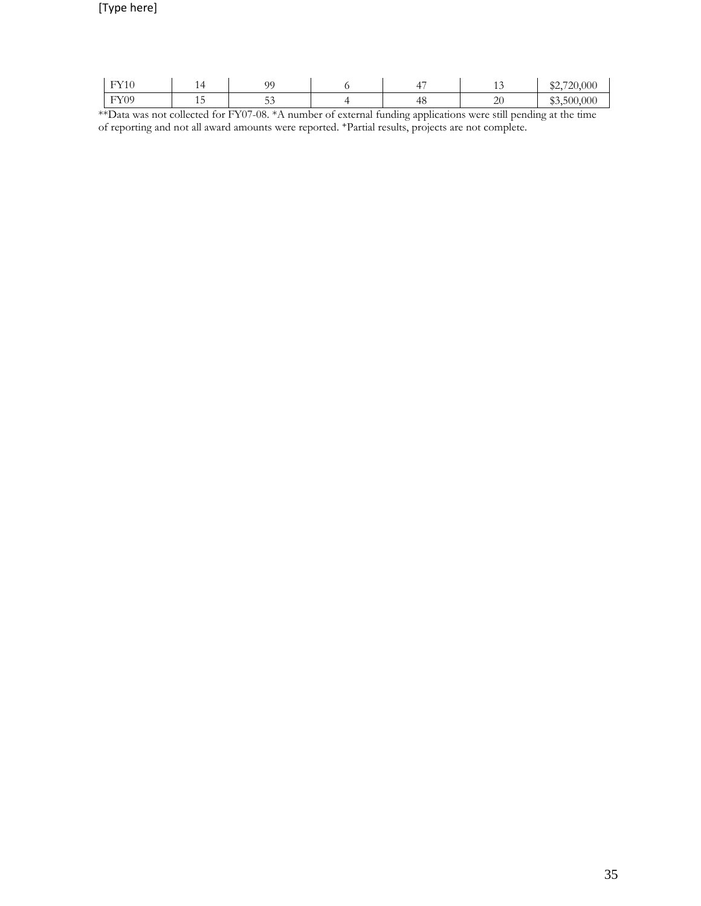| <b>EX74</b><br>. |     | $\alpha$ | 4    | ⊥◡                        | ሖヘ<br>720<br>.000<br>.<br>. <i>. .</i> |
|------------------|-----|----------|------|---------------------------|----------------------------------------|
| FY09             | . . | -<br>-   | - 46 | $\mathcal{L}$<br>$\Delta$ | \$3,500,000                            |

\*\*Data was not collected for FY07-08. \*A number of external funding applications were still pending at the time of reporting and not all award amounts were reported. **+**Partial results, projects are not complete.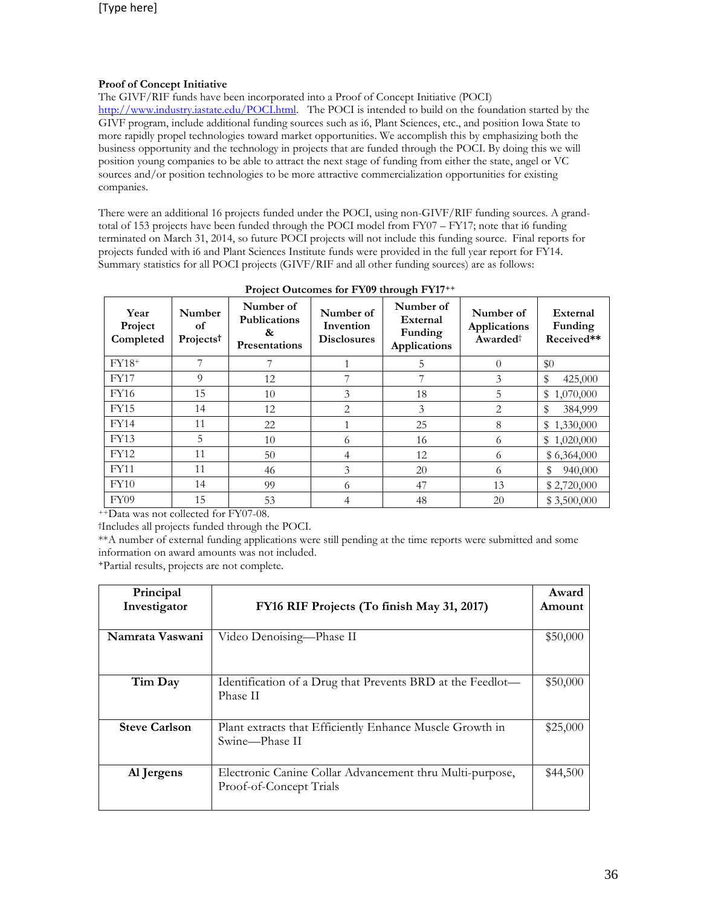## **Proof of Concept Initiative**

The GIVF/RIF funds have been incorporated into a Proof of Concept Initiative (POCI)

[http://www.industry.iastate.edu/POCI.html.](http://www.industry.iastate.edu/POCI.html) The POCI is intended to build on the foundation started by the GIVF program, include additional funding sources such as i6, Plant Sciences, etc., and position Iowa State to more rapidly propel technologies toward market opportunities. We accomplish this by emphasizing both the business opportunity and the technology in projects that are funded through the POCI. By doing this we will position young companies to be able to attract the next stage of funding from either the state, angel or VC sources and/or position technologies to be more attractive commercialization opportunities for existing companies.

There were an additional 16 projects funded under the POCI, using non-GIVF/RIF funding sources. A grandtotal of 153 projects have been funded through the POCI model from FY07 – FY17; note that i6 funding terminated on March 31, 2014, so future POCI projects will not include this funding source. Final reports for projects funded with i6 and Plant Sciences Institute funds were provided in the full year report for FY14. Summary statistics for all POCI projects (GIVF/RIF and all other funding sources) are as follows:

| Year<br>Project<br>Completed | Number<br>of<br>Projects <sup>†</sup> | Number of<br>Publications<br>&<br>Presentations | Number of<br>Invention<br><b>Disclosures</b> | Number of<br>External<br>Funding<br>Applications | Number of<br>Applications<br>Awarded <sup>†</sup> | External<br>Funding<br>Received** |
|------------------------------|---------------------------------------|-------------------------------------------------|----------------------------------------------|--------------------------------------------------|---------------------------------------------------|-----------------------------------|
| $FY18^+$                     |                                       | 7                                               |                                              | 5                                                | $\theta$                                          | \$0                               |
| <b>FY17</b>                  | 9                                     | 12                                              |                                              |                                                  | 3                                                 | \$<br>425,000                     |
| <b>FY16</b>                  | 15                                    | 10                                              | 3                                            | 18                                               | 5                                                 | \$1,070,000                       |
| <b>FY15</b>                  | 14                                    | 12                                              | 2                                            | 3                                                | $\overline{2}$                                    | 384,999                           |
| FY14                         | 11                                    | 22                                              |                                              | 25                                               | 8                                                 | \$1,330,000                       |
| FY13                         | 5                                     | 10                                              | 6                                            | 16                                               | 6                                                 | \$1,020,000                       |
| <b>FY12</b>                  | 11                                    | 50                                              | 4                                            | 12                                               | 6                                                 | \$6,364,000                       |
| <b>FY11</b>                  | 11                                    | 46                                              | 3                                            | 20                                               | 6                                                 | 940,000<br>\$                     |
| FY10                         | 14                                    | 99                                              | 6                                            | 47                                               | 13                                                | \$2,720,000                       |
| <b>FY09</b>                  | 15                                    | 53                                              | 4                                            | 48                                               | 20                                                | \$3,500,000                       |

**Project Outcomes for FY09 through FY17++**

++Data was not collected for FY07-08.

†Includes all projects funded through the POCI.

\*\*A number of external funding applications were still pending at the time reports were submitted and some information on award amounts was not included.

**<sup>+</sup>**Partial results, projects are not complete.

| Principal<br>Investigator | FY16 RIF Projects (To finish May 31, 2017)                                          | Award<br>Amount |
|---------------------------|-------------------------------------------------------------------------------------|-----------------|
| Namrata Vaswani           | Video Denoising-Phase II                                                            | \$50,000        |
| Tim Day                   | Identification of a Drug that Prevents BRD at the Feedlot-<br>Phase II              | \$50,000        |
| <b>Steve Carlson</b>      | Plant extracts that Efficiently Enhance Muscle Growth in<br>Swine-Phase II          | \$25,000        |
| Al Jergens                | Electronic Canine Collar Advancement thru Multi-purpose,<br>Proof-of-Concept Trials | \$44,500        |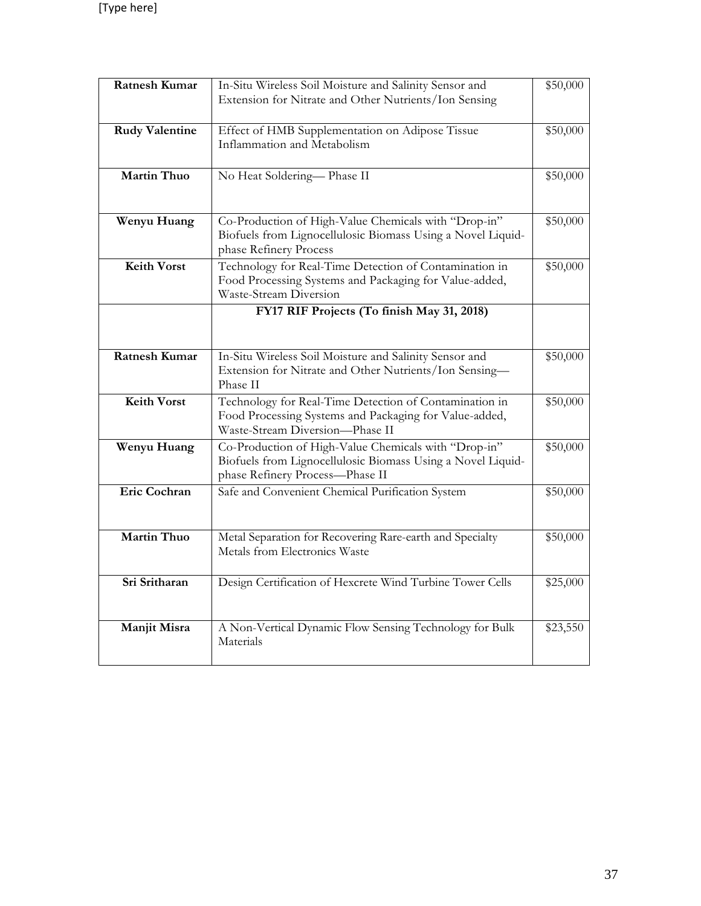| Ratnesh Kumar         | In-Situ Wireless Soil Moisture and Salinity Sensor and                                                                                                 | \$50,000 |
|-----------------------|--------------------------------------------------------------------------------------------------------------------------------------------------------|----------|
|                       | Extension for Nitrate and Other Nutrients/Ion Sensing                                                                                                  |          |
| <b>Rudy Valentine</b> | Effect of HMB Supplementation on Adipose Tissue<br>Inflammation and Metabolism                                                                         | \$50,000 |
| <b>Martin Thuo</b>    | No Heat Soldering-Phase II                                                                                                                             | \$50,000 |
| Wenyu Huang           | Co-Production of High-Value Chemicals with "Drop-in"<br>Biofuels from Lignocellulosic Biomass Using a Novel Liquid-<br>phase Refinery Process          | \$50,000 |
| <b>Keith Vorst</b>    | Technology for Real-Time Detection of Contamination in<br>Food Processing Systems and Packaging for Value-added,<br>Waste-Stream Diversion             | \$50,000 |
|                       | FY17 RIF Projects (To finish May 31, 2018)                                                                                                             |          |
| <b>Ratnesh Kumar</b>  | In-Situ Wireless Soil Moisture and Salinity Sensor and<br>Extension for Nitrate and Other Nutrients/Ion Sensing-<br>Phase II                           | \$50,000 |
| <b>Keith Vorst</b>    | Technology for Real-Time Detection of Contamination in<br>Food Processing Systems and Packaging for Value-added,<br>Waste-Stream Diversion-Phase II    | \$50,000 |
| Wenyu Huang           | Co-Production of High-Value Chemicals with "Drop-in"<br>Biofuels from Lignocellulosic Biomass Using a Novel Liquid-<br>phase Refinery Process-Phase II | \$50,000 |
| Eric Cochran          | Safe and Convenient Chemical Purification System                                                                                                       | \$50,000 |
| <b>Martin Thuo</b>    | Metal Separation for Recovering Rare-earth and Specialty<br>Metals from Electronics Waste                                                              | \$50,000 |
| Sri Sritharan         | Design Certification of Hexcrete Wind Turbine Tower Cells                                                                                              | \$25,000 |
| Manjit Misra          | A Non-Vertical Dynamic Flow Sensing Technology for Bulk<br>Materials                                                                                   | \$23,550 |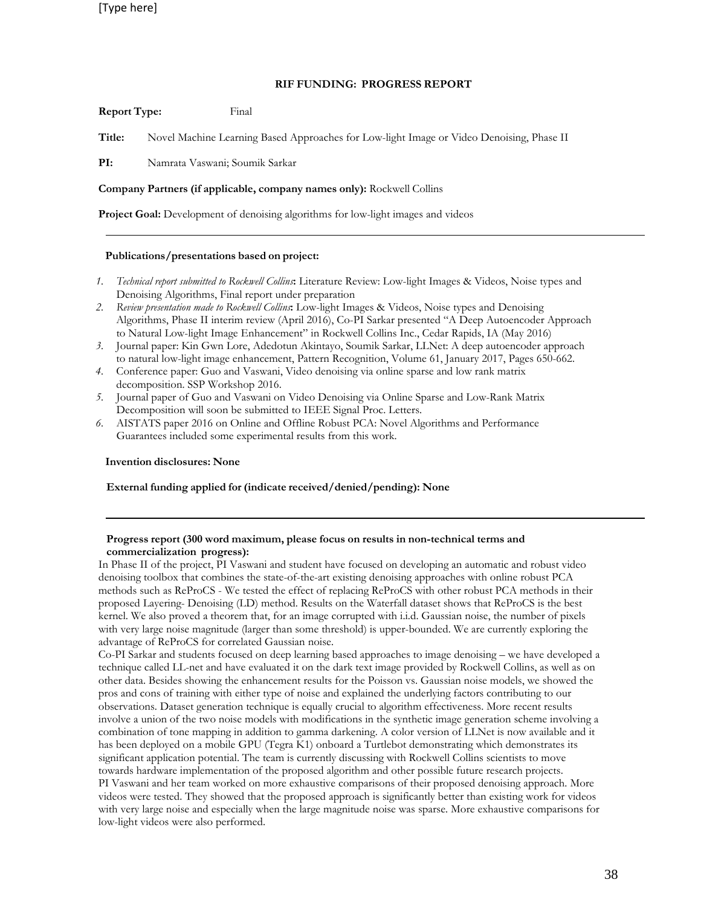**Report Type:** Final

**Title:** Novel Machine Learning Based Approaches for Low-light Image or Video Denoising, Phase II

**PI:** Namrata Vaswani; Soumik Sarkar

#### **Company Partners (if applicable, company names only):** Rockwell Collins

**Project Goal:** Development of denoising algorithms for low-light images and videos

#### **Publications/presentations based on project:**

- *1. Technical report submitted to Rockwell Collins***:** Literature Review: Low-light Images & Videos, Noise types and Denoising Algorithms, Final report under preparation
- *2. Review presentation made to Rockwell Collins***:** Low-light Images & Videos, Noise types and Denoising Algorithms, Phase II interim review (April 2016), Co-PI Sarkar presented "A Deep Autoencoder Approach to Natural Low-light Image Enhancement" in Rockwell Collins Inc., Cedar Rapids, IA (May 2016)
- *3.* Journal paper: Kin Gwn Lore, Adedotun Akintayo, Soumik Sarkar, LLNet: A deep autoencoder approach to natural low-light image enhancement, Pattern Recognition, Volume 61, January 2017, Pages 650-662.
- *4.* Conference paper: Guo and Vaswani, Video denoising via online sparse and low rank matrix decomposition. SSP Workshop 2016.
- *5.* Journal paper of Guo and Vaswani on Video Denoising via Online Sparse and Low-Rank Matrix Decomposition will soon be submitted to IEEE Signal Proc. Letters.
- *6.* AISTATS paper 2016 on Online and Offline Robust PCA: Novel Algorithms and Performance Guarantees included some experimental results from this work.

#### **Invention disclosures: None**

#### **External funding applied for (indicate received/denied/pending): None**

## **Progress report (300 word maximum, please focus on results in non-technical terms and commercialization progress):**

In Phase II of the project, PI Vaswani and student have focused on developing an automatic and robust video denoising toolbox that combines the state-of-the-art existing denoising approaches with online robust PCA methods such as ReProCS - We tested the effect of replacing ReProCS with other robust PCA methods in their proposed Layering- Denoising (LD) method. Results on the Waterfall dataset shows that ReProCS is the best kernel. We also proved a theorem that, for an image corrupted with i.i.d. Gaussian noise, the number of pixels with very large noise magnitude (larger than some threshold) is upper-bounded. We are currently exploring the advantage of ReProCS for correlated Gaussian noise.

Co-PI Sarkar and students focused on deep learning based approaches to image denoising – we have developed a technique called LL-net and have evaluated it on the dark text image provided by Rockwell Collins, as well as on other data. Besides showing the enhancement results for the Poisson vs. Gaussian noise models, we showed the pros and cons of training with either type of noise and explained the underlying factors contributing to our observations. Dataset generation technique is equally crucial to algorithm effectiveness. More recent results involve a union of the two noise models with modifications in the synthetic image generation scheme involving a combination of tone mapping in addition to gamma darkening. A color version of LLNet is now available and it has been deployed on a mobile GPU (Tegra K1) onboard a Turtlebot demonstrating which demonstrates its significant application potential. The team is currently discussing with Rockwell Collins scientists to move towards hardware implementation of the proposed algorithm and other possible future research projects. PI Vaswani and her team worked on more exhaustive comparisons of their proposed denoising approach. More videos were tested. They showed that the proposed approach is significantly better than existing work for videos with very large noise and especially when the large magnitude noise was sparse. More exhaustive comparisons for low-light videos were also performed.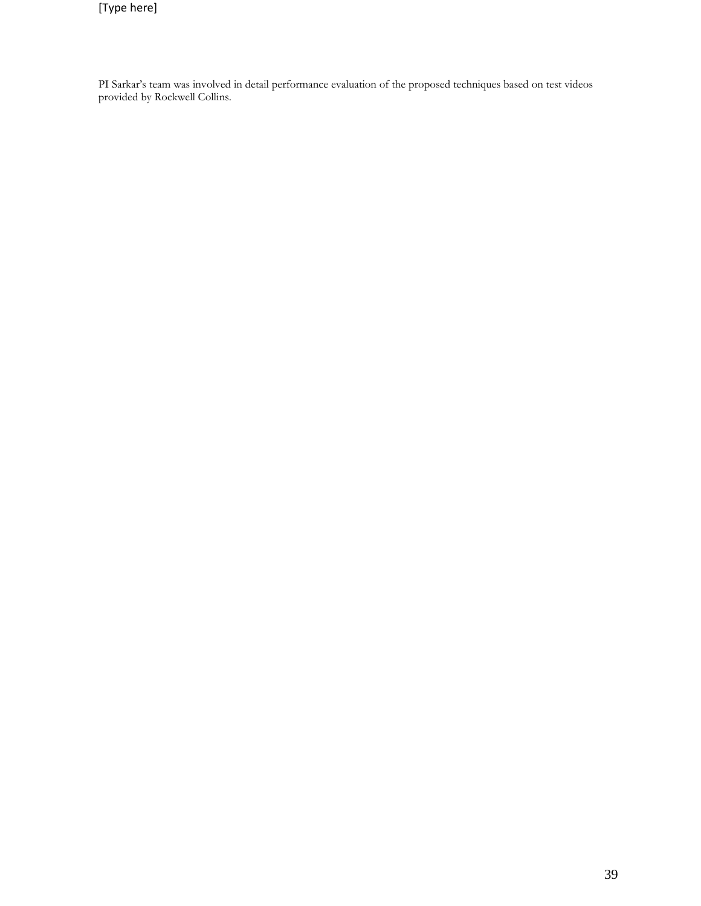PI Sarkar's team was involved in detail performance evaluation of the proposed techniques based on test videos provided by Rockwell Collins.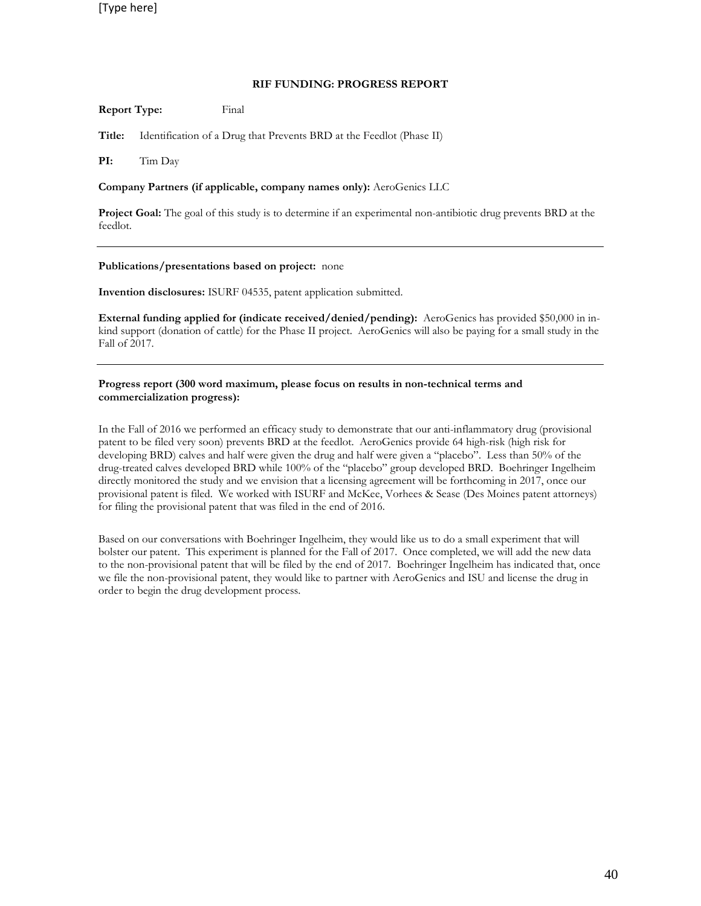**Report Type:** Final

**Title:** Identification of a Drug that Prevents BRD at the Feedlot (Phase II)

**PI:** Tim Day

**Company Partners (if applicable, company names only):** AeroGenics LLC

**Project Goal:** The goal of this study is to determine if an experimental non-antibiotic drug prevents BRD at the feedlot.

#### **Publications/presentations based on project:** none

**Invention disclosures:** ISURF 04535, patent application submitted.

**External funding applied for (indicate received/denied/pending):** AeroGenics has provided \$50,000 in inkind support (donation of cattle) for the Phase II project. AeroGenics will also be paying for a small study in the Fall of 2017.

### **Progress report (300 word maximum, please focus on results in non-technical terms and commercialization progress):**

In the Fall of 2016 we performed an efficacy study to demonstrate that our anti-inflammatory drug (provisional patent to be filed very soon) prevents BRD at the feedlot. AeroGenics provide 64 high-risk (high risk for developing BRD) calves and half were given the drug and half were given a "placebo". Less than 50% of the drug-treated calves developed BRD while 100% of the "placebo" group developed BRD. Boehringer Ingelheim directly monitored the study and we envision that a licensing agreement will be forthcoming in 2017, once our provisional patent is filed. We worked with ISURF and McKee, Vorhees & Sease (Des Moines patent attorneys) for filing the provisional patent that was filed in the end of 2016.

Based on our conversations with Boehringer Ingelheim, they would like us to do a small experiment that will bolster our patent. This experiment is planned for the Fall of 2017. Once completed, we will add the new data to the non-provisional patent that will be filed by the end of 2017. Boehringer Ingelheim has indicated that, once we file the non-provisional patent, they would like to partner with AeroGenics and ISU and license the drug in order to begin the drug development process.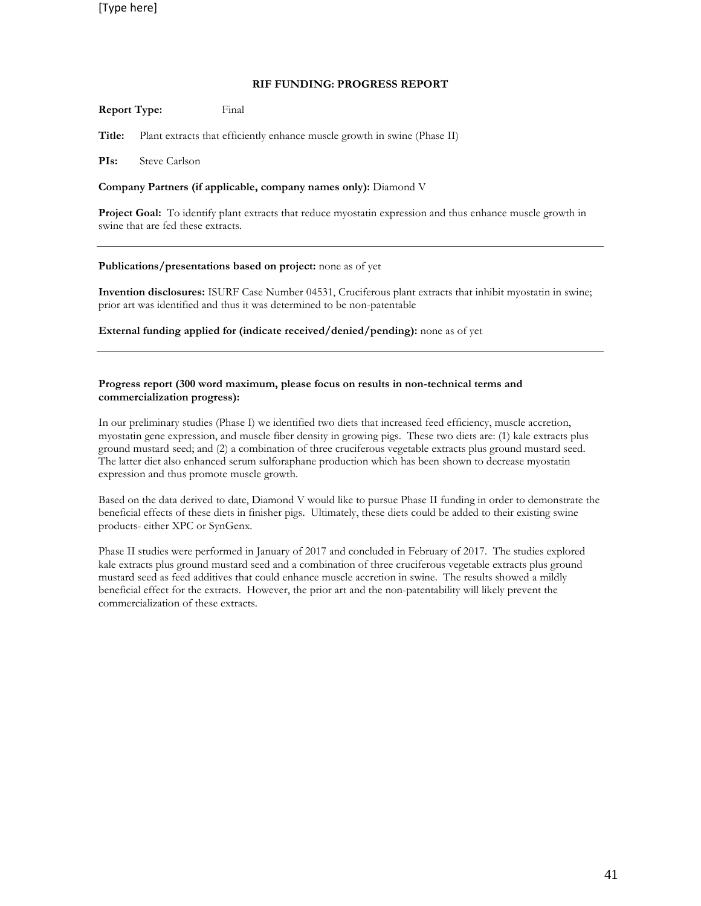#### **RIF FUNDING: PROGRESS REPORT**

**Report Type:** Final

**Title:** Plant extracts that efficiently enhance muscle growth in swine (Phase II)

**PIs:** Steve Carlson

**Company Partners (if applicable, company names only):** Diamond V

**Project Goal:** To identify plant extracts that reduce myostatin expression and thus enhance muscle growth in swine that are fed these extracts.

#### Publications/presentations based on project: none as of yet

**Invention disclosures:** ISURF Case Number 04531, Cruciferous plant extracts that inhibit myostatin in swine; prior art was identified and thus it was determined to be non-patentable

**External funding applied for (indicate received/denied/pending):** none as of yet

#### **Progress report (300 word maximum, please focus on results in non-technical terms and commercialization progress):**

In our preliminary studies (Phase I) we identified two diets that increased feed efficiency, muscle accretion, myostatin gene expression, and muscle fiber density in growing pigs. These two diets are: (1) kale extracts plus ground mustard seed; and (2) a combination of three cruciferous vegetable extracts plus ground mustard seed. The latter diet also enhanced serum sulforaphane production which has been shown to decrease myostatin expression and thus promote muscle growth.

Based on the data derived to date, Diamond V would like to pursue Phase II funding in order to demonstrate the beneficial effects of these diets in finisher pigs. Ultimately, these diets could be added to their existing swine products- either XPC or SynGenx.

Phase II studies were performed in January of 2017 and concluded in February of 2017. The studies explored kale extracts plus ground mustard seed and a combination of three cruciferous vegetable extracts plus ground mustard seed as feed additives that could enhance muscle accretion in swine. The results showed a mildly beneficial effect for the extracts. However, the prior art and the non-patentability will likely prevent the commercialization of these extracts.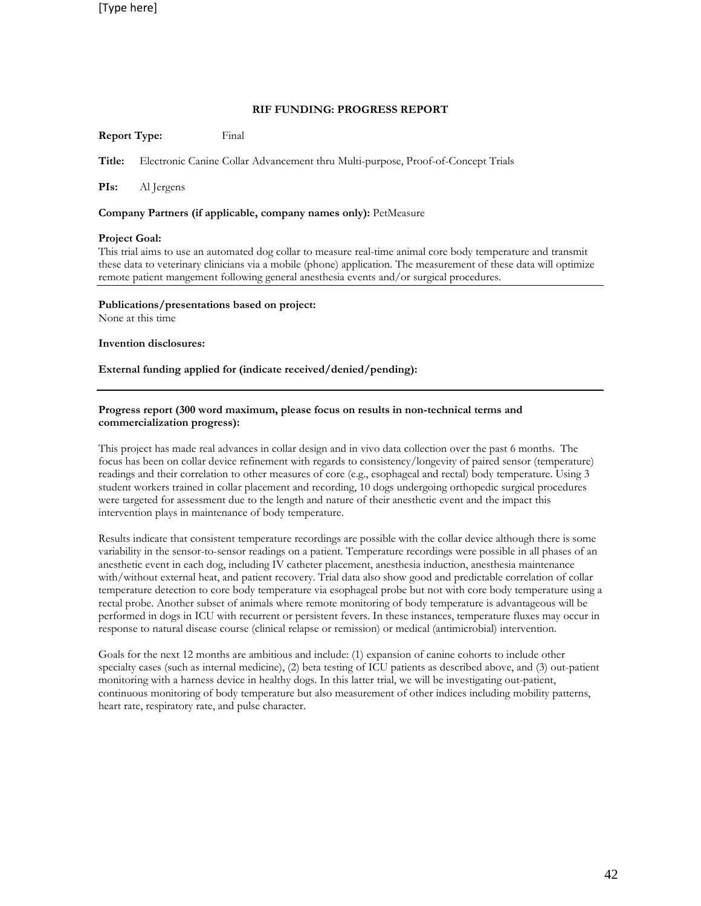#### **RIF FUNDING: PROGRESS REPORT**

**Report Type:** Final

**Title:** Electronic Canine Collar Advancement thru Multi-purpose, Proof-of-Concept Trials

**PIs:** Al Jergens

**Company Partners (if applicable, company names only):** PetMeasure

#### **Project Goal:**

This trial aims to use an automated dog collar to measure real-time animal core body temperature and transmit these data to veterinary clinicians via a mobile (phone) application. The measurement of these data will optimize remote patient mangement following general anesthesia events and/or surgical procedures.

#### **Publications/presentations based on project:**

None at this time

#### **Invention disclosures:**

**External funding applied for (indicate received/denied/pending):**

## **Progress report (300 word maximum, please focus on results in non-technical terms and commercialization progress):**

This project has made real advances in collar design and in vivo data collection over the past 6 months. The focus has been on collar device refinement with regards to consistency/longevity of paired sensor (temperature) readings and their correlation to other measures of core (e.g., esophageal and rectal) body temperature. Using 3 student workers trained in collar placement and recording, 10 dogs undergoing orthopedic surgical procedures were targeted for assessment due to the length and nature of their anesthetic event and the impact this intervention plays in maintenance of body temperature.

Results indicate that consistent temperature recordings are possible with the collar device although there is some variability in the sensor-to-sensor readings on a patient. Temperature recordings were possible in all phases of an anesthetic event in each dog, including IV catheter placement, anesthesia induction, anesthesia maintenance with/without external heat, and patient recovery. Trial data also show good and predictable correlation of collar temperature detection to core body temperature via esophageal probe but not with core body temperature using a rectal probe. Another subset of animals where remote monitoring of body temperature is advantageous will be performed in dogs in ICU with recurrent or persistent fevers. In these instances, temperature fluxes may occur in response to natural disease course (clinical relapse or remission) or medical (antimicrobial) intervention.

Goals for the next 12 months are ambitious and include: (1) expansion of canine cohorts to include other specialty cases (such as internal medicine), (2) beta testing of ICU patients as described above, and (3) out-patient monitoring with a harness device in healthy dogs. In this latter trial, we will be investigating out-patient, continuous monitoring of body temperature but also measurement of other indices including mobility patterns, heart rate, respiratory rate, and pulse character.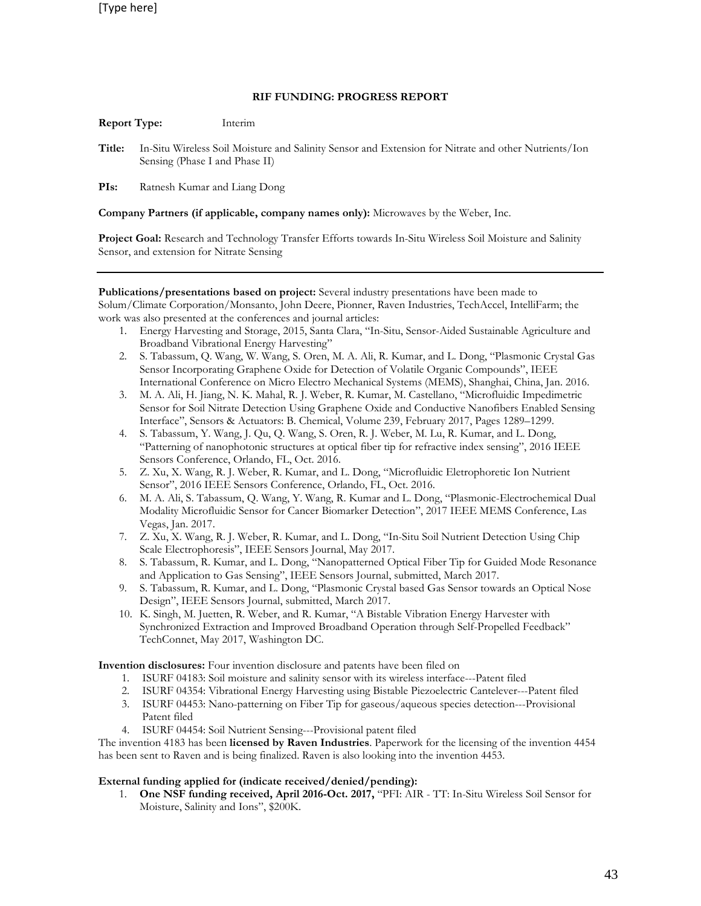#### **RIF FUNDING: PROGRESS REPORT**

**Report Type:** Interim

**Title:** In-Situ Wireless Soil Moisture and Salinity Sensor and Extension for Nitrate and other Nutrients/Ion Sensing (Phase I and Phase II)

**PIs:** Ratnesh Kumar and Liang Dong

**Company Partners (if applicable, company names only):** Microwaves by the Weber, Inc.

**Project Goal:** Research and Technology Transfer Efforts towards In-Situ Wireless Soil Moisture and Salinity Sensor, and extension for Nitrate Sensing

**Publications/presentations based on project:** Several industry presentations have been made to Solum/Climate Corporation/Monsanto, John Deere, Pionner, Raven Industries, TechAccel, IntelliFarm; the work was also presented at the conferences and journal articles:

- 1. Energy Harvesting and Storage, 2015, Santa Clara, "In-Situ, Sensor-Aided Sustainable Agriculture and Broadband Vibrational Energy Harvesting"
- 2. S. Tabassum, Q. Wang, W. Wang, S. Oren, M. A. Ali, R. Kumar, and L. Dong, "Plasmonic Crystal Gas Sensor Incorporating Graphene Oxide for Detection of Volatile Organic Compounds", IEEE International Conference on Micro Electro Mechanical Systems (MEMS), Shanghai, China, Jan. 2016.
- 3. M. A. Ali, H. Jiang, N. K. Mahal, R. J. Weber, R. Kumar, M. Castellano, "Microfluidic Impedimetric Sensor for Soil Nitrate Detection Using Graphene Oxide and Conductive Nanofibers Enabled Sensing Interface", Sensors & Actuators: B. Chemical, Volume 239, February 2017, Pages 1289–1299.
- 4. S. Tabassum, Y. Wang, J. Qu, Q. Wang, S. Oren, R. J. Weber, M. Lu, R. Kumar, and L. Dong, "Patterning of nanophotonic structures at optical fiber tip for refractive index sensing", 2016 IEEE Sensors Conference, Orlando, FL, Oct. 2016.
- 5. Z. Xu, X. Wang, R. J. Weber, R. Kumar, and L. Dong, "Microfluidic Eletrophoretic Ion Nutrient Sensor", 2016 IEEE Sensors Conference, Orlando, FL, Oct. 2016.
- 6. M. A. Ali, S. Tabassum, Q. Wang, Y. Wang, R. Kumar and L. Dong, "Plasmonic-Electrochemical Dual Modality Microfluidic Sensor for Cancer Biomarker Detection", 2017 IEEE MEMS Conference, Las Vegas, Jan. 2017.
- 7. Z. Xu, X. Wang, R. J. Weber, R. Kumar, and L. Dong, "In-Situ Soil Nutrient Detection Using Chip Scale Electrophoresis", IEEE Sensors Journal, May 2017.
- 8. S. Tabassum, R. Kumar, and L. Dong, "Nanopatterned Optical Fiber Tip for Guided Mode Resonance and Application to Gas Sensing", IEEE Sensors Journal, submitted, March 2017.
- 9. S. Tabassum, R. Kumar, and L. Dong, "Plasmonic Crystal based Gas Sensor towards an Optical Nose Design", IEEE Sensors Journal, submitted, March 2017.
- 10. K. Singh, M. Juetten, R. Weber, and R. Kumar, "A Bistable Vibration Energy Harvester with Synchronized Extraction and Improved Broadband Operation through Self-Propelled Feedback" TechConnet, May 2017, Washington DC.

**Invention disclosures:** Four invention disclosure and patents have been filed on

- 1. ISURF 04183: Soil moisture and salinity sensor with its wireless interface---Patent filed
- 2. ISURF 04354: Vibrational Energy Harvesting using Bistable Piezoelectric Cantelever---Patent filed
- 3. ISURF 04453: Nano-patterning on Fiber Tip for gaseous/aqueous species detection---Provisional Patent filed
- 4. ISURF 04454: Soil Nutrient Sensing---Provisional patent filed

The invention 4183 has been **licensed by Raven Industries**. Paperwork for the licensing of the invention 4454 has been sent to Raven and is being finalized. Raven is also looking into the invention 4453.

## **External funding applied for (indicate received/denied/pending):**

1. **One NSF funding received, April 2016-Oct. 2017,** "PFI: AIR - TT: In-Situ Wireless Soil Sensor for Moisture, Salinity and Ions", \$200K.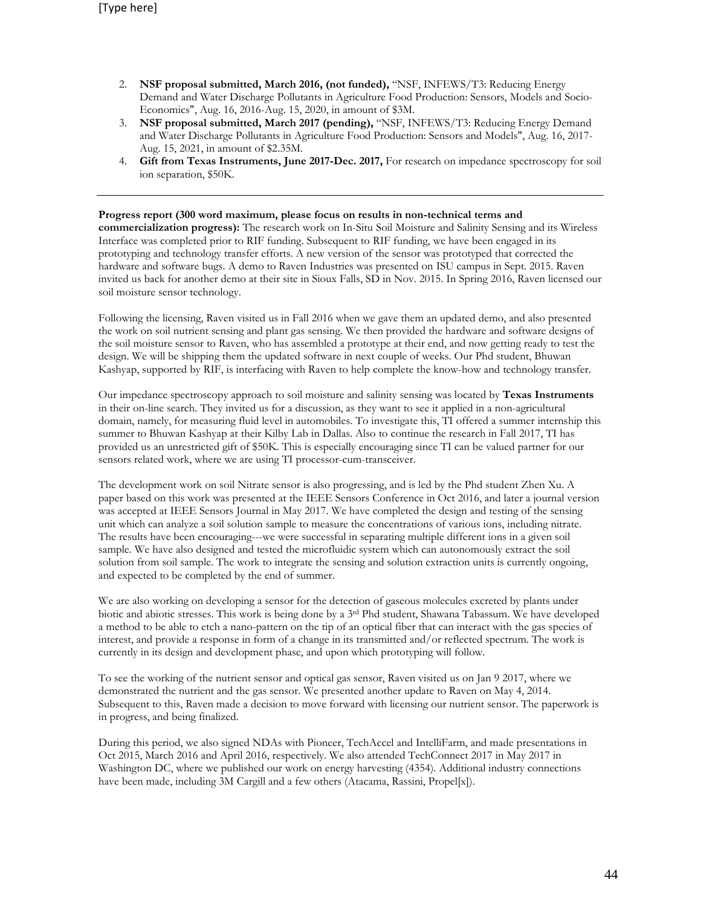- 2. **NSF proposal submitted, March 2016, (not funded),** "NSF, INFEWS/T3: Reducing Energy Demand and Water Discharge Pollutants in Agriculture Food Production: Sensors, Models and Socio-Economics", Aug. 16, 2016-Aug. 15, 2020, in amount of \$3M.
- 3. **NSF proposal submitted, March 2017 (pending),** "NSF, INFEWS/T3: Reducing Energy Demand and Water Discharge Pollutants in Agriculture Food Production: Sensors and Models", Aug. 16, 2017- Aug. 15, 2021, in amount of \$2.35M.
- 4. **Gift from Texas Instruments, June 2017-Dec. 2017,** For research on impedance spectroscopy for soil ion separation, \$50K.

**Progress report (300 word maximum, please focus on results in non-technical terms and commercialization progress):** The research work on In-Situ Soil Moisture and Salinity Sensing and its Wireless Interface was completed prior to RIF funding. Subsequent to RIF funding, we have been engaged in its prototyping and technology transfer efforts. A new version of the sensor was prototyped that corrected the hardware and software bugs. A demo to Raven Industries was presented on ISU campus in Sept. 2015. Raven invited us back for another demo at their site in Sioux Falls, SD in Nov. 2015. In Spring 2016, Raven licensed our soil moisture sensor technology.

Following the licensing, Raven visited us in Fall 2016 when we gave them an updated demo, and also presented the work on soil nutrient sensing and plant gas sensing. We then provided the hardware and software designs of the soil moisture sensor to Raven, who has assembled a prototype at their end, and now getting ready to test the design. We will be shipping them the updated software in next couple of weeks. Our Phd student, Bhuwan Kashyap, supported by RIF, is interfacing with Raven to help complete the know-how and technology transfer.

Our impedance spectroscopy approach to soil moisture and salinity sensing was located by **Texas Instruments** in their on-line search. They invited us for a discussion, as they want to see it applied in a non-agricultural domain, namely, for measuring fluid level in automobiles. To investigate this, TI offered a summer internship this summer to Bhuwan Kashyap at their Kilby Lab in Dallas. Also to continue the research in Fall 2017, TI has provided us an unrestricted gift of \$50K. This is especially encouraging since TI can be valued partner for our sensors related work, where we are using TI processor-cum-transceiver.

The development work on soil Nitrate sensor is also progressing, and is led by the Phd student Zhen Xu. A paper based on this work was presented at the IEEE Sensors Conference in Oct 2016, and later a journal version was accepted at IEEE Sensors Journal in May 2017. We have completed the design and testing of the sensing unit which can analyze a soil solution sample to measure the concentrations of various ions, including nitrate. The results have been encouraging---we were successful in separating multiple different ions in a given soil sample. We have also designed and tested the microfluidic system which can autonomously extract the soil solution from soil sample. The work to integrate the sensing and solution extraction units is currently ongoing, and expected to be completed by the end of summer.

We are also working on developing a sensor for the detection of gaseous molecules excreted by plants under biotic and abiotic stresses. This work is being done by a 3<sup>rd</sup> Phd student, Shawana Tabassum. We have developed a method to be able to etch a nano-pattern on the tip of an optical fiber that can interact with the gas species of interest, and provide a response in form of a change in its transmitted and/or reflected spectrum. The work is currently in its design and development phase, and upon which prototyping will follow.

To see the working of the nutrient sensor and optical gas sensor, Raven visited us on Jan 9 2017, where we demonstrated the nutrient and the gas sensor. We presented another update to Raven on May 4, 2014. Subsequent to this, Raven made a decision to move forward with licensing our nutrient sensor. The paperwork is in progress, and being finalized.

During this period, we also signed NDAs with Pioneer, TechAccel and IntelliFarm, and made presentations in Oct 2015, March 2016 and April 2016, respectively. We also attended TechConnect 2017 in May 2017 in Washington DC, where we published our work on energy harvesting (4354). Additional industry connections have been made, including 3M Cargill and a few others (Atacama, Rassini, Propel[x]).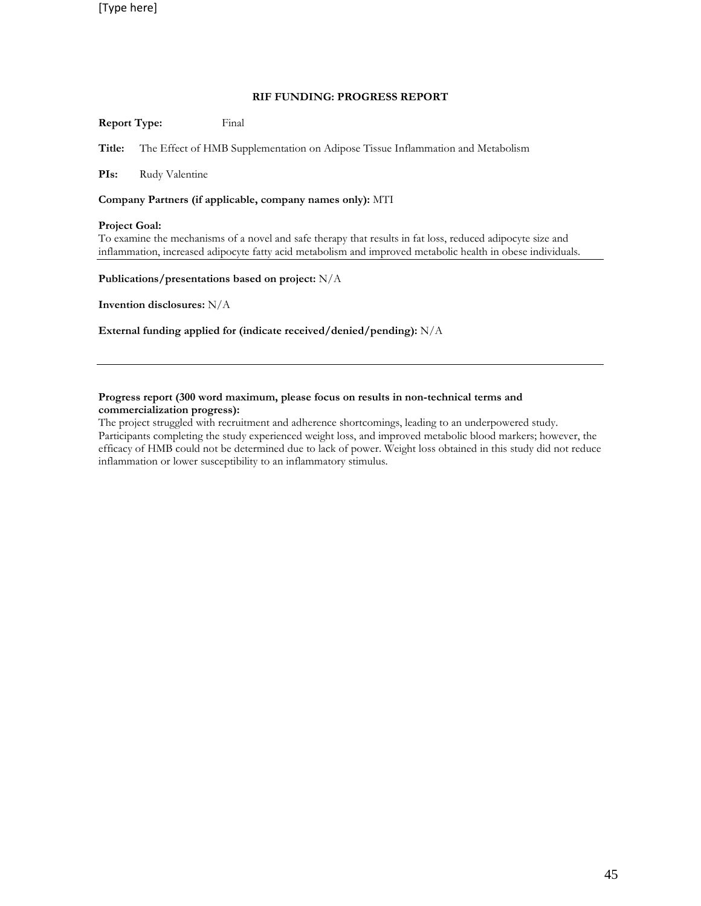**Report Type:** Final

**Title:** The Effect of HMB Supplementation on Adipose Tissue Inflammation and Metabolism

**PIs:** Rudy Valentine

**Company Partners (if applicable, company names only):** MTI

## **Project Goal:**

To examine the mechanisms of a novel and safe therapy that results in fat loss, reduced adipocyte size and inflammation, increased adipocyte fatty acid metabolism and improved metabolic health in obese individuals.

**Publications/presentations based on project:** N/A

**Invention disclosures:** N/A

**External funding applied for (indicate received/denied/pending):** N/A

## **Progress report (300 word maximum, please focus on results in non-technical terms and commercialization progress):**

The project struggled with recruitment and adherence shortcomings, leading to an underpowered study. Participants completing the study experienced weight loss, and improved metabolic blood markers; however, the efficacy of HMB could not be determined due to lack of power. Weight loss obtained in this study did not reduce inflammation or lower susceptibility to an inflammatory stimulus.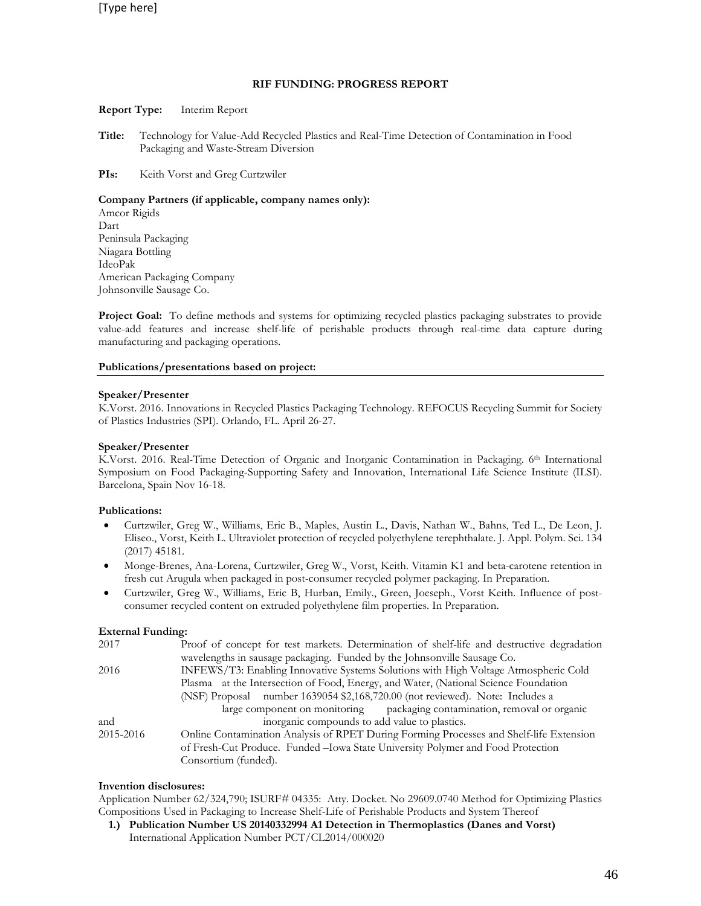## **Report Type:** Interim Report

**Title:** Technology for Value-Add Recycled Plastics and Real-Time Detection of Contamination in Food Packaging and Waste-Stream Diversion

**PIs:** Keith Vorst and Greg Curtzwiler

## **Company Partners (if applicable, company names only):**

Amcor Rigids Dart Peninsula Packaging Niagara Bottling IdeoPak American Packaging Company Johnsonville Sausage Co.

**Project Goal:** To define methods and systems for optimizing recycled plastics packaging substrates to provide value-add features and increase shelf-life of perishable products through real-time data capture during manufacturing and packaging operations.

#### **Publications/presentations based on project:**

## **Speaker/Presenter**

K.Vorst. 2016. Innovations in Recycled Plastics Packaging Technology. REFOCUS Recycling Summit for Society of Plastics Industries (SPI). Orlando, FL. April 26-27.

## **Speaker/Presenter**

K.Vorst. 2016. Real-Time Detection of Organic and Inorganic Contamination in Packaging. 6th International Symposium on Food Packaging-Supporting Safety and Innovation, International Life Science Institute (ILSI). Barcelona, Spain Nov 16-18.

## **Publications:**

- Curtzwiler, Greg W., Williams, Eric B., Maples, Austin L., Davis, Nathan W., Bahns, Ted L., De Leon, J. Eliseo., Vorst, Keith L. Ultraviolet protection of recycled polyethylene terephthalate. J. Appl. Polym. Sci. 134 (2017) 45181.
- Monge-Brenes, Ana-Lorena, Curtzwiler, Greg W., Vorst, Keith. Vitamin K1 and beta-carotene retention in fresh cut Arugula when packaged in post-consumer recycled polymer packaging. In Preparation.
- Curtzwiler, Greg W., Williams, Eric B, Hurban, Emily., Green, Joeseph., Vorst Keith. Influence of postconsumer recycled content on extruded polyethylene film properties. In Preparation.

## **External Funding:**

| 2017      | Proof of concept for test markets. Determination of shelf-life and destructive degradation |  |  |  |  |
|-----------|--------------------------------------------------------------------------------------------|--|--|--|--|
|           | wavelengths in sausage packaging. Funded by the Johnsonville Sausage Co.                   |  |  |  |  |
| 2016      | INFEWS/T3: Enabling Innovative Systems Solutions with High Voltage Atmospheric Cold        |  |  |  |  |
|           | Plasma at the Intersection of Food, Energy, and Water, (National Science Foundation        |  |  |  |  |
|           | (NSF) Proposal number 1639054 \$2,168,720.00 (not reviewed). Note: Includes a              |  |  |  |  |
|           | large component on monitoring packaging contamination, removal or organic                  |  |  |  |  |
| and       | inorganic compounds to add value to plastics.                                              |  |  |  |  |
| 2015-2016 | Online Contamination Analysis of RPET During Forming Processes and Shelf-life Extension    |  |  |  |  |
|           | of Fresh-Cut Produce. Funded – Iowa State University Polymer and Food Protection           |  |  |  |  |
|           | Consortium (funded).                                                                       |  |  |  |  |

#### **Invention disclosures:**

Application Number 62/324,790; ISURF# 04335: Atty. Docket. No 29609.0740 Method for Optimizing Plastics Compositions Used in Packaging to Increase Shelf-Life of Perishable Products and System Thereof

**1.) Publication Number US 20140332994 A1 Detection in Thermoplastics (Danes and Vorst)** International Application Number PCT/CL2014/000020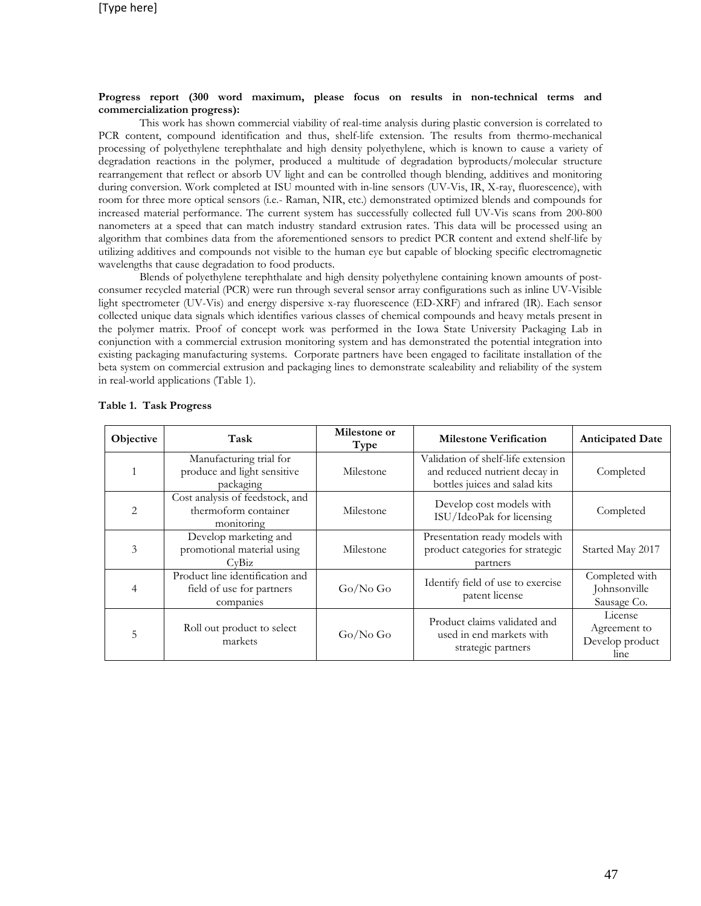## **Progress report (300 word maximum, please focus on results in non-technical terms and commercialization progress):**

This work has shown commercial viability of real-time analysis during plastic conversion is correlated to PCR content, compound identification and thus, shelf-life extension. The results from thermo-mechanical processing of polyethylene terephthalate and high density polyethylene, which is known to cause a variety of degradation reactions in the polymer, produced a multitude of degradation byproducts/molecular structure rearrangement that reflect or absorb UV light and can be controlled though blending, additives and monitoring during conversion. Work completed at ISU mounted with in-line sensors (UV-Vis, IR, X-ray, fluorescence), with room for three more optical sensors (i.e.- Raman, NIR, etc.) demonstrated optimized blends and compounds for increased material performance. The current system has successfully collected full UV-Vis scans from 200-800 nanometers at a speed that can match industry standard extrusion rates. This data will be processed using an algorithm that combines data from the aforementioned sensors to predict PCR content and extend shelf-life by utilizing additives and compounds not visible to the human eye but capable of blocking specific electromagnetic wavelengths that cause degradation to food products.

Blends of polyethylene terephthalate and high density polyethylene containing known amounts of postconsumer recycled material (PCR) were run through several sensor array configurations such as inline UV-Visible light spectrometer (UV-Vis) and energy dispersive x-ray fluorescence (ED-XRF) and infrared (IR). Each sensor collected unique data signals which identifies various classes of chemical compounds and heavy metals present in the polymer matrix. Proof of concept work was performed in the Iowa State University Packaging Lab in conjunction with a commercial extrusion monitoring system and has demonstrated the potential integration into existing packaging manufacturing systems. Corporate partners have been engaged to facilitate installation of the beta system on commercial extrusion and packaging lines to demonstrate scaleability and reliability of the system in real-world applications (Table 1).

| Objective | Task                                                                      | Milestone or<br>Type | <b>Milestone Verification</b>                                                                        | <b>Anticipated Date</b>                            |
|-----------|---------------------------------------------------------------------------|----------------------|------------------------------------------------------------------------------------------------------|----------------------------------------------------|
|           | Manufacturing trial for<br>produce and light sensitive<br>packaging       | Milestone            | Validation of shelf-life extension<br>and reduced nutrient decay in<br>bottles juices and salad kits | Completed                                          |
| 2         | Cost analysis of feedstock, and<br>thermoform container<br>monitoring     | Milestone            | Develop cost models with<br>ISU/IdeoPak for licensing                                                | Completed                                          |
| 3         | Develop marketing and<br>promotional material using<br>CvBiz              | Milestone            | Presentation ready models with<br>product categories for strategic<br>partners                       | Started May 2017                                   |
| 4         | Product line identification and<br>field of use for partners<br>companies | Go/No Go             | Identify field of use to exercise<br>patent license                                                  | Completed with<br>Johnsonville<br>Sausage Co.      |
| 5         | Roll out product to select<br>markets                                     | Go/No Go             | Product claims validated and<br>used in end markets with<br>strategic partners                       | License<br>Agreement to<br>Develop product<br>line |

## **Table 1. Task Progress**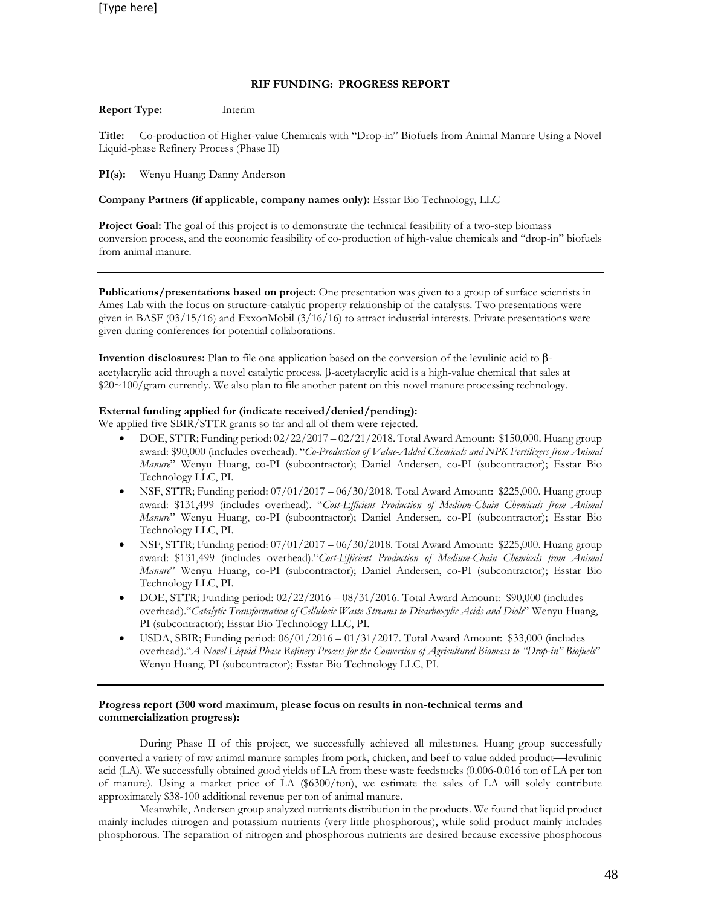#### **Report Type:** Interim

**Title:** Co-production of Higher-value Chemicals with "Drop-in" Biofuels from Animal Manure Using a Novel Liquid-phase Refinery Process (Phase II)

**PI(s):** Wenyu Huang; Danny Anderson

**Company Partners (if applicable, company names only):** Esstar Bio Technology, LLC

**Project Goal:** The goal of this project is to demonstrate the technical feasibility of a two-step biomass conversion process, and the economic feasibility of co-production of high-value chemicals and "drop-in" biofuels from animal manure.

**Publications/presentations based on project:** One presentation was given to a group of surface scientists in Ames Lab with the focus on structure-catalytic property relationship of the catalysts. Two presentations were given in BASF (03/15/16) and ExxonMobil (3/16/16) to attract industrial interests. Private presentations were given during conferences for potential collaborations.

**Invention disclosures:** Plan to file one application based on the conversion of the levulinic acid to βacetylacrylic acid through a novel catalytic process. β-acetylacrylic acid is a high-value chemical that sales at \$20~100/gram currently. We also plan to file another patent on this novel manure processing technology.

#### **External funding applied for (indicate received/denied/pending):**

We applied five SBIR/STTR grants so far and all of them were rejected.

- DOE, STTR; Funding period: 02/22/2017 02/21/2018. Total Award Amount: \$150,000. Huang group award: \$90,000 (includes overhead). "*Co-Production of Value-Added Chemicals and NPK Fertilizers from Animal Manure*" Wenyu Huang, co-PI (subcontractor); Daniel Andersen, co-PI (subcontractor); Esstar Bio Technology LLC, PI.
- NSF, STTR; Funding period: 07/01/2017 06/30/2018. Total Award Amount: \$225,000. Huang group award: \$131,499 (includes overhead). "*Cost-Efficient Production of Medium-Chain Chemicals from Animal Manure*" Wenyu Huang, co-PI (subcontractor); Daniel Andersen, co-PI (subcontractor); Esstar Bio Technology LLC, PI.
- NSF, STTR; Funding period: 07/01/2017 06/30/2018. Total Award Amount: \$225,000. Huang group award: \$131,499 (includes overhead)."*Cost-Efficient Production of Medium-Chain Chemicals from Animal Manure*" Wenyu Huang, co-PI (subcontractor); Daniel Andersen, co-PI (subcontractor); Esstar Bio Technology LLC, PI.
- DOE, STTR; Funding period: 02/22/2016 08/31/2016. Total Award Amount: \$90,000 (includes overhead)."*Catalytic Transformation of Cellulosic Waste Streams to Dicarboxylic Acids and Diols*" Wenyu Huang, PI (subcontractor); Esstar Bio Technology LLC, PI.
- USDA, SBIR; Funding period: 06/01/2016 01/31/2017. Total Award Amount: \$33,000 (includes overhead)."*A Novel Liquid Phase Refinery Process for the Conversion of Agricultural Biomass to "Drop-in" Biofuels*" Wenyu Huang, PI (subcontractor); Esstar Bio Technology LLC, PI.

#### **Progress report (300 word maximum, please focus on results in non-technical terms and commercialization progress):**

During Phase II of this project, we successfully achieved all milestones. Huang group successfully converted a variety of raw animal manure samples from pork, chicken, and beef to value added product—levulinic acid (LA). We successfully obtained good yields of LA from these waste feedstocks (0.006-0.016 ton of LA per ton of manure). Using a market price of LA (\$6300/ton), we estimate the sales of LA will solely contribute approximately \$38-100 additional revenue per ton of animal manure.

Meanwhile, Andersen group analyzed nutrients distribution in the products. We found that liquid product mainly includes nitrogen and potassium nutrients (very little phosphorous), while solid product mainly includes phosphorous. The separation of nitrogen and phosphorous nutrients are desired because excessive phosphorous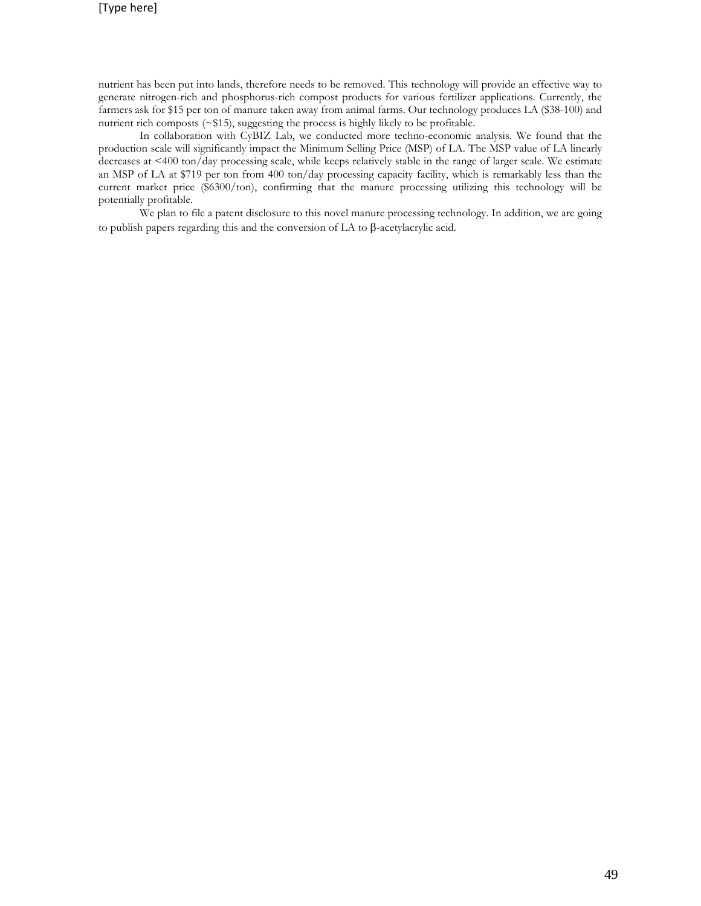nutrient has been put into lands, therefore needs to be removed. This technology will provide an effective way to generate nitrogen-rich and phosphorus-rich compost products for various fertilizer applications. Currently, the farmers ask for \$15 per ton of manure taken away from animal farms. Our technology produces LA (\$38-100) and nutrient rich composts  $(\sim $15)$ , suggesting the process is highly likely to be profitable.

In collaboration with CyBIZ Lab, we conducted more techno-economic analysis. We found that the production scale will significantly impact the Minimum Selling Price (MSP) of LA. The MSP value of LA linearly decreases at <400 ton/day processing scale, while keeps relatively stable in the range of larger scale. We estimate an MSP of LA at \$719 per ton from 400 ton/day processing capacity facility, which is remarkably less than the current market price (\$6300/ton), confirming that the manure processing utilizing this technology will be potentially profitable.

We plan to file a patent disclosure to this novel manure processing technology. In addition, we are going to publish papers regarding this and the conversion of LA to β-acetylacrylic acid.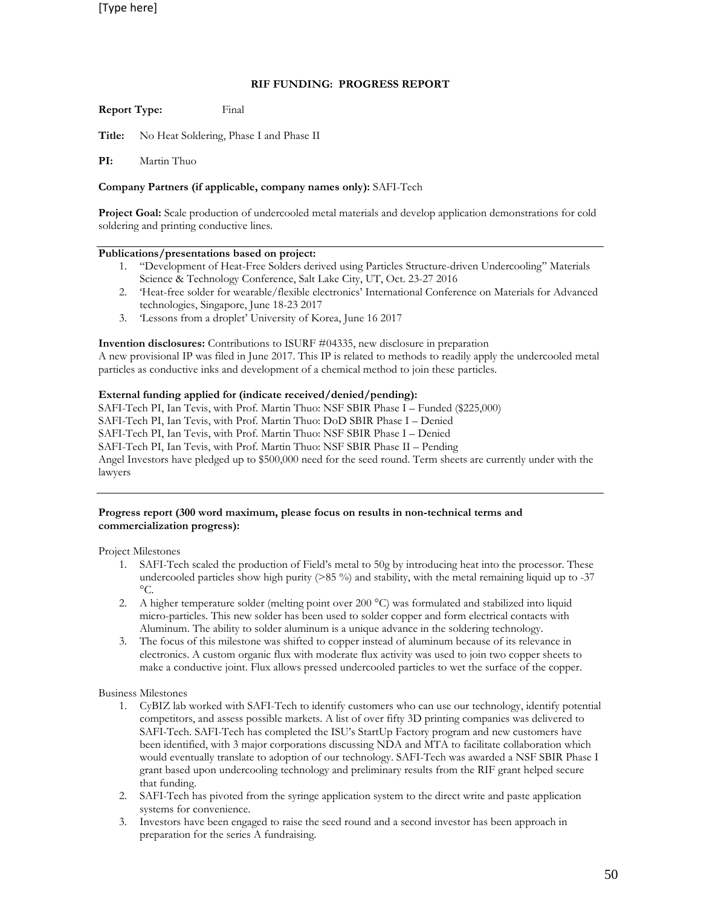**Report Type:** Final

**Title:** No Heat Soldering, Phase I and Phase II

**PI:** Martin Thuo

#### **Company Partners (if applicable, company names only):** SAFI-Tech

**Project Goal:** Scale production of undercooled metal materials and develop application demonstrations for cold soldering and printing conductive lines.

#### **Publications/presentations based on project:**

- 1. "Development of Heat-Free Solders derived using Particles Structure-driven Undercooling" Materials Science & Technology Conference, Salt Lake City, UT, Oct. 23-27 2016
- 2. 'Heat-free solder for wearable/flexible electronics' International Conference on Materials for Advanced technologies, Singapore, June 18-23 2017
- 3. 'Lessons from a droplet' University of Korea, June 16 2017

**Invention disclosures:** Contributions to ISURF #04335, new disclosure in preparation

A new provisional IP was filed in June 2017. This IP is related to methods to readily apply the undercooled metal particles as conductive inks and development of a chemical method to join these particles.

#### **External funding applied for (indicate received/denied/pending):**

SAFI-Tech PI, Ian Tevis, with Prof. Martin Thuo: NSF SBIR Phase I – Funded (\$225,000) SAFI-Tech PI, Ian Tevis, with Prof. Martin Thuo: DoD SBIR Phase I – Denied SAFI-Tech PI, Ian Tevis, with Prof. Martin Thuo: NSF SBIR Phase I – Denied SAFI-Tech PI, Ian Tevis, with Prof. Martin Thuo: NSF SBIR Phase II – Pending Angel Investors have pledged up to \$500,000 need for the seed round. Term sheets are currently under with the lawyers

## **Progress report (300 word maximum, please focus on results in non-technical terms and commercialization progress):**

Project Milestones

- 1. SAFI-Tech scaled the production of Field's metal to 50g by introducing heat into the processor. These undercooled particles show high purity (>85 %) and stability, with the metal remaining liquid up to -37  $\rm{^{\circ}C}.$
- 2. A higher temperature solder (melting point over 200 °C) was formulated and stabilized into liquid micro-particles. This new solder has been used to solder copper and form electrical contacts with Aluminum. The ability to solder aluminum is a unique advance in the soldering technology.
- 3. The focus of this milestone was shifted to copper instead of aluminum because of its relevance in electronics. A custom organic flux with moderate flux activity was used to join two copper sheets to make a conductive joint. Flux allows pressed undercooled particles to wet the surface of the copper.

Business Milestones

- 1. CyBIZ lab worked with SAFI-Tech to identify customers who can use our technology, identify potential competitors, and assess possible markets. A list of over fifty 3D printing companies was delivered to SAFI-Tech. SAFI-Tech has completed the ISU's StartUp Factory program and new customers have been identified, with 3 major corporations discussing NDA and MTA to facilitate collaboration which would eventually translate to adoption of our technology. SAFI-Tech was awarded a NSF SBIR Phase I grant based upon undercooling technology and preliminary results from the RIF grant helped secure that funding.
- 2. SAFI-Tech has pivoted from the syringe application system to the direct write and paste application systems for convenience.
- 3. Investors have been engaged to raise the seed round and a second investor has been approach in preparation for the series A fundraising.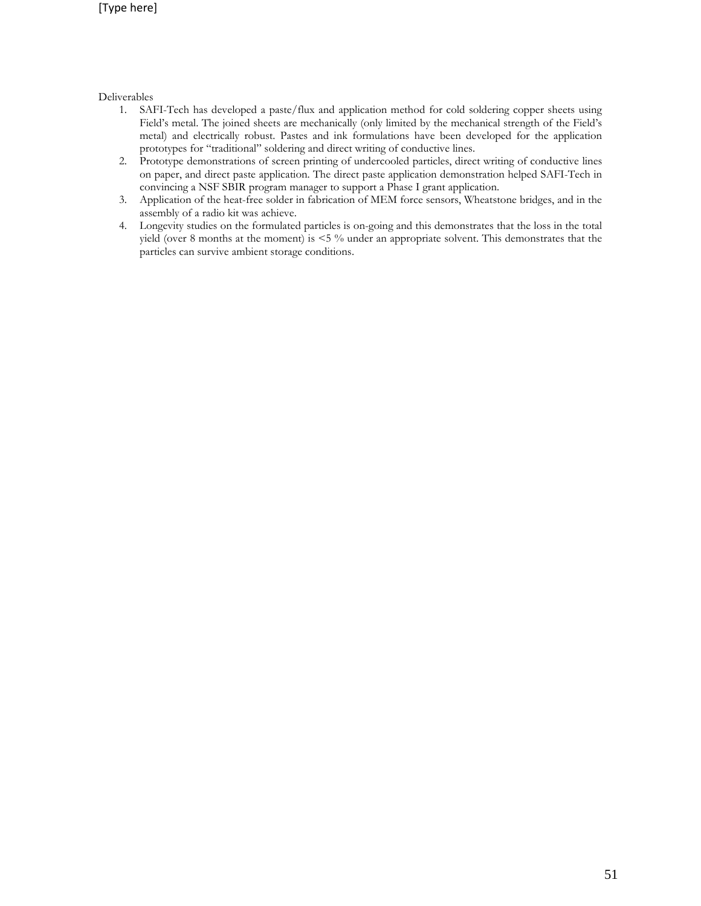Deliverables

- 1. SAFI-Tech has developed a paste/flux and application method for cold soldering copper sheets using Field's metal. The joined sheets are mechanically (only limited by the mechanical strength of the Field's metal) and electrically robust. Pastes and ink formulations have been developed for the application prototypes for "traditional" soldering and direct writing of conductive lines.
- 2. Prototype demonstrations of screen printing of undercooled particles, direct writing of conductive lines on paper, and direct paste application. The direct paste application demonstration helped SAFI-Tech in convincing a NSF SBIR program manager to support a Phase I grant application.
- 3. Application of the heat-free solder in fabrication of MEM force sensors, Wheatstone bridges, and in the assembly of a radio kit was achieve.
- 4. Longevity studies on the formulated particles is on-going and this demonstrates that the loss in the total yield (over 8 months at the moment) is <5 % under an appropriate solvent. This demonstrates that the particles can survive ambient storage conditions.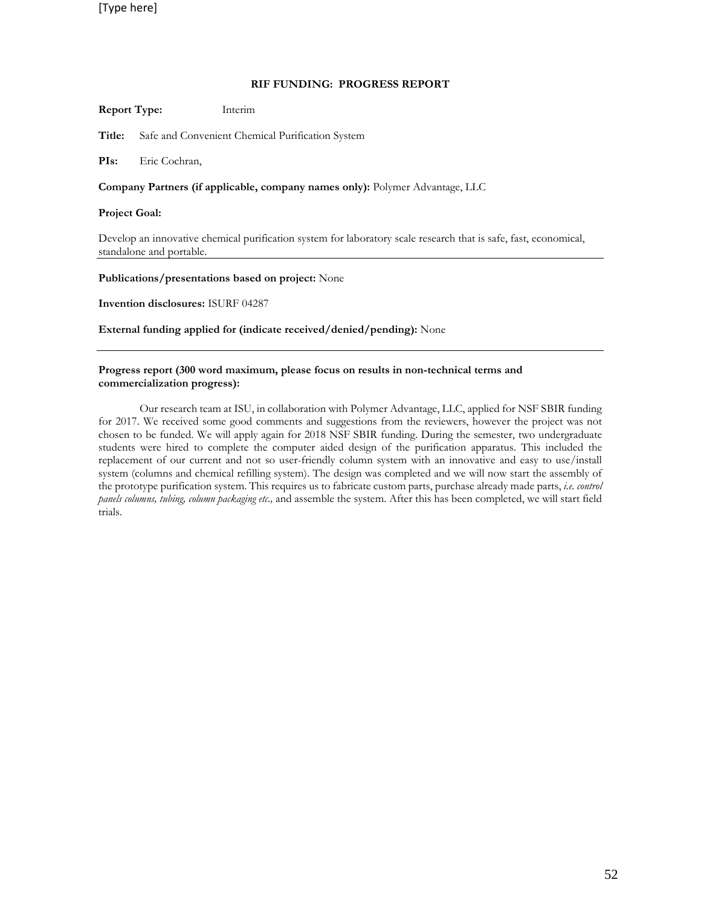#### **RIF FUNDING: PROGRESS REPORT**

**Report Type:** Interim

**Title:** Safe and Convenient Chemical Purification System

**PIs:** Eric Cochran,

**Company Partners (if applicable, company names only):** Polymer Advantage, LLC

#### **Project Goal:**

Develop an innovative chemical purification system for laboratory scale research that is safe, fast, economical, standalone and portable.

**Publications/presentations based on project:** None

**Invention disclosures:** ISURF 04287

**External funding applied for (indicate received/denied/pending):** None

#### **Progress report (300 word maximum, please focus on results in non-technical terms and commercialization progress):**

Our research team at ISU, in collaboration with Polymer Advantage, LLC, applied for NSF SBIR funding for 2017. We received some good comments and suggestions from the reviewers, however the project was not chosen to be funded. We will apply again for 2018 NSF SBIR funding. During the semester, two undergraduate students were hired to complete the computer aided design of the purification apparatus. This included the replacement of our current and not so user-friendly column system with an innovative and easy to use/install system (columns and chemical refilling system). The design was completed and we will now start the assembly of the prototype purification system. This requires us to fabricate custom parts, purchase already made parts, *i.e. control panels columns, tubing, column packaging etc.,* and assemble the system. After this has been completed, we will start field trials.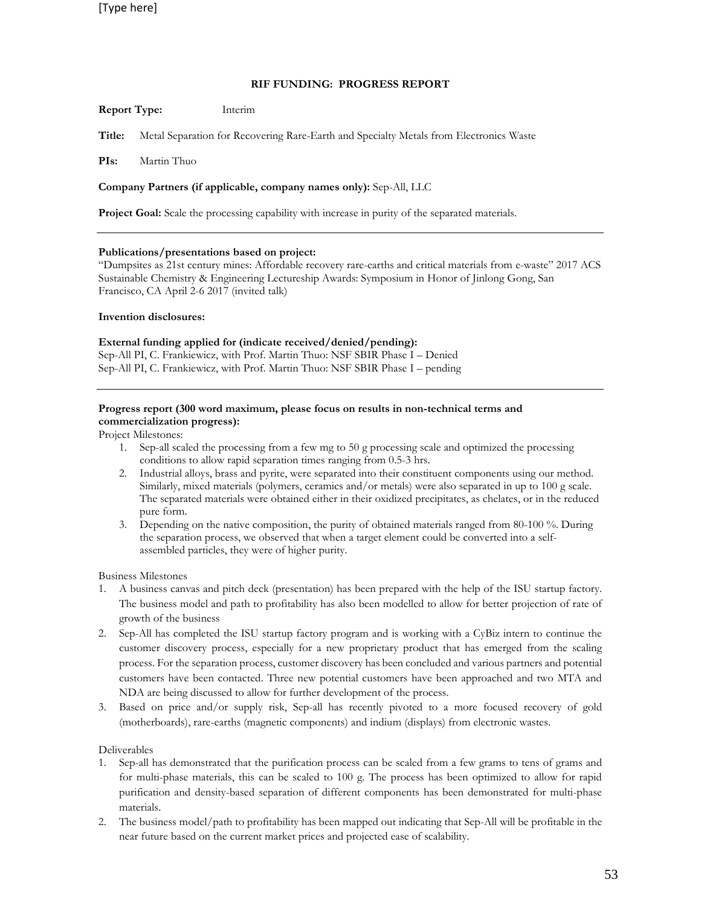#### **Report Type:** Interim

**Title:** Metal Separation for Recovering Rare-Earth and Specialty Metals from Electronics Waste

**PIs:** Martin Thuo

## **Company Partners (if applicable, company names only):** Sep-All, LLC

Project Goal: Scale the processing capability with increase in purity of the separated materials.

## **Publications/presentations based on project:**

"Dumpsites as 21st century mines: Affordable recovery rare-earths and critical materials from e-waste" 2017 ACS Sustainable Chemistry & Engineering Lectureship Awards: Symposium in Honor of Jinlong Gong, San Francisco, CA April 2-6 2017 (invited talk)

#### **Invention disclosures:**

#### **External funding applied for (indicate received/denied/pending):**

Sep-All PI, C. Frankiewicz, with Prof. Martin Thuo: NSF SBIR Phase I – Denied Sep-All PI, C. Frankiewicz, with Prof. Martin Thuo: NSF SBIR Phase I – pending

## **Progress report (300 word maximum, please focus on results in non-technical terms and commercialization progress):**

Project Milestones:

- 1. Sep-all scaled the processing from a few mg to 50 g processing scale and optimized the processing conditions to allow rapid separation times ranging from 0.5-3 hrs.
- 2. Industrial alloys, brass and pyrite, were separated into their constituent components using our method. Similarly, mixed materials (polymers, ceramics and/or metals) were also separated in up to 100 g scale. The separated materials were obtained either in their oxidized precipitates, as chelates, or in the reduced pure form.
- Depending on the native composition, the purity of obtained materials ranged from 80-100 %. During the separation process, we observed that when a target element could be converted into a selfassembled particles, they were of higher purity.

Business Milestones

- 1. A business canvas and pitch deck (presentation) has been prepared with the help of the ISU startup factory. The business model and path to profitability has also been modelled to allow for better projection of rate of growth of the business
- 2. Sep-All has completed the ISU startup factory program and is working with a CyBiz intern to continue the customer discovery process, especially for a new proprietary product that has emerged from the scaling process. For the separation process, customer discovery has been concluded and various partners and potential customers have been contacted. Three new potential customers have been approached and two MTA and NDA are being discussed to allow for further development of the process.
- 3. Based on price and/or supply risk, Sep-all has recently pivoted to a more focused recovery of gold (motherboards), rare-earths (magnetic components) and indium (displays) from electronic wastes.

#### Deliverables

- 1. Sep-all has demonstrated that the purification process can be scaled from a few grams to tens of grams and for multi-phase materials, this can be scaled to 100 g. The process has been optimized to allow for rapid purification and density-based separation of different components has been demonstrated for multi-phase materials.
- 2. The business model/path to profitability has been mapped out indicating that Sep-All will be profitable in the near future based on the current market prices and projected ease of scalability.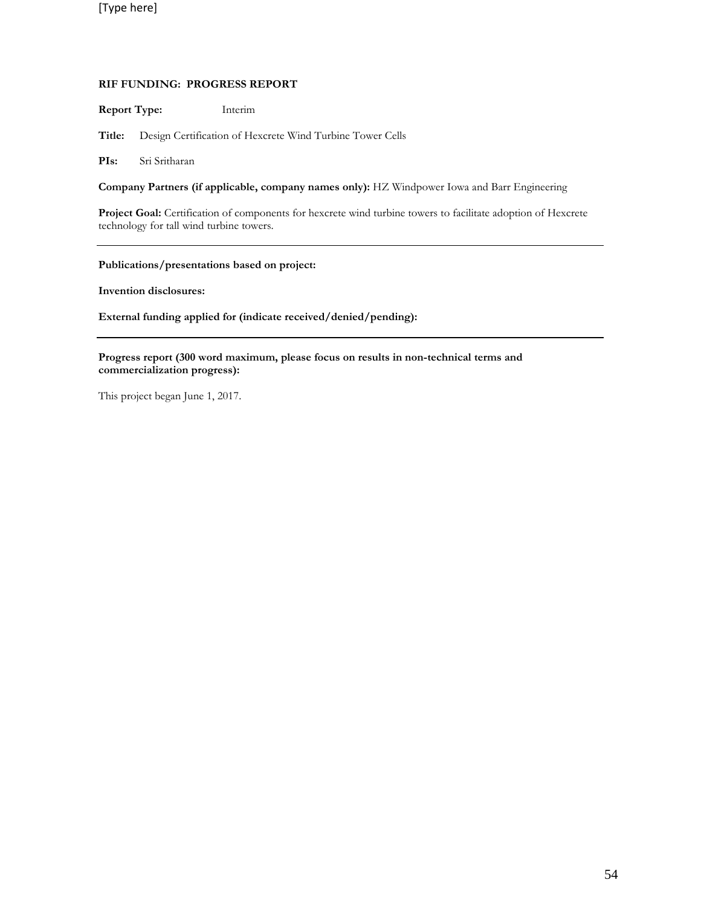**Report Type:** Interim

**Title:** Design Certification of Hexcrete Wind Turbine Tower Cells

**PIs:** Sri Sritharan

**Company Partners (if applicable, company names only):** HZ Windpower Iowa and Barr Engineering

Project Goal: Certification of components for hexcrete wind turbine towers to facilitate adoption of Hexcrete technology for tall wind turbine towers.

## **Publications/presentations based on project:**

**Invention disclosures:** 

**External funding applied for (indicate received/denied/pending):** 

**Progress report (300 word maximum, please focus on results in non-technical terms and commercialization progress):**

This project began June 1, 2017.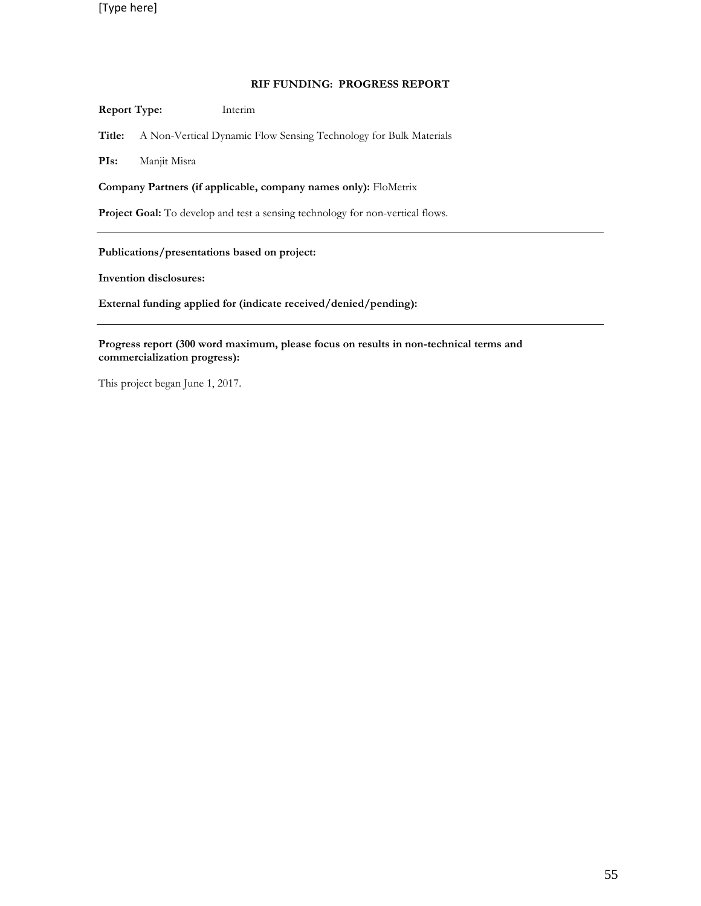## **RIF FUNDING: PROGRESS REPORT**

**Report Type:** Interim

**Title:** A Non-Vertical Dynamic Flow Sensing Technology for Bulk Materials

**PIs:** Manjit Misra

**Company Partners (if applicable, company names only):** FloMetrix

Project Goal: To develop and test a sensing technology for non-vertical flows.

**Publications/presentations based on project:** 

**Invention disclosures:** 

**External funding applied for (indicate received/denied/pending):** 

**Progress report (300 word maximum, please focus on results in non-technical terms and commercialization progress):**

This project began June 1, 2017.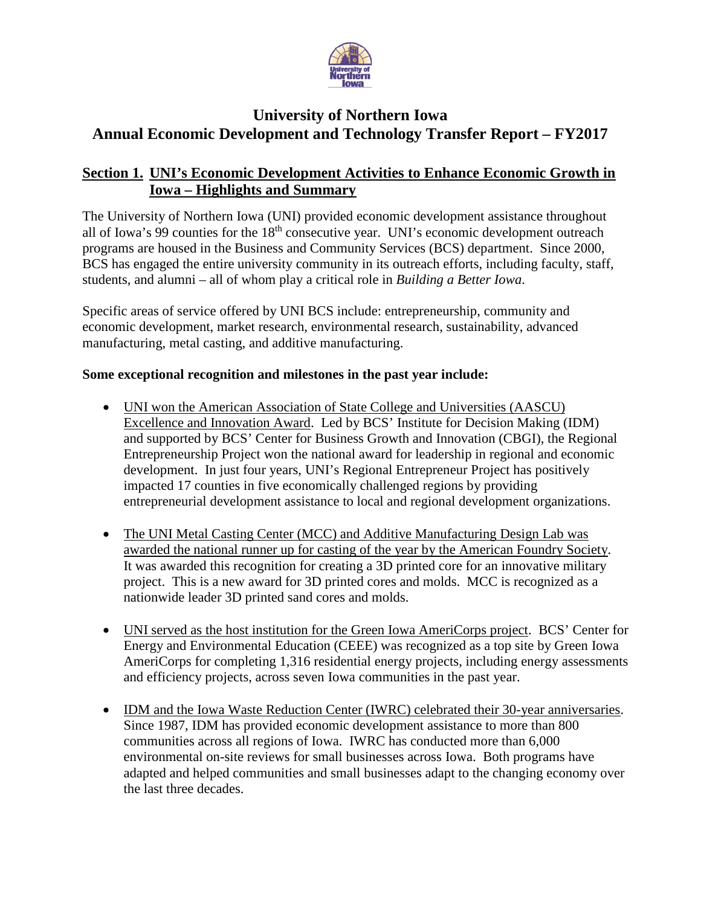

# **University of Northern Iowa Annual Economic Development and Technology Transfer Report – FY2017**

# **Section 1. UNI's Economic Development Activities to Enhance Economic Growth in Iowa – Highlights and Summary**

The University of Northern Iowa (UNI) provided economic development assistance throughout all of Iowa's 99 counties for the 18<sup>th</sup> consecutive year. UNI's economic development outreach programs are housed in the Business and Community Services (BCS) department. Since 2000, BCS has engaged the entire university community in its outreach efforts, including faculty, staff, students, and alumni – all of whom play a critical role in *Building a Better Iowa*.

Specific areas of service offered by UNI BCS include: entrepreneurship, community and economic development, market research, environmental research, sustainability, advanced manufacturing, metal casting, and additive manufacturing.

## **Some exceptional recognition and milestones in the past year include:**

- UNI won the American Association of State College and Universities (AASCU) Excellence and Innovation Award. Led by BCS' Institute for Decision Making (IDM) and supported by BCS' Center for Business Growth and Innovation (CBGI), the Regional Entrepreneurship Project won the national award for leadership in regional and economic development. In just four years, UNI's Regional Entrepreneur Project has positively impacted 17 counties in five economically challenged regions by providing entrepreneurial development assistance to local and regional development organizations.
- The UNI Metal Casting Center (MCC) and Additive Manufacturing Design Lab was awarded the national runner up for casting of the year by the American Foundry Society. It was awarded this recognition for creating a 3D printed core for an innovative military project. This is a new award for 3D printed cores and molds. MCC is recognized as a nationwide leader 3D printed sand cores and molds.
- UNI served as the host institution for the Green Iowa AmeriCorps project. BCS' Center for Energy and Environmental Education (CEEE) was recognized as a top site by Green Iowa AmeriCorps for completing 1,316 residential energy projects, including energy assessments and efficiency projects, across seven Iowa communities in the past year.
- IDM and the Iowa Waste Reduction Center (IWRC) celebrated their 30-year anniversaries. Since 1987, IDM has provided economic development assistance to more than 800 communities across all regions of Iowa. IWRC has conducted more than 6,000 environmental on-site reviews for small businesses across Iowa. Both programs have adapted and helped communities and small businesses adapt to the changing economy over the last three decades.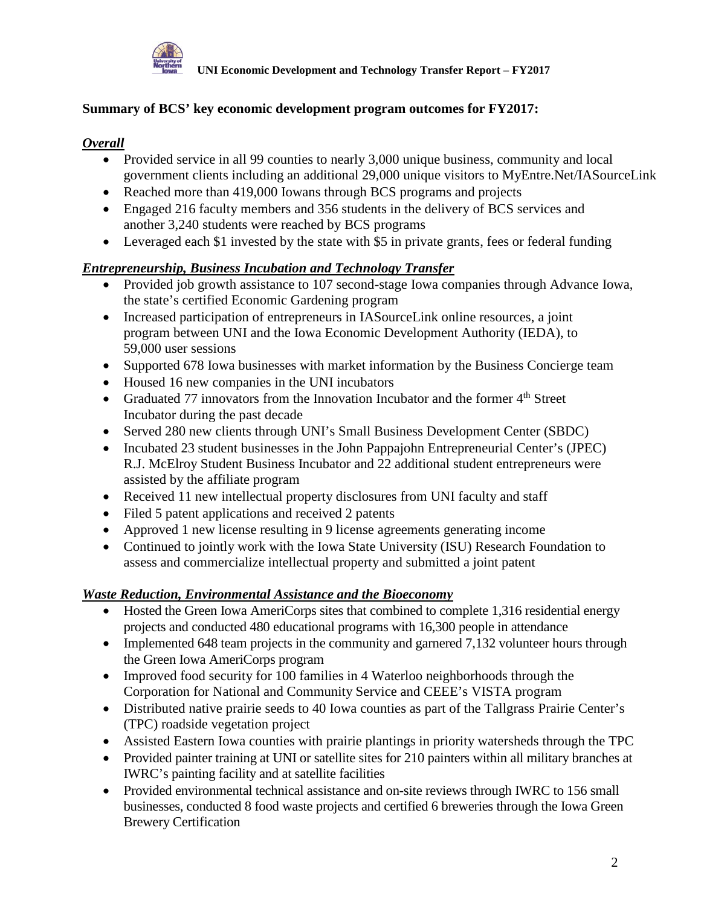

# **Summary of BCS' key economic development program outcomes for FY2017:**

## *Overall*

- Provided service in all 99 counties to nearly 3,000 unique business, community and local government clients including an additional 29,000 unique visitors to MyEntre.Net/IASourceLink
- Reached more than 419,000 Iowans through BCS programs and projects
- Engaged 216 faculty members and 356 students in the delivery of BCS services and another 3,240 students were reached by BCS programs
- Leveraged each \$1 invested by the state with \$5 in private grants, fees or federal funding

# *Entrepreneurship, Business Incubation and Technology Transfer*

- Provided job growth assistance to 107 second-stage Iowa companies through Advance Iowa, the state's certified Economic Gardening program
- Increased participation of entrepreneurs in IASourceLink online resources, a joint program between UNI and the Iowa Economic Development Authority (IEDA), to 59,000 user sessions
- Supported 678 Iowa businesses with market information by the Business Concierge team
- Housed 16 new companies in the UNI incubators
- Graduated 77 innovators from the Innovation Incubator and the former 4<sup>th</sup> Street Incubator during the past decade
- Served 280 new clients through UNI's Small Business Development Center (SBDC)
- Incubated 23 student businesses in the John Pappajohn Entrepreneurial Center's (JPEC) R.J. McElroy Student Business Incubator and 22 additional student entrepreneurs were assisted by the affiliate program
- Received 11 new intellectual property disclosures from UNI faculty and staff
- Filed 5 patent applications and received 2 patents
- Approved 1 new license resulting in 9 license agreements generating income
- Continued to jointly work with the Iowa State University (ISU) Research Foundation to assess and commercialize intellectual property and submitted a joint patent

## *Waste Reduction, Environmental Assistance and the Bioeconomy*

- Hosted the Green Iowa AmeriCorps sites that combined to complete 1,316 residential energy projects and conducted 480 educational programs with 16,300 people in attendance
- Implemented 648 team projects in the community and garnered 7,132 volunteer hours through the Green Iowa AmeriCorps program
- Improved food security for 100 families in 4 Waterloo neighborhoods through the Corporation for National and Community Service and CEEE's VISTA program
- Distributed native prairie seeds to 40 Iowa counties as part of the Tallgrass Prairie Center's (TPC) roadside vegetation project
- Assisted Eastern Iowa counties with prairie plantings in priority watersheds through the TPC
- Provided painter training at UNI or satellite sites for 210 painters within all military branches at IWRC's painting facility and at satellite facilities
- Provided environmental technical assistance and on-site reviews through IWRC to 156 small businesses, conducted 8 food waste projects and certified 6 breweries through the Iowa Green Brewery Certification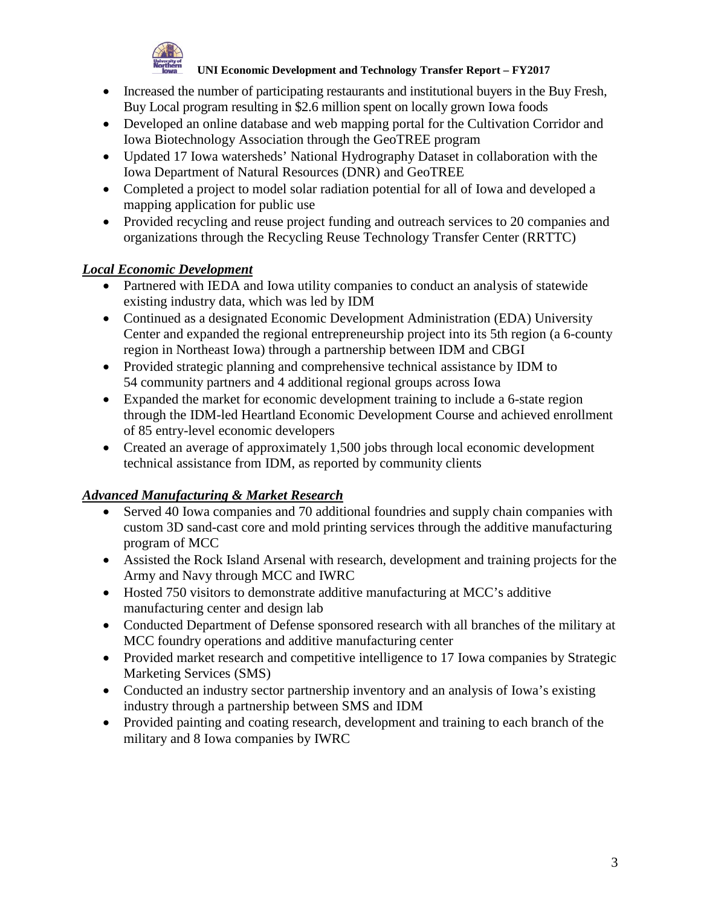

## **UNI Economic Development and Technology Transfer Report – FY2017**

- Increased the number of participating restaurants and institutional buyers in the Buy Fresh, Buy Local program resulting in \$2.6 million spent on locally grown Iowa foods
- Developed an online database and web mapping portal for the Cultivation Corridor and Iowa Biotechnology Association through the GeoTREE program
- Updated 17 Iowa watersheds' National Hydrography Dataset in collaboration with the Iowa Department of Natural Resources (DNR) and GeoTREE
- Completed a project to model solar radiation potential for all of Iowa and developed a mapping application for public use
- Provided recycling and reuse project funding and outreach services to 20 companies and organizations through the Recycling Reuse Technology Transfer Center (RRTTC)

# *Local Economic Development*

- Partnered with IEDA and Iowa utility companies to conduct an analysis of statewide existing industry data, which was led by IDM
- Continued as a designated Economic Development Administration (EDA) University Center and expanded the regional entrepreneurship project into its 5th region (a 6-county region in Northeast Iowa) through a partnership between IDM and CBGI
- Provided strategic planning and comprehensive technical assistance by IDM to 54 community partners and 4 additional regional groups across Iowa
- Expanded the market for economic development training to include a 6-state region through the IDM-led Heartland Economic Development Course and achieved enrollment of 85 entry-level economic developers
- Created an average of approximately 1,500 jobs through local economic development technical assistance from IDM, as reported by community clients

# *Advanced Manufacturing & Market Research*

- Served 40 Iowa companies and 70 additional foundries and supply chain companies with custom 3D sand-cast core and mold printing services through the additive manufacturing program of MCC
- Assisted the Rock Island Arsenal with research, development and training projects for the Army and Navy through MCC and IWRC
- Hosted 750 visitors to demonstrate additive manufacturing at MCC's additive manufacturing center and design lab
- Conducted Department of Defense sponsored research with all branches of the military at MCC foundry operations and additive manufacturing center
- Provided market research and competitive intelligence to 17 Iowa companies by Strategic Marketing Services (SMS)
- Conducted an industry sector partnership inventory and an analysis of Iowa's existing industry through a partnership between SMS and IDM
- Provided painting and coating research, development and training to each branch of the military and 8 Iowa companies by IWRC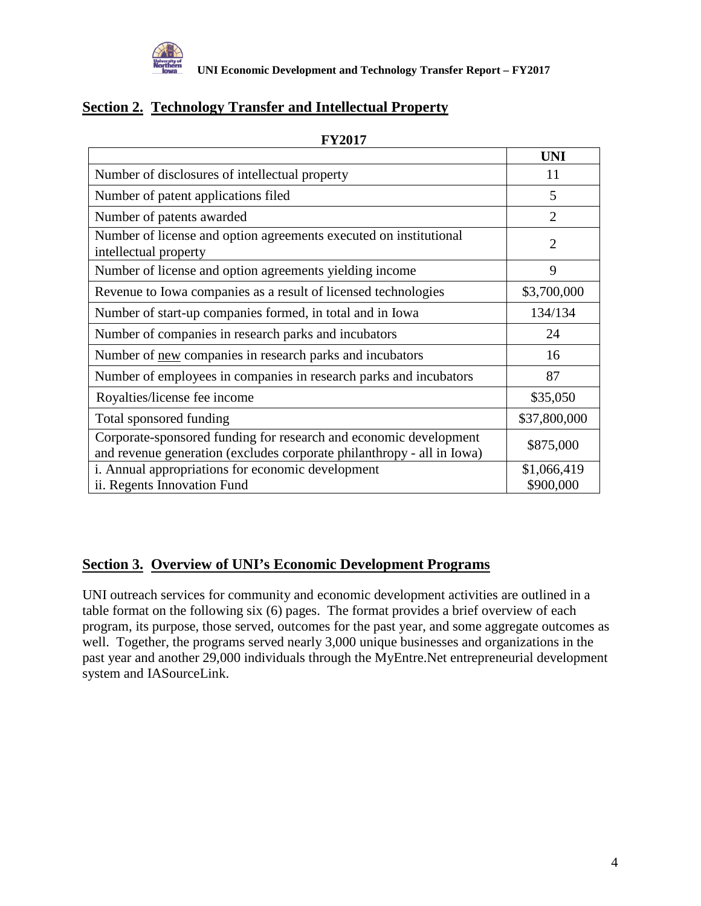

# **Section 2. Technology Transfer and Intellectual Property**

|                                                                                                                                             | <b>UNI</b>            |
|---------------------------------------------------------------------------------------------------------------------------------------------|-----------------------|
| Number of disclosures of intellectual property                                                                                              | 11                    |
| Number of patent applications filed                                                                                                         | 5                     |
| Number of patents awarded                                                                                                                   | $\mathcal{D}_{\cdot}$ |
| Number of license and option agreements executed on institutional<br>intellectual property                                                  | $\overline{2}$        |
| Number of license and option agreements yielding income                                                                                     | 9                     |
| Revenue to Iowa companies as a result of licensed technologies                                                                              | \$3,700,000           |
| Number of start-up companies formed, in total and in Iowa                                                                                   | 134/134               |
| Number of companies in research parks and incubators                                                                                        | 24                    |
| Number of new companies in research parks and incubators                                                                                    | 16                    |
| Number of employees in companies in research parks and incubators                                                                           | 87                    |
| Royalties/license fee income                                                                                                                | \$35,050              |
| Total sponsored funding                                                                                                                     | \$37,800,000          |
| Corporate-sponsored funding for research and economic development<br>and revenue generation (excludes corporate philanthropy - all in Iowa) | \$875,000             |
| i. Annual appropriations for economic development                                                                                           | \$1,066,419           |
| ii. Regents Innovation Fund                                                                                                                 | \$900,000             |

## **FY2017**

# **Section 3. Overview of UNI's Economic Development Programs**

UNI outreach services for community and economic development activities are outlined in a table format on the following six (6) pages. The format provides a brief overview of each program, its purpose, those served, outcomes for the past year, and some aggregate outcomes as well. Together, the programs served nearly 3,000 unique businesses and organizations in the past year and another 29,000 individuals through the MyEntre.Net entrepreneurial development system and IASourceLink.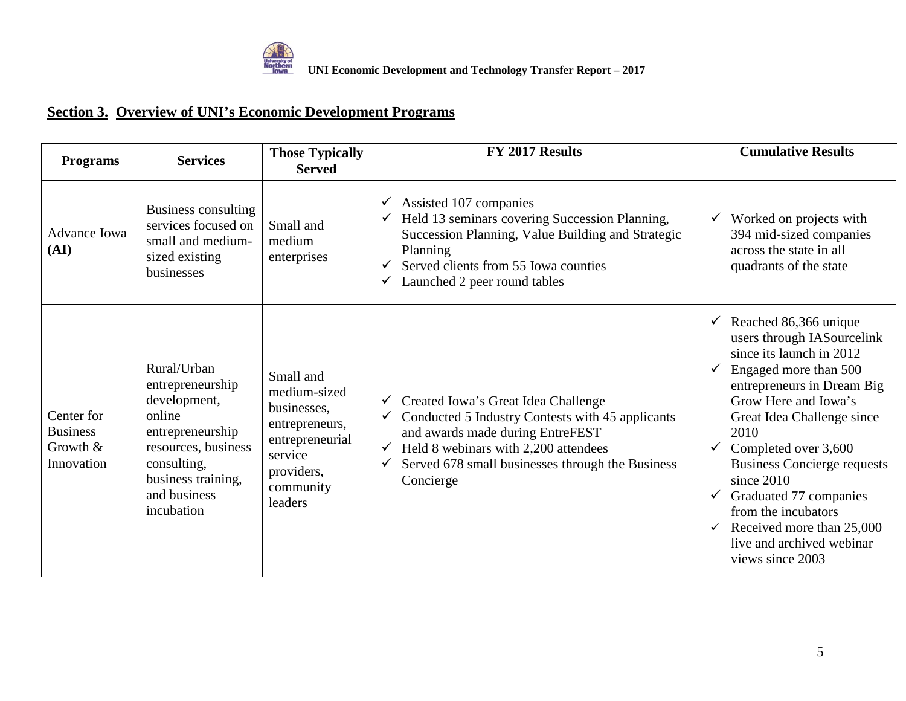

| <b>Programs</b>                                           | <b>Services</b>                                                                                                                                                         | <b>Those Typically</b><br><b>Served</b>                                                                                        | FY 2017 Results                                                                                                                                                                                                                                                      | <b>Cumulative Results</b>                                                                                                                                                                                                                                                                                                                                                                                                                      |
|-----------------------------------------------------------|-------------------------------------------------------------------------------------------------------------------------------------------------------------------------|--------------------------------------------------------------------------------------------------------------------------------|----------------------------------------------------------------------------------------------------------------------------------------------------------------------------------------------------------------------------------------------------------------------|------------------------------------------------------------------------------------------------------------------------------------------------------------------------------------------------------------------------------------------------------------------------------------------------------------------------------------------------------------------------------------------------------------------------------------------------|
| <b>Advance Iowa</b><br>(AI)                               | Business consulting<br>services focused on<br>small and medium-<br>sized existing<br>businesses                                                                         | Small and<br>medium<br>enterprises                                                                                             | Assisted 107 companies<br>$\checkmark$<br>Held 13 seminars covering Succession Planning,<br>Succession Planning, Value Building and Strategic<br>Planning<br>Served clients from 55 Iowa counties<br>Launched 2 peer round tables                                    | Worked on projects with<br>$\checkmark$<br>394 mid-sized companies<br>across the state in all<br>quadrants of the state                                                                                                                                                                                                                                                                                                                        |
| Center for<br><b>Business</b><br>Growth $&$<br>Innovation | Rural/Urban<br>entrepreneurship<br>development,<br>online<br>entrepreneurship<br>resources, business<br>consulting,<br>business training,<br>and business<br>incubation | Small and<br>medium-sized<br>businesses,<br>entrepreneurs,<br>entrepreneurial<br>service<br>providers,<br>community<br>leaders | Created Iowa's Great Idea Challenge<br>$\checkmark$<br>Conducted 5 Industry Contests with 45 applicants<br>and awards made during EntreFEST<br>Held 8 webinars with 2,200 attendees<br>$\checkmark$<br>Served 678 small businesses through the Business<br>Concierge | $\checkmark$ Reached 86,366 unique<br>users through IASourcelink<br>since its launch in 2012<br>Engaged more than 500<br>entrepreneurs in Dream Big<br>Grow Here and Iowa's<br>Great Idea Challenge since<br>2010<br>Completed over 3,600<br><b>Business Concierge requests</b><br>since $2010$<br>Graduated 77 companies<br>from the incubators<br>Received more than 25,000<br>$\checkmark$<br>live and archived webinar<br>views since 2003 |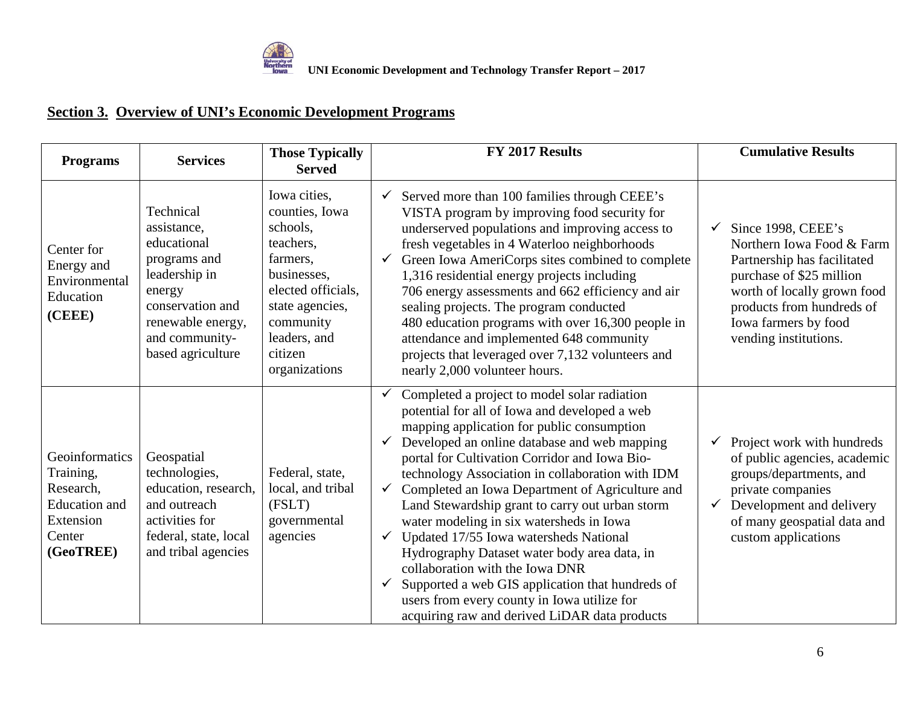

| <b>Programs</b>                                                                                      | <b>Services</b>                                                                                                                                                    | <b>Those Typically</b><br><b>Served</b>                                                                                                                                              | FY 2017 Results                                                                                                                                                                                                                                                                                                                                                                                                                                                                                                                                                                                                                                                                                                                                                     | <b>Cumulative Results</b>                                                                                                                                                                                                    |
|------------------------------------------------------------------------------------------------------|--------------------------------------------------------------------------------------------------------------------------------------------------------------------|--------------------------------------------------------------------------------------------------------------------------------------------------------------------------------------|---------------------------------------------------------------------------------------------------------------------------------------------------------------------------------------------------------------------------------------------------------------------------------------------------------------------------------------------------------------------------------------------------------------------------------------------------------------------------------------------------------------------------------------------------------------------------------------------------------------------------------------------------------------------------------------------------------------------------------------------------------------------|------------------------------------------------------------------------------------------------------------------------------------------------------------------------------------------------------------------------------|
| Center for<br>Energy and<br>Environmental<br>Education<br>(CEEE)                                     | Technical<br>assistance,<br>educational<br>programs and<br>leadership in<br>energy<br>conservation and<br>renewable energy,<br>and community-<br>based agriculture | Iowa cities,<br>counties, Iowa<br>schools,<br>teachers,<br>farmers,<br>businesses,<br>elected officials,<br>state agencies,<br>community<br>leaders, and<br>citizen<br>organizations | Served more than 100 families through CEEE's<br>$\checkmark$<br>VISTA program by improving food security for<br>underserved populations and improving access to<br>fresh vegetables in 4 Waterloo neighborhoods<br>Green Iowa AmeriCorps sites combined to complete<br>1,316 residential energy projects including<br>706 energy assessments and 662 efficiency and air<br>sealing projects. The program conducted<br>480 education programs with over 16,300 people in<br>attendance and implemented 648 community<br>projects that leveraged over 7,132 volunteers and<br>nearly 2,000 volunteer hours.                                                                                                                                                           | Since 1998, CEEE's<br>✓<br>Northern Iowa Food & Farm<br>Partnership has facilitated<br>purchase of \$25 million<br>worth of locally grown food<br>products from hundreds of<br>Iowa farmers by food<br>vending institutions. |
| Geoinformatics<br>Training,<br>Research,<br><b>Education</b> and<br>Extension<br>Center<br>(GeoTREE) | Geospatial<br>technologies,<br>education, research,<br>and outreach<br>activities for<br>federal, state, local<br>and tribal agencies                              | Federal, state,<br>local, and tribal<br>(FSLT)<br>governmental<br>agencies                                                                                                           | Completed a project to model solar radiation<br>potential for all of Iowa and developed a web<br>mapping application for public consumption<br>Developed an online database and web mapping<br>portal for Cultivation Corridor and Iowa Bio-<br>technology Association in collaboration with IDM<br>Completed an Iowa Department of Agriculture and<br>$\checkmark$<br>Land Stewardship grant to carry out urban storm<br>water modeling in six watersheds in Iowa<br>Updated 17/55 Iowa watersheds National<br>$\checkmark$<br>Hydrography Dataset water body area data, in<br>collaboration with the Iowa DNR<br>Supported a web GIS application that hundreds of<br>users from every county in Iowa utilize for<br>acquiring raw and derived LiDAR data products | Project work with hundreds<br>of public agencies, academic<br>groups/departments, and<br>private companies<br>Development and delivery<br>$\checkmark$<br>of many geospatial data and<br>custom applications                 |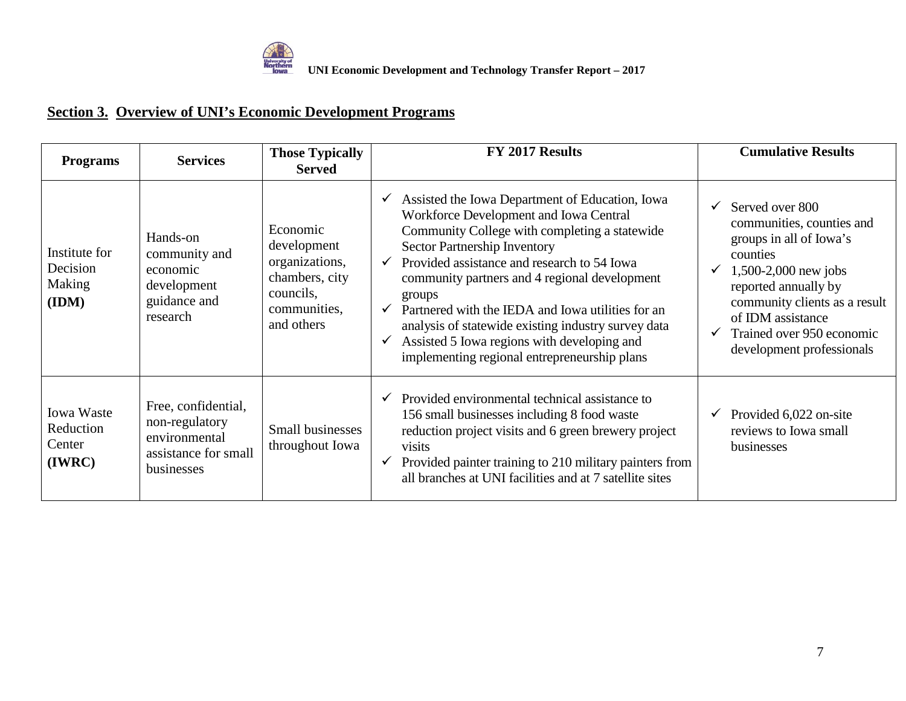

| <b>Programs</b>                                    | <b>Services</b>                                                                              | <b>Those Typically</b><br><b>Served</b>                                                                | FY 2017 Results                                                                                                                                                                                                                                                                                                                                                                                                                                                                                 | <b>Cumulative Results</b>                                                                                                                                                                                                                           |
|----------------------------------------------------|----------------------------------------------------------------------------------------------|--------------------------------------------------------------------------------------------------------|-------------------------------------------------------------------------------------------------------------------------------------------------------------------------------------------------------------------------------------------------------------------------------------------------------------------------------------------------------------------------------------------------------------------------------------------------------------------------------------------------|-----------------------------------------------------------------------------------------------------------------------------------------------------------------------------------------------------------------------------------------------------|
| Institute for<br>Decision<br>Making<br>(IDM)       | Hands-on<br>community and<br>economic<br>development<br>guidance and<br>research             | Economic<br>development<br>organizations,<br>chambers, city<br>councils,<br>communities,<br>and others | Assisted the Iowa Department of Education, Iowa<br>Workforce Development and Iowa Central<br>Community College with completing a statewide<br>Sector Partnership Inventory<br>Provided assistance and research to 54 Iowa<br>community partners and 4 regional development<br>groups<br>Partnered with the IEDA and Iowa utilities for an<br>analysis of statewide existing industry survey data<br>Assisted 5 Iowa regions with developing and<br>implementing regional entrepreneurship plans | Served over 800<br>communities, counties and<br>groups in all of Iowa's<br>counties<br>1,500-2,000 new jobs<br>reported annually by<br>community clients as a result<br>of IDM assistance<br>Trained over 950 economic<br>development professionals |
| <b>Iowa Waste</b><br>Reduction<br>Center<br>(IWRC) | Free, confidential,<br>non-regulatory<br>environmental<br>assistance for small<br>businesses | Small businesses<br>throughout Iowa                                                                    | Provided environmental technical assistance to<br>156 small businesses including 8 food waste<br>reduction project visits and 6 green brewery project<br>visits<br>Provided painter training to 210 military painters from<br>all branches at UNI facilities and at 7 satellite sites                                                                                                                                                                                                           | Provided 6,022 on-site<br>reviews to Iowa small<br>businesses                                                                                                                                                                                       |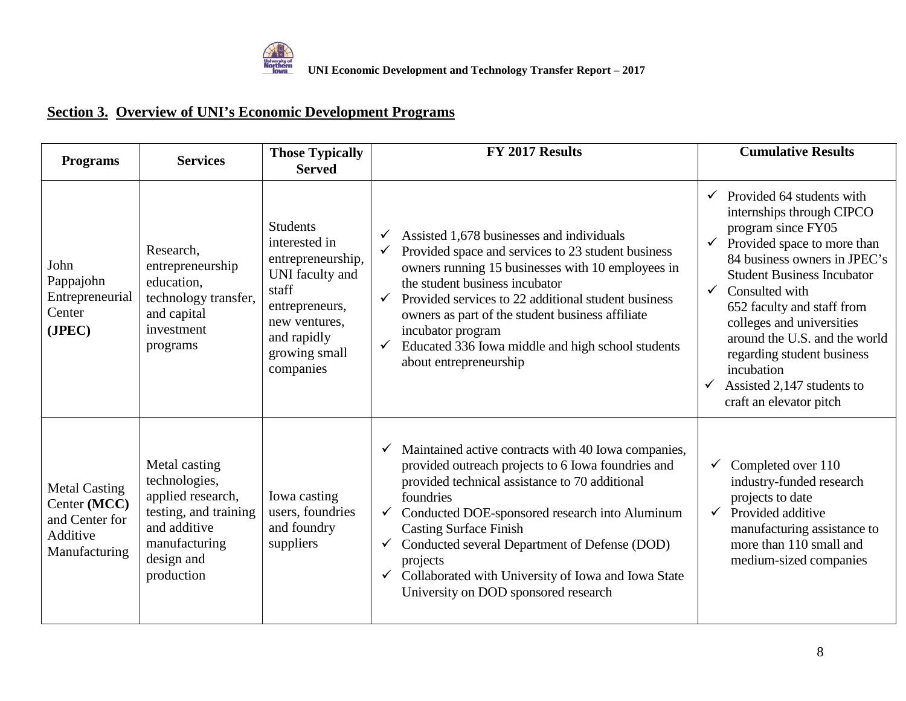

| <b>Programs</b>                                                                     | <b>Services</b>                                                                                                                           | <b>Those Typically</b><br><b>Served</b>                                                                                                                           | FY 2017 Results                                                                                                                                                                                                                                                                                                                                                                                                                                                         | <b>Cumulative Results</b>                                                                                                                                                                                                                                                                                                                                                                                                                           |
|-------------------------------------------------------------------------------------|-------------------------------------------------------------------------------------------------------------------------------------------|-------------------------------------------------------------------------------------------------------------------------------------------------------------------|-------------------------------------------------------------------------------------------------------------------------------------------------------------------------------------------------------------------------------------------------------------------------------------------------------------------------------------------------------------------------------------------------------------------------------------------------------------------------|-----------------------------------------------------------------------------------------------------------------------------------------------------------------------------------------------------------------------------------------------------------------------------------------------------------------------------------------------------------------------------------------------------------------------------------------------------|
| John<br>Pappajohn<br>Entrepreneurial<br>Center<br>(JPEC)                            | Research,<br>entrepreneurship<br>education,<br>technology transfer,<br>and capital<br>investment<br>programs                              | <b>Students</b><br>interested in<br>entrepreneurship,<br>UNI faculty and<br>staff<br>entrepreneurs,<br>new ventures,<br>and rapidly<br>growing small<br>companies | Assisted 1,678 businesses and individuals<br>Provided space and services to 23 student business<br>owners running 15 businesses with 10 employees in<br>the student business incubator<br>Provided services to 22 additional student business<br>$\checkmark$<br>owners as part of the student business affiliate<br>incubator program<br>Educated 336 Iowa middle and high school students<br>$\checkmark$<br>about entrepreneurship                                   | Provided 64 students with<br>$\checkmark$<br>internships through CIPCO<br>program since FY05<br>Provided space to more than<br>$\checkmark$<br>84 business owners in JPEC's<br><b>Student Business Incubator</b><br>Consulted with<br>$\checkmark$<br>652 faculty and staff from<br>colleges and universities<br>around the U.S. and the world<br>regarding student business<br>incubation<br>Assisted 2,147 students to<br>craft an elevator pitch |
| <b>Metal Casting</b><br>Center (MCC)<br>and Center for<br>Additive<br>Manufacturing | Metal casting<br>technologies,<br>applied research,<br>testing, and training<br>and additive<br>manufacturing<br>design and<br>production | Iowa casting<br>users, foundries<br>and foundry<br>suppliers                                                                                                      | Maintained active contracts with 40 Iowa companies,<br>provided outreach projects to 6 Iowa foundries and<br>provided technical assistance to 70 additional<br>foundries<br>Conducted DOE-sponsored research into Aluminum<br>$\checkmark$<br><b>Casting Surface Finish</b><br>Conducted several Department of Defense (DOD)<br>$\checkmark$<br>projects<br>Collaborated with University of Iowa and Iowa State<br>$\checkmark$<br>University on DOD sponsored research | Completed over 110<br>$\checkmark$<br>industry-funded research<br>projects to date<br>$\checkmark$ Provided additive<br>manufacturing assistance to<br>more than 110 small and<br>medium-sized companies                                                                                                                                                                                                                                            |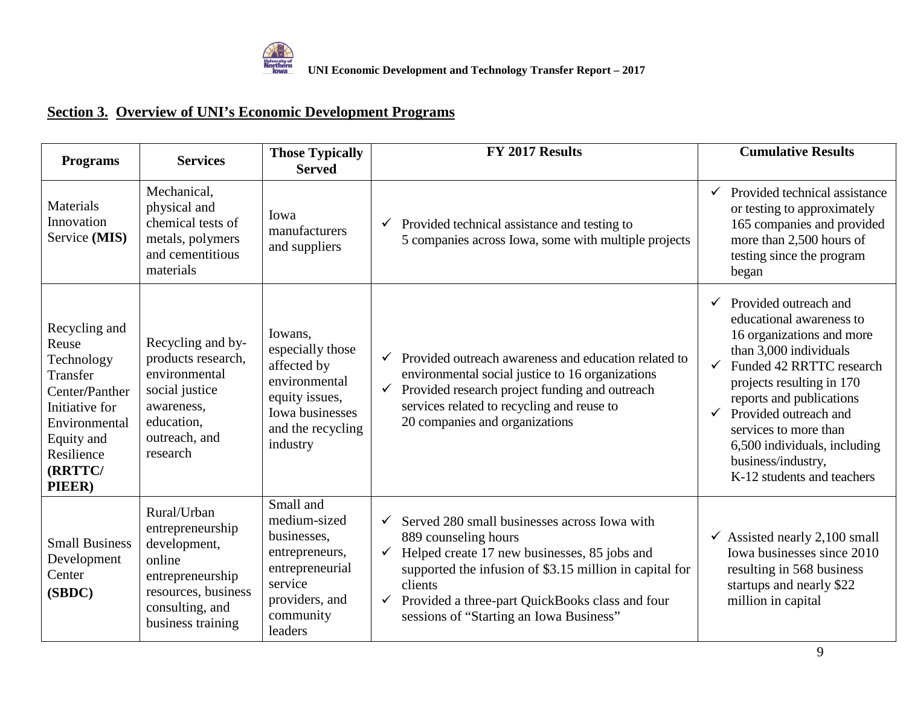

| <b>Programs</b>                                                                                                                                        | <b>Services</b>                                                                                                                              | <b>Those Typically</b><br><b>Served</b>                                                                                            | FY 2017 Results                                                                                                                                                                                                                                                                                                                          | <b>Cumulative Results</b>                                                                                                                                                                                                                                                                                                                                           |
|--------------------------------------------------------------------------------------------------------------------------------------------------------|----------------------------------------------------------------------------------------------------------------------------------------------|------------------------------------------------------------------------------------------------------------------------------------|------------------------------------------------------------------------------------------------------------------------------------------------------------------------------------------------------------------------------------------------------------------------------------------------------------------------------------------|---------------------------------------------------------------------------------------------------------------------------------------------------------------------------------------------------------------------------------------------------------------------------------------------------------------------------------------------------------------------|
| <b>Materials</b><br>Innovation<br>Service (MIS)                                                                                                        | Mechanical,<br>physical and<br>chemical tests of<br>metals, polymers<br>and cementitious<br>materials                                        | Iowa<br>manufacturers<br>and suppliers                                                                                             | Provided technical assistance and testing to<br>✓<br>5 companies across Iowa, some with multiple projects                                                                                                                                                                                                                                | Provided technical assistance<br>$\checkmark$<br>or testing to approximately<br>165 companies and provided<br>more than 2,500 hours of<br>testing since the program<br>began                                                                                                                                                                                        |
| Recycling and<br>Reuse<br>Technology<br>Transfer<br>Center/Panther<br>Initiative for<br>Environmental<br>Equity and<br>Resilience<br>(RRTTC/<br>PIEER) | Recycling and by-<br>products research,<br>environmental<br>social justice<br>awareness,<br>education,<br>outreach, and<br>research          | Iowans,<br>especially those<br>affected by<br>environmental<br>equity issues,<br>Iowa businesses<br>and the recycling<br>industry  | Provided outreach awareness and education related to<br>$\checkmark$<br>environmental social justice to 16 organizations<br>Provided research project funding and outreach<br>$\checkmark$<br>services related to recycling and reuse to<br>20 companies and organizations                                                               | Provided outreach and<br>educational awareness to<br>16 organizations and more<br>than 3,000 individuals<br>$\checkmark$<br>Funded 42 RRTTC research<br>projects resulting in 170<br>reports and publications<br>Provided outreach and<br>$\checkmark$<br>services to more than<br>6,500 individuals, including<br>business/industry,<br>K-12 students and teachers |
| <b>Small Business</b><br>Development<br>Center<br>(SBDC)                                                                                               | Rural/Urban<br>entrepreneurship<br>development,<br>online<br>entrepreneurship<br>resources, business<br>consulting, and<br>business training | Small and<br>medium-sized<br>businesses,<br>entrepreneurs,<br>entrepreneurial<br>service<br>providers, and<br>community<br>leaders | Served 280 small businesses across Iowa with<br>$\checkmark$<br>889 counseling hours<br>Helped create 17 new businesses, 85 jobs and<br>$\checkmark$<br>supported the infusion of \$3.15 million in capital for<br>clients<br>Provided a three-part QuickBooks class and four<br>$\checkmark$<br>sessions of "Starting an Iowa Business" | $\checkmark$ Assisted nearly 2,100 small<br>Iowa businesses since 2010<br>resulting in 568 business<br>startups and nearly \$22<br>million in capital                                                                                                                                                                                                               |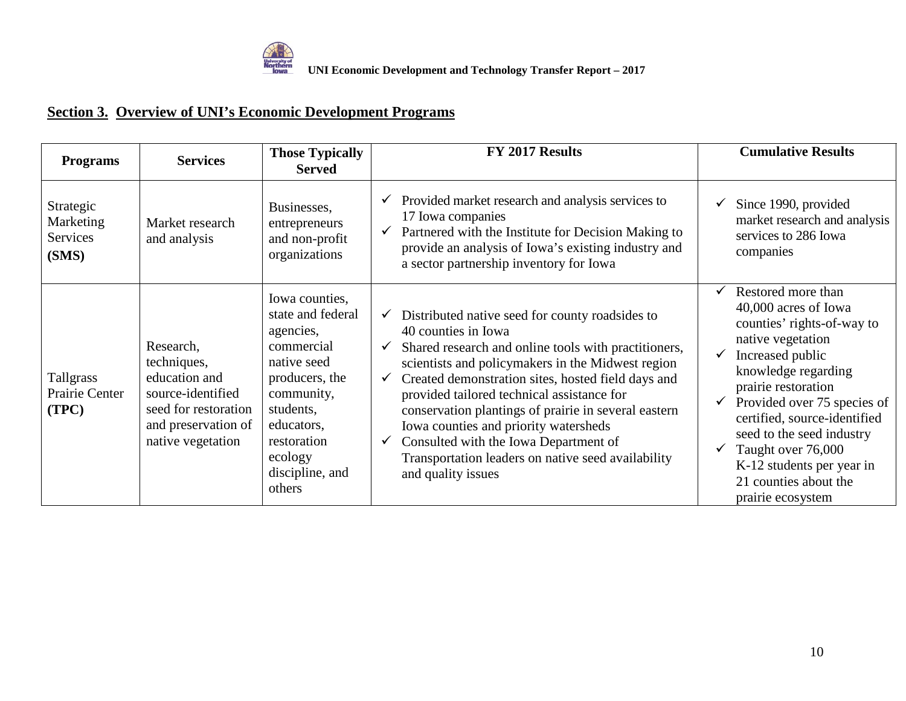

| <b>Programs</b>                             | <b>Services</b>                                                                                                                    | <b>Those Typically</b><br><b>Served</b>                                                                                                                                                         | FY 2017 Results                                                                                                                                                                                                                                                                                                                                                                                                                                                                                                               | <b>Cumulative Results</b>                                                                                                                                                                                                                                                                                                                                    |
|---------------------------------------------|------------------------------------------------------------------------------------------------------------------------------------|-------------------------------------------------------------------------------------------------------------------------------------------------------------------------------------------------|-------------------------------------------------------------------------------------------------------------------------------------------------------------------------------------------------------------------------------------------------------------------------------------------------------------------------------------------------------------------------------------------------------------------------------------------------------------------------------------------------------------------------------|--------------------------------------------------------------------------------------------------------------------------------------------------------------------------------------------------------------------------------------------------------------------------------------------------------------------------------------------------------------|
| Strategic<br>Marketing<br>Services<br>(SMS) | Market research<br>and analysis                                                                                                    | Businesses,<br>entrepreneurs<br>and non-profit<br>organizations                                                                                                                                 | Provided market research and analysis services to<br>17 Iowa companies<br>Partnered with the Institute for Decision Making to<br>provide an analysis of Iowa's existing industry and<br>a sector partnership inventory for Iowa                                                                                                                                                                                                                                                                                               | Since 1990, provided<br>$\checkmark$<br>market research and analysis<br>services to 286 Iowa<br>companies                                                                                                                                                                                                                                                    |
| <b>Tallgrass</b><br>Prairie Center<br>(TPC) | Research,<br>techniques,<br>education and<br>source-identified<br>seed for restoration<br>and preservation of<br>native vegetation | Iowa counties,<br>state and federal<br>agencies,<br>commercial<br>native seed<br>producers, the<br>community,<br>students,<br>educators,<br>restoration<br>ecology<br>discipline, and<br>others | Distributed native seed for county roadsides to<br>$\checkmark$<br>40 counties in Iowa<br>Shared research and online tools with practitioners,<br>scientists and policymakers in the Midwest region<br>Created demonstration sites, hosted field days and<br>provided tailored technical assistance for<br>conservation plantings of prairie in several eastern<br>Iowa counties and priority watersheds<br>Consulted with the Iowa Department of<br>Transportation leaders on native seed availability<br>and quality issues | Restored more than<br>40,000 acres of Iowa<br>counties' rights-of-way to<br>native vegetation<br>Increased public<br>knowledge regarding<br>prairie restoration<br>Provided over 75 species of<br>certified, source-identified<br>seed to the seed industry<br>Taught over 76,000<br>K-12 students per year in<br>21 counties about the<br>prairie ecosystem |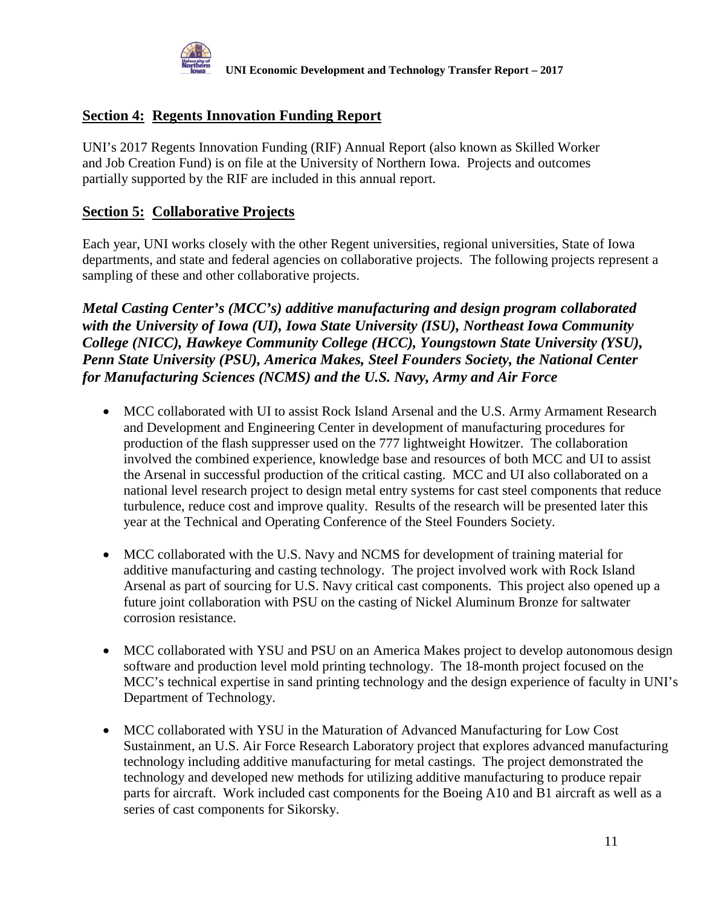

#### **Section 4: Regents Innovation Funding Report**

UNI's 2017 Regents Innovation Funding (RIF) Annual Report (also known as Skilled Worker and Job Creation Fund) is on file at the University of Northern Iowa. Projects and outcomes partially supported by the RIF are included in this annual report.

#### **Section 5: Collaborative Projects**

Each year, UNI works closely with the other Regent universities, regional universities, State of Iowa departments, and state and federal agencies on collaborative projects. The following projects represent a sampling of these and other collaborative projects.

*Metal Casting Center's (MCC's) additive manufacturing and design program collaborated with the University of Iowa (UI), Iowa State University (ISU), Northeast Iowa Community College (NICC), Hawkeye Community College (HCC), Youngstown State University (YSU), Penn State University (PSU), America Makes, Steel Founders Society, the National Center for Manufacturing Sciences (NCMS) and the U.S. Navy, Army and Air Force*

- MCC collaborated with UI to assist Rock Island Arsenal and the U.S. Army Armament Research and Development and Engineering Center in development of manufacturing procedures for production of the flash suppresser used on the 777 lightweight Howitzer. The collaboration involved the combined experience, knowledge base and resources of both MCC and UI to assist the Arsenal in successful production of the critical casting. MCC and UI also collaborated on a national level research project to design metal entry systems for cast steel components that reduce turbulence, reduce cost and improve quality. Results of the research will be presented later this year at the Technical and Operating Conference of the Steel Founders Society.
- MCC collaborated with the U.S. Navy and NCMS for development of training material for additive manufacturing and casting technology. The project involved work with Rock Island Arsenal as part of sourcing for U.S. Navy critical cast components. This project also opened up a future joint collaboration with PSU on the casting of Nickel Aluminum Bronze for saltwater corrosion resistance.
- MCC collaborated with YSU and PSU on an America Makes project to develop autonomous design software and production level mold printing technology. The 18-month project focused on the MCC's technical expertise in sand printing technology and the design experience of faculty in UNI's Department of Technology.
- MCC collaborated with YSU in the Maturation of Advanced Manufacturing for Low Cost Sustainment, an U.S. Air Force Research Laboratory project that explores advanced manufacturing technology including additive manufacturing for metal castings. The project demonstrated the technology and developed new methods for utilizing additive manufacturing to produce repair parts for aircraft. Work included cast components for the Boeing A10 and B1 aircraft as well as a series of cast components for Sikorsky.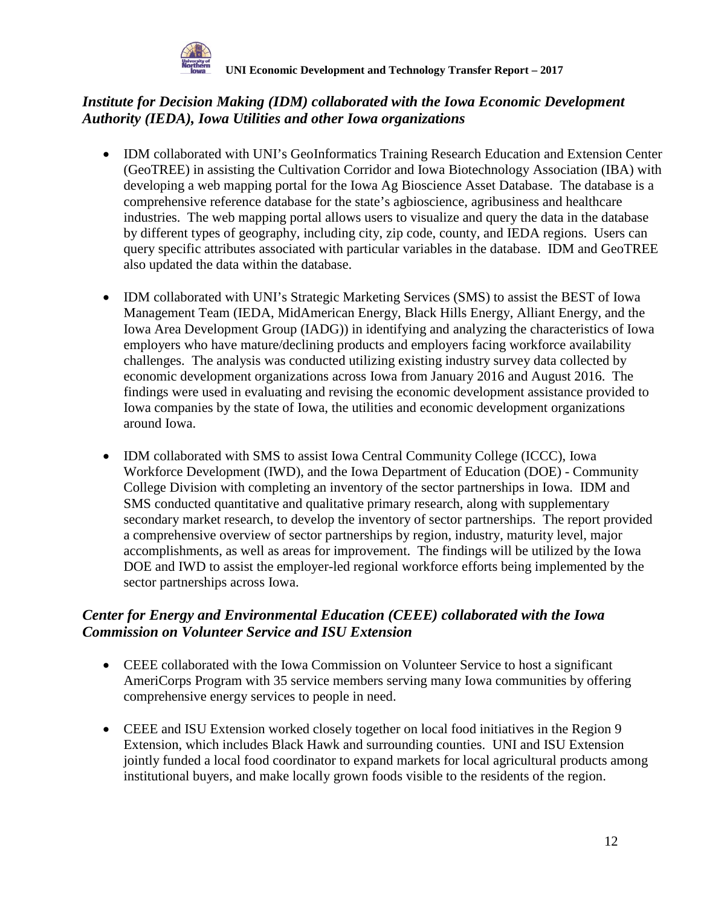

### *Institute for Decision Making (IDM) collaborated with the Iowa Economic Development Authority (IEDA), Iowa Utilities and other Iowa organizations*

- IDM collaborated with UNI's GeoInformatics Training Research Education and Extension Center (GeoTREE) in assisting the Cultivation Corridor and Iowa Biotechnology Association (IBA) with developing a web mapping portal for the Iowa Ag Bioscience Asset Database. The database is a comprehensive reference database for the state's agbioscience, agribusiness and healthcare industries. The web mapping portal allows users to visualize and query the data in the database by different types of geography, including city, zip code, county, and IEDA regions. Users can query specific attributes associated with particular variables in the database. IDM and GeoTREE also updated the data within the database.
- IDM collaborated with UNI's Strategic Marketing Services (SMS) to assist the BEST of Iowa Management Team (IEDA, MidAmerican Energy, Black Hills Energy, Alliant Energy, and the Iowa Area Development Group (IADG)) in identifying and analyzing the characteristics of Iowa employers who have mature/declining products and employers facing workforce availability challenges. The analysis was conducted utilizing existing industry survey data collected by economic development organizations across Iowa from January 2016 and August 2016. The findings were used in evaluating and revising the economic development assistance provided to Iowa companies by the state of Iowa, the utilities and economic development organizations around Iowa.
- IDM collaborated with SMS to assist Iowa Central Community College (ICCC), Iowa Workforce Development (IWD), and the Iowa Department of Education (DOE) - Community College Division with completing an inventory of the sector partnerships in Iowa. IDM and SMS conducted quantitative and qualitative primary research, along with supplementary secondary market research, to develop the inventory of sector partnerships. The report provided a comprehensive overview of sector partnerships by region, industry, maturity level, major accomplishments, as well as areas for improvement. The findings will be utilized by the Iowa DOE and IWD to assist the employer-led regional workforce efforts being implemented by the sector partnerships across Iowa.

### *Center for Energy and Environmental Education (CEEE) collaborated with the Iowa Commission on Volunteer Service and ISU Extension*

- CEEE collaborated with the Iowa Commission on Volunteer Service to host a significant AmeriCorps Program with 35 service members serving many Iowa communities by offering comprehensive energy services to people in need.
- CEEE and ISU Extension worked closely together on local food initiatives in the Region 9 Extension, which includes Black Hawk and surrounding counties. UNI and ISU Extension jointly funded a local food coordinator to expand markets for local agricultural products among institutional buyers, and make locally grown foods visible to the residents of the region.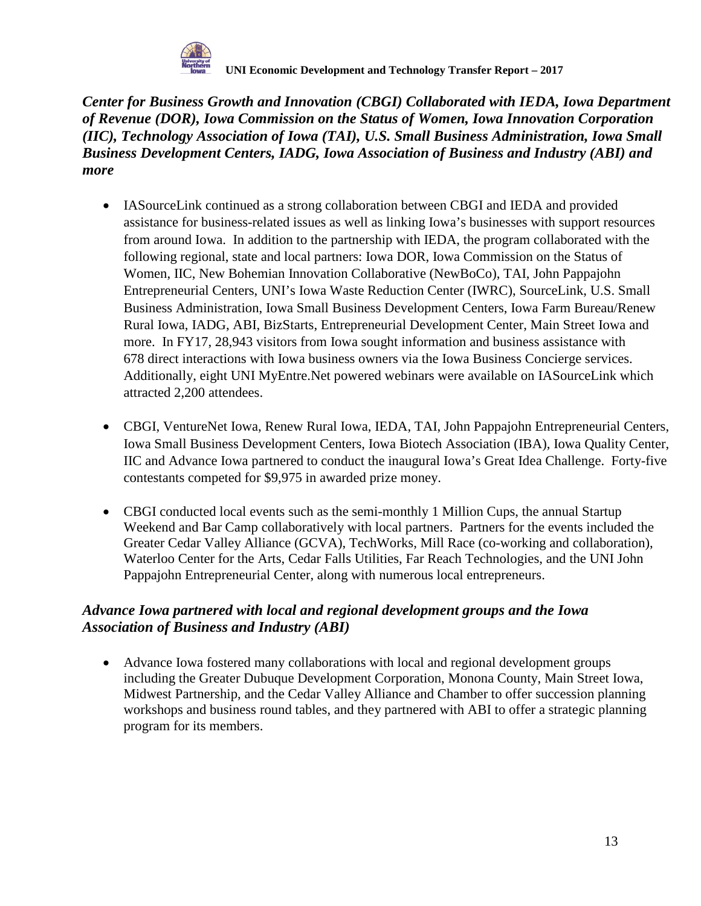

*Center for Business Growth and Innovation (CBGI) Collaborated with IEDA, Iowa Department of Revenue (DOR), Iowa Commission on the Status of Women, Iowa Innovation Corporation (IIC), Technology Association of Iowa (TAI), U.S. Small Business Administration, Iowa Small Business Development Centers, IADG, Iowa Association of Business and Industry (ABI) and more*

- IASourceLink continued as a strong collaboration between CBGI and IEDA and provided assistance for business-related issues as well as linking Iowa's businesses with support resources from around Iowa. In addition to the partnership with IEDA, the program collaborated with the following regional, state and local partners: Iowa DOR, Iowa Commission on the Status of Women, IIC, New Bohemian Innovation Collaborative (NewBoCo), TAI, John Pappajohn Entrepreneurial Centers, UNI's Iowa Waste Reduction Center (IWRC), SourceLink, U.S. Small Business Administration, Iowa Small Business Development Centers, Iowa Farm Bureau/Renew Rural Iowa, IADG, ABI, BizStarts, Entrepreneurial Development Center, Main Street Iowa and more. In FY17, 28,943 visitors from Iowa sought information and business assistance with 678 direct interactions with Iowa business owners via the Iowa Business Concierge services. Additionally, eight UNI MyEntre.Net powered webinars were available on IASourceLink which attracted 2,200 attendees.
- CBGI, VentureNet Iowa, Renew Rural Iowa, IEDA, TAI, John Pappajohn Entrepreneurial Centers, Iowa Small Business Development Centers, Iowa Biotech Association (IBA), Iowa Quality Center, IIC and Advance Iowa partnered to conduct the inaugural Iowa's Great Idea Challenge. Forty-five contestants competed for \$9,975 in awarded prize money.
- CBGI conducted local events such as the semi-monthly 1 Million Cups, the annual Startup Weekend and Bar Camp collaboratively with local partners. Partners for the events included the Greater Cedar Valley Alliance (GCVA), TechWorks, Mill Race (co-working and collaboration), Waterloo Center for the Arts, Cedar Falls Utilities, Far Reach Technologies, and the UNI John Pappajohn Entrepreneurial Center, along with numerous local entrepreneurs.

### *Advance Iowa partnered with local and regional development groups and the Iowa Association of Business and Industry (ABI)*

• Advance Iowa fostered many collaborations with local and regional development groups including the Greater Dubuque Development Corporation, Monona County, Main Street Iowa, Midwest Partnership, and the Cedar Valley Alliance and Chamber to offer succession planning workshops and business round tables, and they partnered with ABI to offer a strategic planning program for its members.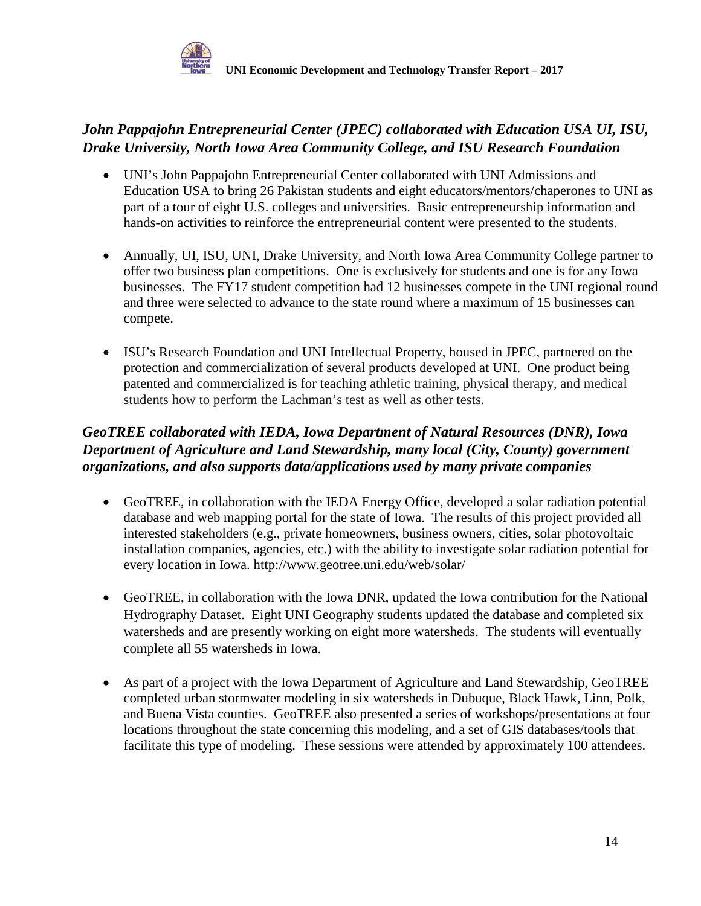

### *John Pappajohn Entrepreneurial Center (JPEC) collaborated with Education USA UI, ISU, Drake University, North Iowa Area Community College, and ISU Research Foundation*

- UNI's John Pappajohn Entrepreneurial Center collaborated with UNI Admissions and Education USA to bring 26 Pakistan students and eight educators/mentors/chaperones to UNI as part of a tour of eight U.S. colleges and universities. Basic entrepreneurship information and hands-on activities to reinforce the entrepreneurial content were presented to the students.
- Annually, UI, ISU, UNI, Drake University, and North Iowa Area Community College partner to offer two business plan competitions. One is exclusively for students and one is for any Iowa businesses. The FY17 student competition had 12 businesses compete in the UNI regional round and three were selected to advance to the state round where a maximum of 15 businesses can compete.
- ISU's Research Foundation and UNI Intellectual Property, housed in JPEC, partnered on the protection and commercialization of several products developed at UNI. One product being patented and commercialized is for teaching athletic training, physical therapy, and medical students how to perform the Lachman's test as well as other tests.

### *GeoTREE collaborated with IEDA, Iowa Department of Natural Resources (DNR), Iowa Department of Agriculture and Land Stewardship, many local (City, County) government organizations, and also supports data/applications used by many private companies*

- GeoTREE, in collaboration with the IEDA Energy Office, developed a solar radiation potential database and web mapping portal for the state of Iowa. The results of this project provided all interested stakeholders (e.g., private homeowners, business owners, cities, solar photovoltaic installation companies, agencies, etc.) with the ability to investigate solar radiation potential for every location in Iowa. http://www.geotree.uni.edu/web/solar/
- GeoTREE, in collaboration with the Iowa DNR, updated the Iowa contribution for the National Hydrography Dataset. Eight UNI Geography students updated the database and completed six watersheds and are presently working on eight more watersheds. The students will eventually complete all 55 watersheds in Iowa.
- As part of a project with the Iowa Department of Agriculture and Land Stewardship, GeoTREE completed urban stormwater modeling in six watersheds in Dubuque, Black Hawk, Linn, Polk, and Buena Vista counties. GeoTREE also presented a series of workshops/presentations at four locations throughout the state concerning this modeling, and a set of GIS databases/tools that facilitate this type of modeling. These sessions were attended by approximately 100 attendees.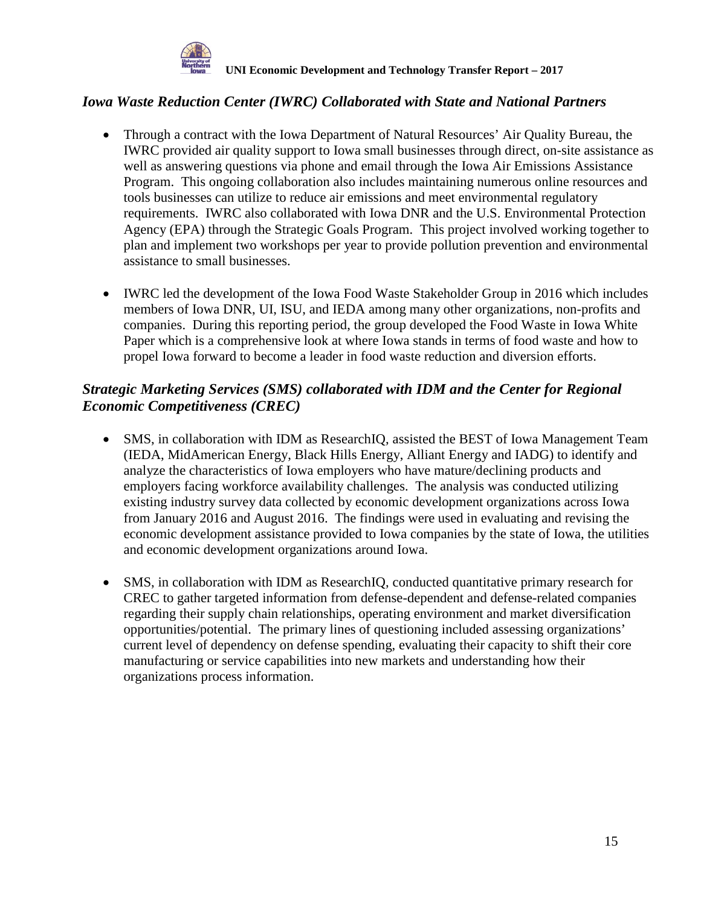

#### *Iowa Waste Reduction Center (IWRC) Collaborated with State and National Partners*

- Through a contract with the Iowa Department of Natural Resources' Air Quality Bureau, the IWRC provided air quality support to Iowa small businesses through direct, on-site assistance as well as answering questions via phone and email through the Iowa Air Emissions Assistance Program. This ongoing collaboration also includes maintaining numerous online resources and tools businesses can utilize to reduce air emissions and meet environmental regulatory requirements. IWRC also collaborated with Iowa DNR and the U.S. Environmental Protection Agency (EPA) through the Strategic Goals Program. This project involved working together to plan and implement two workshops per year to provide pollution prevention and environmental assistance to small businesses.
- IWRC led the development of the Iowa Food Waste Stakeholder Group in 2016 which includes members of Iowa DNR, UI, ISU, and IEDA among many other organizations, non-profits and companies. During this reporting period, the group developed the Food Waste in Iowa White Paper which is a comprehensive look at where Iowa stands in terms of food waste and how to propel Iowa forward to become a leader in food waste reduction and diversion efforts.

#### *Strategic Marketing Services (SMS) collaborated with IDM and the Center for Regional Economic Competitiveness (CREC)*

- SMS, in collaboration with IDM as ResearchIQ, assisted the BEST of Iowa Management Team (IEDA, MidAmerican Energy, Black Hills Energy, Alliant Energy and IADG) to identify and analyze the characteristics of Iowa employers who have mature/declining products and employers facing workforce availability challenges. The analysis was conducted utilizing existing industry survey data collected by economic development organizations across Iowa from January 2016 and August 2016. The findings were used in evaluating and revising the economic development assistance provided to Iowa companies by the state of Iowa, the utilities and economic development organizations around Iowa.
- SMS, in collaboration with IDM as ResearchIQ, conducted quantitative primary research for CREC to gather targeted information from defense-dependent and defense-related companies regarding their supply chain relationships, operating environment and market diversification opportunities/potential. The primary lines of questioning included assessing organizations' current level of dependency on defense spending, evaluating their capacity to shift their core manufacturing or service capabilities into new markets and understanding how their organizations process information.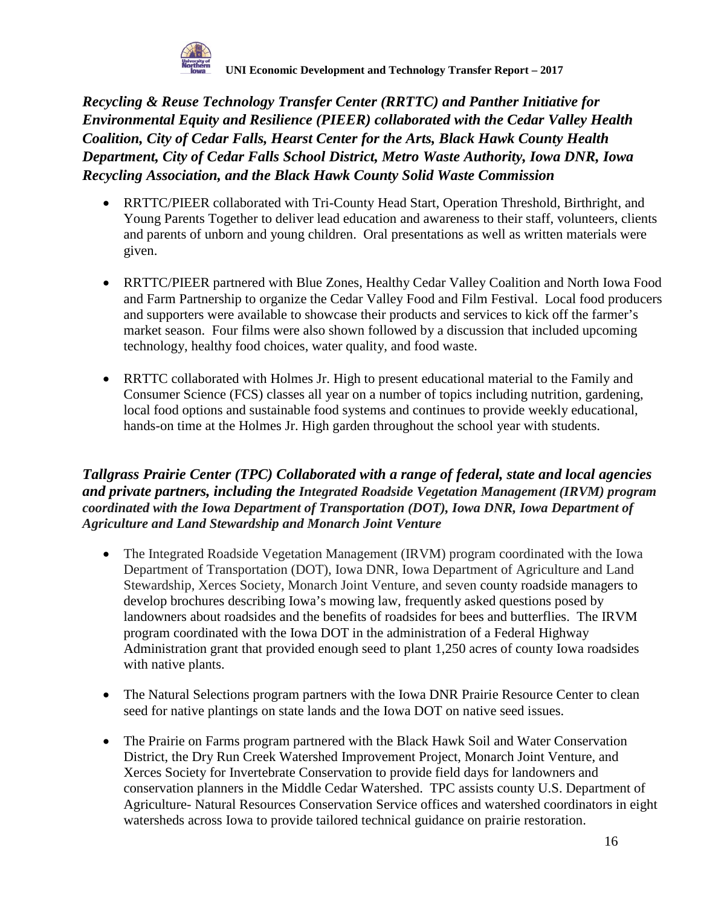

*Recycling & Reuse Technology Transfer Center (RRTTC) and Panther Initiative for Environmental Equity and Resilience (PIEER) collaborated with the Cedar Valley Health Coalition, City of Cedar Falls, Hearst Center for the Arts, Black Hawk County Health Department, City of Cedar Falls School District, Metro Waste Authority, Iowa DNR, Iowa Recycling Association, and the Black Hawk County Solid Waste Commission* 

- RRTTC/PIEER collaborated with Tri-County Head Start, Operation Threshold, Birthright, and Young Parents Together to deliver lead education and awareness to their staff, volunteers, clients and parents of unborn and young children. Oral presentations as well as written materials were given.
- RRTTC/PIEER partnered with Blue Zones, Healthy Cedar Valley Coalition and North Iowa Food and Farm Partnership to organize the Cedar Valley Food and Film Festival. Local food producers and supporters were available to showcase their products and services to kick off the farmer's market season. Four films were also shown followed by a discussion that included upcoming technology, healthy food choices, water quality, and food waste.
- RRTTC collaborated with Holmes Jr. High to present educational material to the Family and Consumer Science (FCS) classes all year on a number of topics including nutrition, gardening, local food options and sustainable food systems and continues to provide weekly educational, hands-on time at the Holmes Jr. High garden throughout the school year with students.

#### *Tallgrass Prairie Center (TPC) Collaborated with a range of federal, state and local agencies and private partners, including the Integrated Roadside Vegetation Management (IRVM) program coordinated with the Iowa Department of Transportation (DOT), Iowa DNR, Iowa Department of Agriculture and Land Stewardship and Monarch Joint Venture*

- The Integrated Roadside Vegetation Management (IRVM) program coordinated with the Iowa Department of Transportation (DOT), Iowa DNR, Iowa Department of Agriculture and Land Stewardship, Xerces Society, Monarch Joint Venture, and seven county roadside managers to develop brochures describing Iowa's mowing law, frequently asked questions posed by landowners about roadsides and the benefits of roadsides for bees and butterflies. The IRVM program coordinated with the Iowa DOT in the administration of a Federal Highway Administration grant that provided enough seed to plant 1,250 acres of county Iowa roadsides with native plants.
- The Natural Selections program partners with the Iowa DNR Prairie Resource Center to clean seed for native plantings on state lands and the Iowa DOT on native seed issues.
- The Prairie on Farms program partnered with the Black Hawk Soil and Water Conservation District, the Dry Run Creek Watershed Improvement Project, Monarch Joint Venture, and Xerces Society for Invertebrate Conservation to provide field days for landowners and conservation planners in the Middle Cedar Watershed. TPC assists county U.S. Department of Agriculture- Natural Resources Conservation Service offices and watershed coordinators in eight watersheds across Iowa to provide tailored technical guidance on prairie restoration.